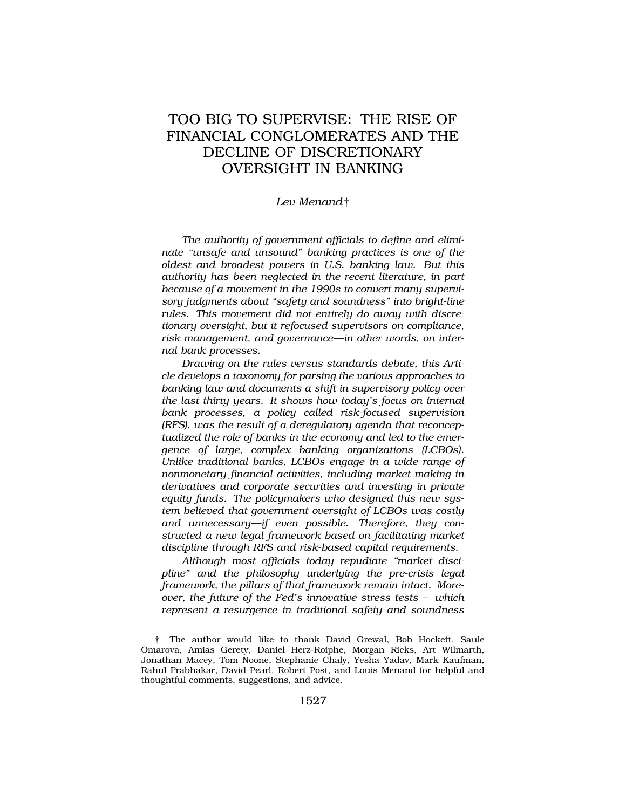# TOO BIG TO SUPERVISE: THE RISE OF FINANCIAL CONGLOMERATES AND THE DECLINE OF DISCRETIONARY OVERSIGHT IN BANKING

### *Lev Menand*†

*The authority of government officials to define and eliminate "unsafe and unsound" banking practices is one of the oldest and broadest powers in U.S. banking law. But this authority has been neglected in the recent literature, in part because of a movement in the 1990s to convert many supervisory judgments about "safety and soundness" into bright-line rules. This movement did not entirely do away with discretionary oversight, but it refocused supervisors on compliance, risk management, and governance—in other words, on internal bank processes.* 

*Drawing on the rules versus standards debate, this Article develops a taxonomy for parsing the various approaches to banking law and documents a shift in supervisory policy over the last thirty years. It shows how today's focus on internal bank processes, a policy called risk-focused supervision (RFS), was the result of a deregulatory agenda that reconceptualized the role of banks in the economy and led to the emergence of large, complex banking organizations (LCBOs). Unlike traditional banks, LCBOs engage in a wide range of nonmonetary financial activities, including market making in derivatives and corporate securities and investing in private equity funds. The policymakers who designed this new system believed that government oversight of LCBOs was costly and unnecessary—if even possible. Therefore, they constructed a new legal framework based on facilitating market discipline through RFS and risk-based capital requirements.* 

*Although most officials today repudiate "market discipline" and the philosophy underlying the pre-crisis legal framework, the pillars of that framework remain intact. Moreover, the future of the Fed's innovative stress tests – which represent a resurgence in traditional safety and soundness* 

<sup>†</sup> The author would like to thank David Grewal, Bob Hockett, Saule Omarova, Amias Gerety, Daniel Herz-Roiphe, Morgan Ricks, Art Wilmarth, Jonathan Macey, Tom Noone, Stephanie Chaly, Yesha Yadav, Mark Kaufman, Rahul Prabhakar, David Pearl, Robert Post, and Louis Menand for helpful and thoughtful comments, suggestions, and advice.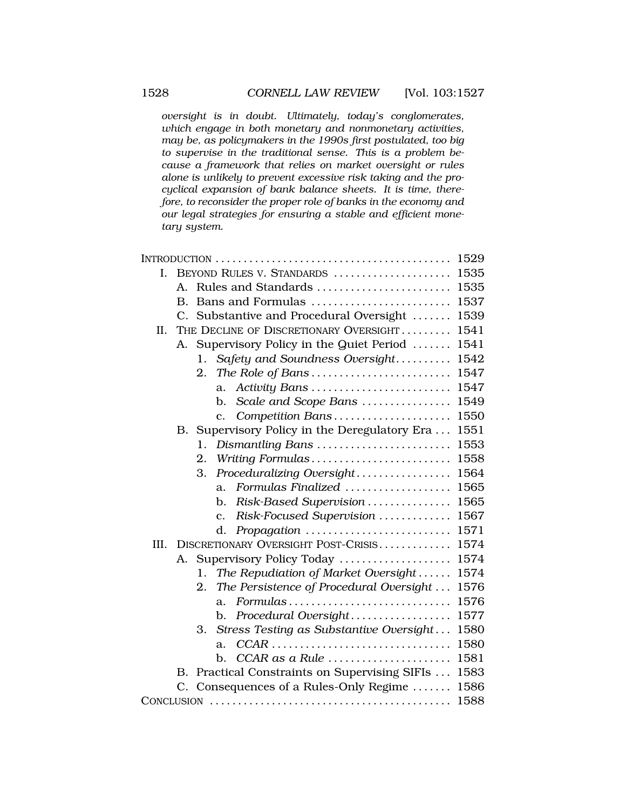*oversight is in doubt. Ultimately, today's conglomerates, which engage in both monetary and nonmonetary activities, may be, as policymakers in the 1990s first postulated, too big to supervise in the traditional sense. This is a problem because a framework that relies on market oversight or rules alone is unlikely to prevent excessive risk taking and the procyclical expansion of bank balance sheets. It is time, therefore, to reconsider the proper role of banks in the economy and our legal strategies for ensuring a stable and efficient monetary system.* 

|      |                 |                                               | 1529 |
|------|-----------------|-----------------------------------------------|------|
| L.   |                 | BEYOND RULES V. STANDARDS                     | 1535 |
|      | Α.              | Rules and Standards                           | 1535 |
|      | В.              | Bans and Formulas                             | 1537 |
|      | $\mathcal{C}$ . | Substantive and Procedural Oversight          | 1539 |
| II.  |                 | THE DECLINE OF DISCRETIONARY OVERSIGHT        | 1541 |
|      | А.              | Supervisory Policy in the Quiet Period        | 1541 |
|      |                 | Safety and Soundness Oversight<br>1.          | 1542 |
|      |                 | The Role of Bans<br>2.                        | 1547 |
|      |                 | Activity Bans<br>a.                           | 1547 |
|      |                 | Scale and Scope Bans<br>b.                    | 1549 |
|      |                 | Competition Bans<br>$\mathbf{c}$ .            | 1550 |
|      |                 | B. Supervisory Policy in the Deregulatory Era | 1551 |
|      |                 | Dismantling Bans<br>1.                        | 1553 |
|      |                 | Writing Formulas<br>$\overline{2}$ .          | 1558 |
|      |                 | Proceduralizing Oversight<br>3.               | 1564 |
|      |                 | Formulas Finalized<br>a.                      | 1565 |
|      |                 | Risk-Based Supervision<br>$\mathbf{b}$ .      | 1565 |
|      |                 | Risk-Focused Supervision<br>$\mathbf{c}$ .    | 1567 |
|      |                 | d.<br>Propagation                             | 1571 |
| III. |                 | DISCRETIONARY OVERSIGHT POST-CRISIS           | 1574 |
|      | A.              | Supervisory Policy Today                      | 1574 |
|      |                 | The Repudiation of Market Oversight<br>1.     | 1574 |
|      |                 | The Persistence of Procedural Oversight<br>2. | 1576 |
|      |                 | Formulas<br>a.                                | 1576 |
|      |                 | Procedural Oversight<br>b.                    | 1577 |
|      |                 | Stress Testing as Substantive Oversight<br>3. | 1580 |
|      |                 | $CCAR$<br>a.                                  | 1580 |
|      |                 | $CCAR$ as a Rule<br>b.                        | 1581 |
|      | В.              | Practical Constraints on Supervising SIFIs    | 1583 |
|      | C.              | Consequences of a Rules-Only Regime           | 1586 |
|      |                 |                                               | 1588 |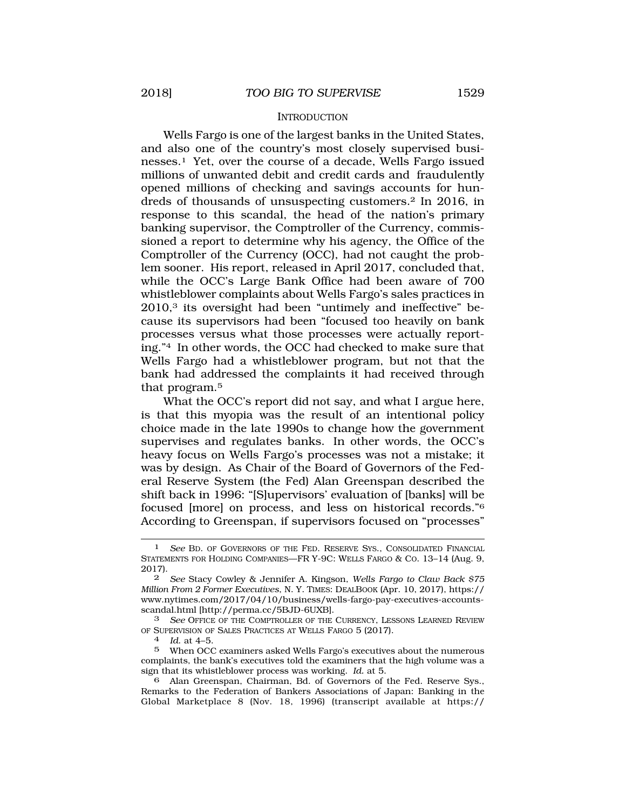#### **INTRODUCTION**

<span id="page-2-0"></span>Wells Fargo is one of the largest banks in the United States, and also one of the country's most closely supervised businesses.1 Yet, over the course of a decade, Wells Fargo issued millions of unwanted debit and credit cards and fraudulently opened millions of checking and savings accounts for hundreds of thousands of unsuspecting customers.2 In 2016, in response to this scandal, the head of the nation's primary banking supervisor, the Comptroller of the Currency, commissioned a report to determine why his agency, the Office of the Comptroller of the Currency (OCC), had not caught the problem sooner. His report, released in April 2017, concluded that, while the OCC's Large Bank Office had been aware of 700 whistleblower complaints about Wells Fargo's sales practices in 2010,3 its oversight had been "untimely and ineffective" because its supervisors had been "focused too heavily on bank processes versus what those processes were actually reporting."4 In other words, the OCC had checked to make sure that Wells Fargo had a whistleblower program, but not that the bank had addressed the complaints it had received through that program.5

What the OCC's report did not say, and what I argue here, is that this myopia was the result of an intentional policy choice made in the late 1990s to change how the government supervises and regulates banks. In other words, the OCC's heavy focus on Wells Fargo's processes was not a mistake; it was by design. As Chair of the Board of Governors of the Federal Reserve System (the Fed) Alan Greenspan described the shift back in 1996: "[S]upervisors' evaluation of [banks] will be focused [more] on process, and less on historical records."6 According to Greenspan, if supervisors focused on "processes"

6 Alan Greenspan, Chairman, Bd. of Governors of the Fed. Reserve Sys., Remarks to the Federation of Bankers Associations of Japan: Banking in the Global Marketplace 8 (Nov. 18, 1996) (transcript available at https://

See BD. OF GOVERNORS OF THE FED. RESERVE SYS., CONSOLIDATED FINANCIAL STATEMENTS FOR HOLDING COMPANIES—FR Y-9C: WELLS FARGO & CO. 13–14 (Aug. 9, 2017).

<sup>2</sup> *See* Stacy Cowley & Jennifer A. Kingson, *Wells Fargo to Claw Back \$75 Million From 2 Former Executives*, N. Y. TIMES: DEALBOOK (Apr. 10, 2017), https:// <www.nytimes.com/2017/04/10/business/wells-fargo-pay-executives-accounts>scandal.html [\[http://perma.cc/5BJD-6UXB\]](http://perma.cc/5BJD-6UXB).

<sup>3</sup> *See* OFFICE OF THE COMPTROLLER OF THE CURRENCY, LESSONS LEARNED REVIEW OF SUPERVISION OF SALES PRACTICES AT WELLS FARGO 5 (2017). 4 *Id*. at 4–5.

<sup>5</sup> When OCC examiners asked Wells Fargo's executives about the numerous complaints, the bank's executives told the examiners that the high volume was a sign that its whistleblower process was working. *Id.* at 5.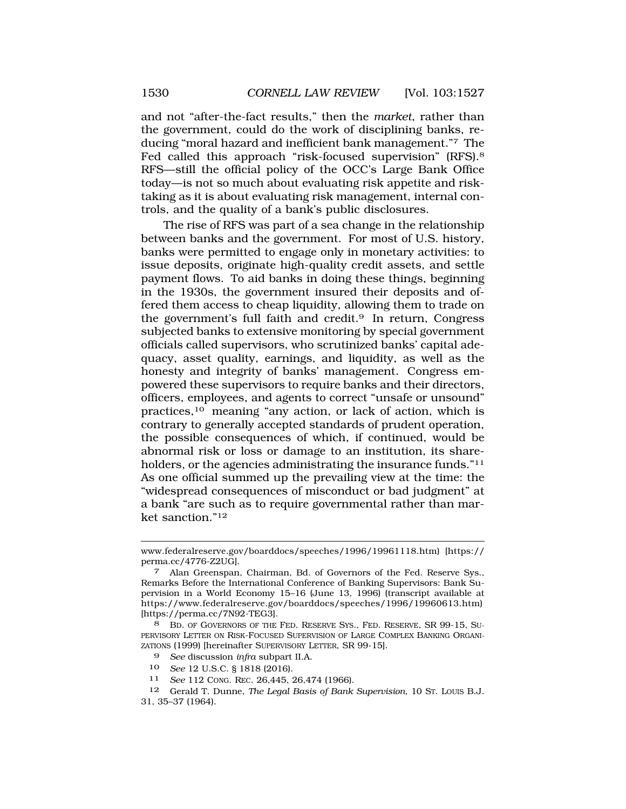and not "after-the-fact results," then the *market*, rather than the government, could do the work of disciplining banks, reducing "moral hazard and inefficient bank management."7 The Fed called this approach "risk-focused supervision" (RFS).8 RFS—still the official policy of the OCC's Large Bank Office today—is not so much about evaluating risk appetite and risktaking as it is about evaluating risk management, internal controls, and the quality of a bank's public disclosures.

The rise of RFS was part of a sea change in the relationship between banks and the government. For most of U.S. history, banks were permitted to engage only in monetary activities: to issue deposits, originate high-quality credit assets, and settle payment flows. To aid banks in doing these things, beginning in the 1930s, the government insured their deposits and offered them access to cheap liquidity, allowing them to trade on the government's full faith and credit.<sup>9</sup> In return, Congress subjected banks to extensive monitoring by special government officials called supervisors, who scrutinized banks' capital adequacy, asset quality, earnings, and liquidity, as well as the honesty and integrity of banks' management. Congress empowered these supervisors to require banks and their directors, officers, employees, and agents to correct "unsafe or unsound" practices,10 meaning "any action, or lack of action, which is contrary to generally accepted standards of prudent operation, the possible consequences of which, if continued, would be abnormal risk or loss or damage to an institution, its shareholders, or the agencies administrating the insurance funds."<sup>11</sup> As one official summed up the prevailing view at the time: the "widespread consequences of misconduct or bad judgment" at a bank "are such as to require governmental rather than market sanction."12

<www.federalreserve.gov/boarddocs/speeches/1996/19961118.htm>) [https:// perma.cc/4776-Z2UG].

Alan Greenspan, Chairman, Bd. of Governors of the Fed. Reserve Sys., Remarks Before the International Conference of Banking Supervisors: Bank Supervision in a World Economy 15–16 (June 13, 1996) (transcript available at <https://www.federalreserve.gov/boarddocs/speeches/1996/19960613.htm>) [[https://perma.cc/7N92-TEG3\]](https://perma.cc/7N92-TEG3).

<sup>8</sup> BD. OF GOVERNORS OF THE FED. RESERVE SYS., FED. RESERVE, SR 99-15, SU-PERVISORY LETTER ON RISK-FOCUSED SUPERVISION OF LARGE COMPLEX BANKING ORGANI-ZATIONS (1999) [hereinafter SUPERVISORY LETTER, SR 99-15].

<sup>9</sup> *See* discussion *infra* subpart II.A.

<sup>10</sup> *See* 12 U.S.C. § 1818 (2016).

<sup>11</sup> *See* 112 CONG. REC. 26,445, 26,474 (1966).

<sup>12</sup> Gerald T. Dunne, *The Legal Basis of Bank Supervision*, 10 ST. LOUIS B.J. 31, 35–37 (1964).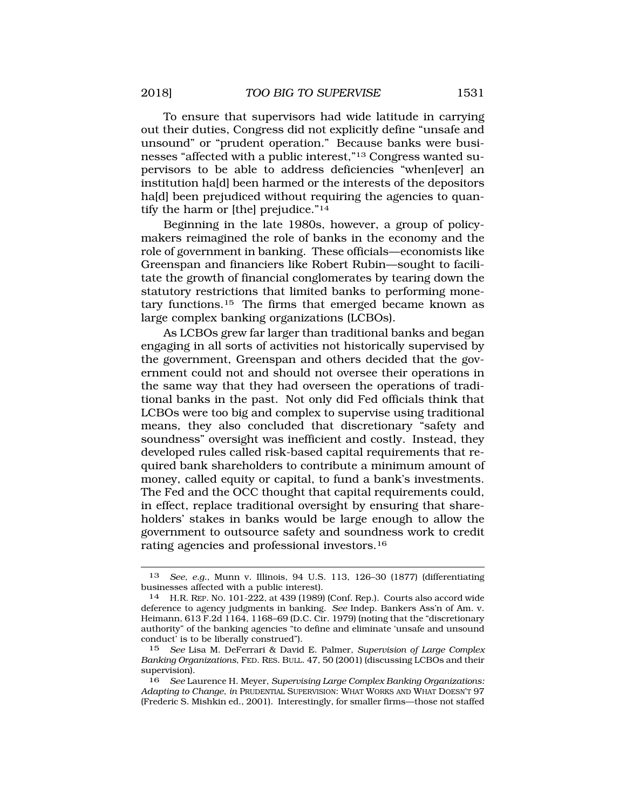To ensure that supervisors had wide latitude in carrying out their duties, Congress did not explicitly define "unsafe and unsound" or "prudent operation." Because banks were businesses "affected with a public interest,"13 Congress wanted supervisors to be able to address deficiencies "when[ever] an institution ha[d] been harmed or the interests of the depositors ha[d] been prejudiced without requiring the agencies to quantify the harm or [the] prejudice."14

Beginning in the late 1980s, however, a group of policymakers reimagined the role of banks in the economy and the role of government in banking. These officials—economists like Greenspan and financiers like Robert Rubin—sought to facilitate the growth of financial conglomerates by tearing down the statutory restrictions that limited banks to performing monetary [functions.15](http:functions.15) The firms that emerged became known as large complex banking organizations (LCBOs).

As LCBOs grew far larger than traditional banks and began engaging in all sorts of activities not historically supervised by the government, Greenspan and others decided that the government could not and should not oversee their operations in the same way that they had overseen the operations of traditional banks in the past. Not only did Fed officials think that LCBOs were too big and complex to supervise using traditional means, they also concluded that discretionary "safety and soundness" oversight was inefficient and costly. Instead, they developed rules called risk-based capital requirements that required bank shareholders to contribute a minimum amount of money, called equity or capital, to fund a bank's investments. The Fed and the OCC thought that capital requirements could, in effect, replace traditional oversight by ensuring that shareholders' stakes in banks would be large enough to allow the government to outsource safety and soundness work to credit rating agencies and professional [investors.16](http:investors.16)

<sup>13</sup> *See, e.g.*, Munn v. Illinois, 94 U.S. 113, 126–30 (1877) (differentiating businesses affected with a public interest).

<sup>14</sup> H.R. REP. NO. 101-222, at 439 (1989) (Conf. Rep.). Courts also accord wide deference to agency judgments in banking. *See* Indep. Bankers Ass'n of Am. v. Heimann, 613 F.2d 1164, 1168–69 (D.C. Cir. 1979) (noting that the "discretionary authority" of the banking agencies "to define and eliminate 'unsafe and unsound conduct' is to be liberally construed").

<sup>15</sup> *See* Lisa M. DeFerrari & David E. Palmer, *Supervision of Large Complex Banking Organizations*, FED. RES. BULL. 47, 50 (2001) (discussing LCBOs and their supervision).

<sup>16</sup> *See* Laurence H. Meyer, *Supervising Large Complex Banking Organizations: Adapting to Change*, *in* PRUDENTIAL SUPERVISION: WHAT WORKS AND WHAT DOESN'T 97 (Frederic S. Mishkin ed., 2001). Interestingly, for smaller firms—those not staffed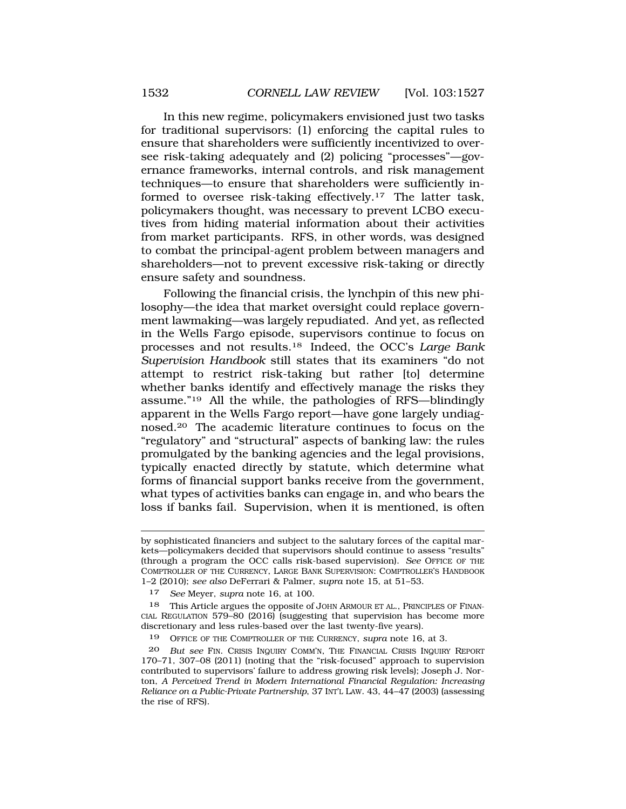In this new regime, policymakers envisioned just two tasks for traditional supervisors: (1) enforcing the capital rules to ensure that shareholders were sufficiently incentivized to oversee risk-taking adequately and (2) policing "processes"—governance frameworks, internal controls, and risk management techniques—to ensure that shareholders were sufficiently informed to oversee risk-taking [effectively.17](http:effectively.17) The latter task, policymakers thought, was necessary to prevent LCBO executives from hiding material information about their activities from market participants. RFS, in other words, was designed to combat the principal-agent problem between managers and shareholders—not to prevent excessive risk-taking or directly ensure safety and soundness.

Following the financial crisis, the lynchpin of this new philosophy—the idea that market oversight could replace government lawmaking—was largely repudiated. And yet, as reflected in the Wells Fargo episode, supervisors continue to focus on processes and not [results.18](http:results.18) Indeed, the OCC's *Large Bank Supervision Handbook* still states that its examiners "do not attempt to restrict risk-taking but rather [to] determine whether banks identify and effectively manage the risks they assume."19 All the while, the pathologies of RFS—blindingly apparent in the Wells Fargo report—have gone largely undiag[nosed.20](http:nosed.20) The academic literature continues to focus on the "regulatory" and "structural" aspects of banking law: the rules promulgated by the banking agencies and the legal provisions, typically enacted directly by statute, which determine what forms of financial support banks receive from the government, what types of activities banks can engage in, and who bears the loss if banks fail. Supervision, when it is mentioned, is often

17 *See* Meyer, *supra* note 16, at 100.

18 This Article argues the opposite of JOHN ARMOUR ET AL., PRINCIPLES OF FINAN-CIAL REGULATION 579–80 (2016) (suggesting that supervision has become more discretionary and less rules-based over the last twenty-five years).

19 OFFICE OF THE COMPTROLLER OF THE CURRENCY, *supra* note 16, at 3.

by sophisticated financiers and subject to the salutary forces of the capital markets—policymakers decided that supervisors should continue to assess "results" (through a program the OCC calls risk-based supervision). *See* OFFICE OF THE COMPTROLLER OF THE CURRENCY, LARGE BANK SUPERVISION: COMPTROLLER'S HANDBOOK 1–2 (2010); *see also* DeFerrari & Palmer, *supra* note 15, at 51–53.

<sup>20</sup> *But see* FIN. CRISIS INQUIRY COMM'N, THE FINANCIAL CRISIS INQUIRY REPORT 170–71, 307–08 (2011) (noting that the "risk-focused" approach to supervision contributed to supervisors' failure to address growing risk levels); Joseph J. Norton, *A Perceived Trend in Modern International Financial Regulation: Increasing Reliance on a Public-Private Partnership*, 37 INT'L LAW. 43, 44–47 (2003) (assessing the rise of RFS).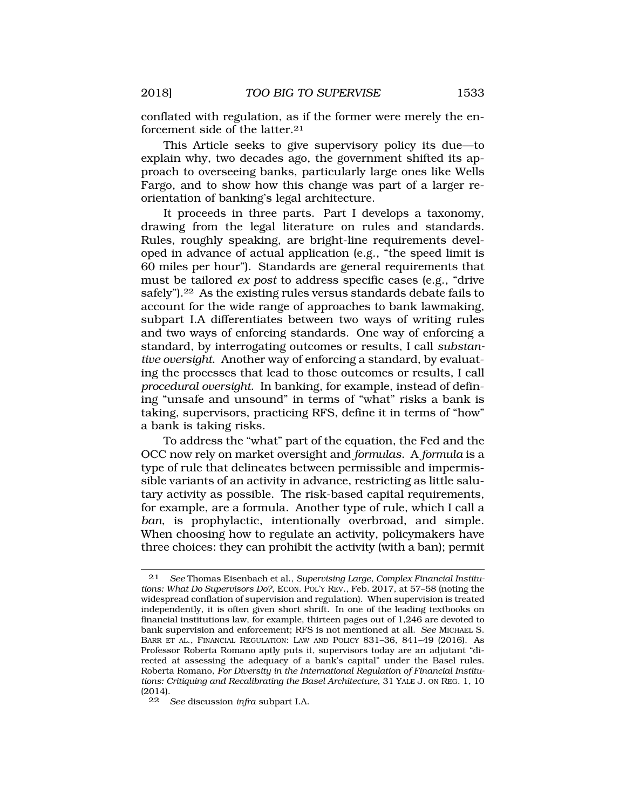conflated with regulation, as if the former were merely the enforcement side of the latter.<sup>21</sup>

This Article seeks to give supervisory policy its due—to explain why, two decades ago, the government shifted its approach to overseeing banks, particularly large ones like Wells Fargo, and to show how this change was part of a larger reorientation of banking's legal architecture.

It proceeds in three parts. Part I develops a taxonomy, drawing from the legal literature on rules and standards. Rules, roughly speaking, are bright-line requirements developed in advance of actual application (e.g., "the speed limit is 60 miles per hour"). Standards are general requirements that must be tailored *ex post* to address specific cases (e.g., "drive safely").<sup>22</sup> As the existing rules versus standards debate fails to account for the wide range of approaches to bank lawmaking, subpart I.A differentiates between two ways of writing rules and two ways of enforcing standards. One way of enforcing a standard, by interrogating outcomes or results, I call *substantive oversight*. Another way of enforcing a standard, by evaluating the processes that lead to those outcomes or results, I call *procedural oversight*. In banking, for example, instead of defining "unsafe and unsound" in terms of "what" risks a bank is taking, supervisors, practicing RFS, define it in terms of "how" a bank is taking risks.

To address the "what" part of the equation, the Fed and the OCC now rely on market oversight and *formulas*. A *formula* is a type of rule that delineates between permissible and impermissible variants of an activity in advance, restricting as little salutary activity as possible. The risk-based capital requirements, for example, are a formula. Another type of rule, which I call a *ban*, is prophylactic, intentionally overbroad, and simple. When choosing how to regulate an activity, policymakers have three choices: they can prohibit the activity (with a ban); permit

<sup>21</sup> *See* Thomas Eisenbach et al., *Supervising Large, Complex Financial Institutions: What Do Supervisors Do?*, ECON. POL'Y REV., Feb. 2017, at 57–58 (noting the widespread conflation of supervision and regulation). When supervision is treated independently, it is often given short shrift. In one of the leading textbooks on financial institutions law, for example, thirteen pages out of 1,246 are devoted to bank supervision and enforcement; RFS is not mentioned at all. *See* MICHAEL S. BARR ET AL., FINANCIAL REGULATION: LAW AND POLICY 831–36, 841–49 (2016). As Professor Roberta Romano aptly puts it, supervisors today are an adjutant "directed at assessing the adequacy of a bank's capital" under the Basel rules. Roberta Romano, *For Diversity in the International Regulation of Financial Institutions: Critiquing and Recalibrating the Basel Architecture*, 31 YALE J. ON REG. 1, 10 (2014).

<sup>22</sup> *See* discussion *infra* subpart I.A.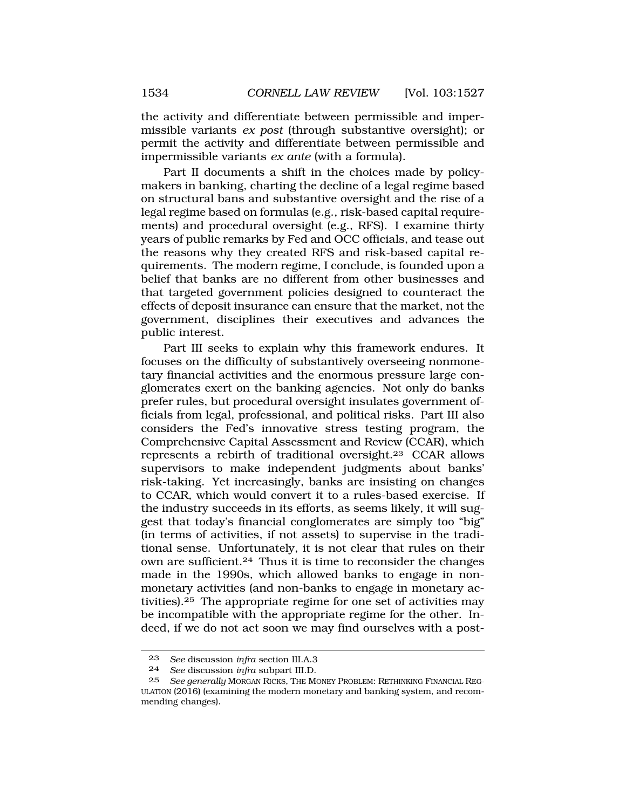the activity and differentiate between permissible and impermissible variants *ex post* (through substantive oversight); or permit the activity and differentiate between permissible and impermissible variants *ex ante* (with a formula).

Part II documents a shift in the choices made by policymakers in banking, charting the decline of a legal regime based on structural bans and substantive oversight and the rise of a legal regime based on formulas (e.g., risk-based capital requirements) and procedural oversight (e.g., RFS). I examine thirty years of public remarks by Fed and OCC officials, and tease out the reasons why they created RFS and risk-based capital requirements. The modern regime, I conclude, is founded upon a belief that banks are no different from other businesses and that targeted government policies designed to counteract the effects of deposit insurance can ensure that the market, not the government, disciplines their executives and advances the public interest.

Part III seeks to explain why this framework endures. It focuses on the difficulty of substantively overseeing nonmonetary financial activities and the enormous pressure large conglomerates exert on the banking agencies. Not only do banks prefer rules, but procedural oversight insulates government officials from legal, professional, and political risks. Part III also considers the Fed's innovative stress testing program, the Comprehensive Capital Assessment and Review (CCAR), which represents a rebirth of traditional [oversight.23](http:oversight.23) CCAR allows supervisors to make independent judgments about banks' risk-taking. Yet increasingly, banks are insisting on changes to CCAR, which would convert it to a rules-based exercise. If the industry succeeds in its efforts, as seems likely, it will suggest that today's financial conglomerates are simply too "big" (in terms of activities, if not assets) to supervise in the traditional sense. Unfortunately, it is not clear that rules on their own are [sufficient.24](http:sufficient.24) Thus it is time to reconsider the changes made in the 1990s, which allowed banks to engage in nonmonetary activities (and non-banks to engage in monetary ac[tivities\).25](http:tivities).25) The appropriate regime for one set of activities may be incompatible with the appropriate regime for the other. Indeed, if we do not act soon we may find ourselves with a post-

<sup>23</sup> *See* discussion *infra* section III.A.3

<sup>24</sup> *See* discussion *infra* subpart III.D.

<sup>25</sup> *See generally* MORGAN RICKS, THE MONEY PROBLEM: RETHINKING FINANCIAL REG-ULATION (2016) (examining the modern monetary and banking system, and recommending changes).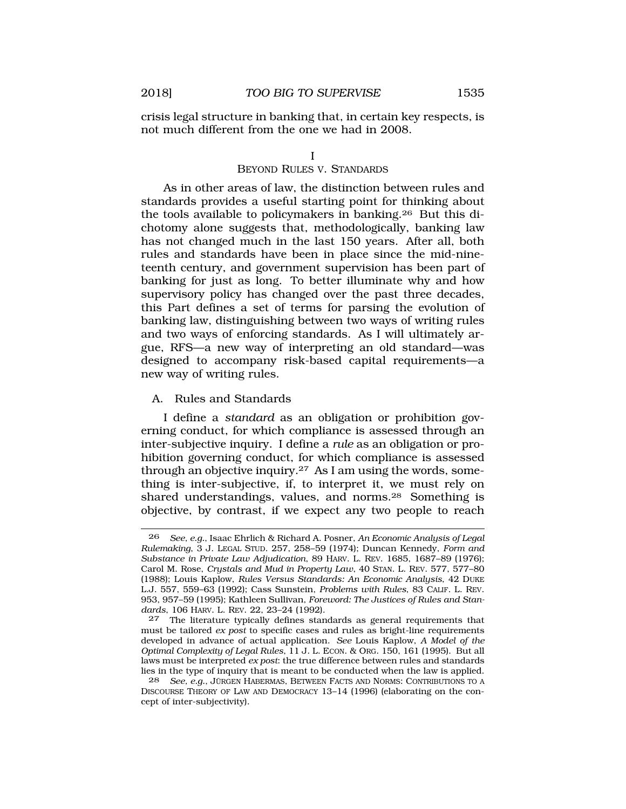<span id="page-8-0"></span>crisis legal structure in banking that, in certain key respects, is not much different from the one we had in 2008.

#### I

#### BEYOND RULES V. STANDARDS

As in other areas of law, the distinction between rules and standards provides a useful starting point for thinking about the tools available to policymakers in [banking.26](http:banking.26) But this dichotomy alone suggests that, methodologically, banking law has not changed much in the last 150 years. After all, both rules and standards have been in place since the mid-nineteenth century, and government supervision has been part of banking for just as long. To better illuminate why and how supervisory policy has changed over the past three decades, this Part defines a set of terms for parsing the evolution of banking law, distinguishing between two ways of writing rules and two ways of enforcing standards. As I will ultimately argue, RFS—a new way of interpreting an old standard—was designed to accompany risk-based capital requirements—a new way of writing rules.

#### A. Rules and Standards

I define a *standard* as an obligation or prohibition governing conduct, for which compliance is assessed through an inter-subjective inquiry. I define a *rule* as an obligation or prohibition governing conduct, for which compliance is assessed through an objective inquiry.<sup>27</sup> As I am using the words, something is inter-subjective, if, to interpret it, we must rely on shared understandings, values, and [norms.28](http:norms.28) Something is objective, by contrast, if we expect any two people to reach

<sup>26</sup> *See, e.g.*, Isaac Ehrlich & Richard A. Posner, *An Economic Analysis of Legal Rulemaking*, 3 J. LEGAL STUD. 257, 258–59 (1974); Duncan Kennedy, *Form and Substance in Private Law Adjudication*, 89 HARV. L. REV. 1685, 1687–89 (1976); Carol M. Rose, *Crystals and Mud in Property Law*, 40 STAN. L. REV. 577, 577–80 (1988); Louis Kaplow, *Rules Versus Standards: An Economic Analysis*, 42 DUKE L.J. 557, 559–63 (1992); Cass Sunstein, *Problems with Rules*, 83 CALIF. L. REV. 953, 957–59 (1995); Kathleen Sullivan, *Foreword: The Justices of Rules and Standards*, 106 HARV. L. REV. 22, 23–24 (1992).

The literature typically defines standards as general requirements that must be tailored *ex post* to specific cases and rules as bright-line requirements developed in advance of actual application. *See* Louis Kaplow, *A Model of the Optimal Complexity of Legal Rules*, 11 J. L. ECON. & ORG. 150, 161 (1995). But all laws must be interpreted *ex post*: the true difference between rules and standards lies in the type of inquiry that is meant to be conducted when the law is applied.

<sup>28</sup> *See, e.g.*, JÜRGEN HABERMAS, BETWEEN FACTS AND NORMS: CONTRIBUTIONS TO A DISCOURSE THEORY OF LAW AND DEMOCRACY 13–14 (1996) (elaborating on the concept of inter-subjectivity).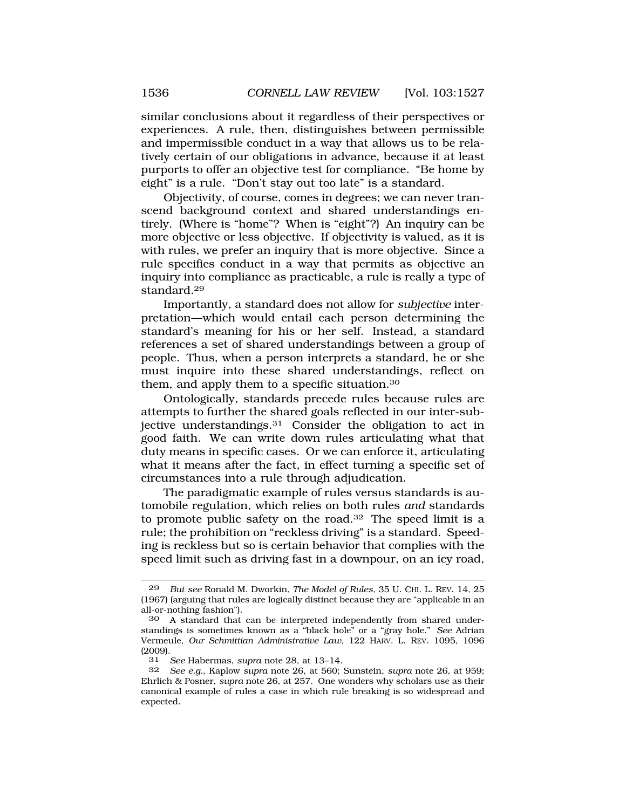similar conclusions about it regardless of their perspectives or experiences. A rule, then, distinguishes between permissible and impermissible conduct in a way that allows us to be relatively certain of our obligations in advance, because it at least purports to offer an objective test for compliance. "Be home by eight" is a rule. "Don't stay out too late" is a standard.

Objectivity, of course, comes in degrees; we can never transcend background context and shared understandings entirely. (Where is "home"? When is "eight"?) An inquiry can be more objective or less objective. If objectivity is valued, as it is with rules, we prefer an inquiry that is more objective. Since a rule specifies conduct in a way that permits as objective an inquiry into compliance as practicable, a rule is really a type of [standard.29](http:standard.29) 

Importantly, a standard does not allow for *subjective* interpretation—which would entail each person determining the standard's meaning for his or her self. Instead, a standard references a set of shared understandings between a group of people. Thus, when a person interprets a standard, he or she must inquire into these shared understandings, reflect on them, and apply them to a specific [situation.30](http:situation.30)

Ontologically, standards precede rules because rules are attempts to further the shared goals reflected in our inter-subjective [understandings.31](http:understandings.31) Consider the obligation to act in good faith. We can write down rules articulating what that duty means in specific cases. Or we can enforce it, articulating what it means after the fact, in effect turning a specific set of circumstances into a rule through adjudication.

The paradigmatic example of rules versus standards is automobile regulation, which relies on both rules *and* standards to promote public safety on the road.32 The speed limit is a rule; the prohibition on "reckless driving" is a standard. Speeding is reckless but so is certain behavior that complies with the speed limit such as driving fast in a downpour, on an icy road,

<sup>29</sup> *But see* Ronald M. Dworkin, *The Model of Rules*, 35 U. CHI. L. REV. 14, 25 (1967) (arguing that rules are logically distinct because they are "applicable in an all-or-nothing fashion").

<sup>30</sup> A standard that can be interpreted independently from shared understandings is sometimes known as a "black hole" or a "gray hole." *See* Adrian Vermeule, *Our Schmittian Administrative Law*, 122 HARV. L. REV. 1095, 1096 (2009).

<sup>31</sup> *See* Habermas, *supra* note 28, at 13–14.

<sup>32</sup> *See e.g.*, Kaplow *supra* note 26, at 560; Sunstein, *supra* note 26, at 959; Ehrlich & Posner, *supra* note 26, at 257. One wonders why scholars use as their canonical example of rules a case in which rule breaking is so widespread and expected.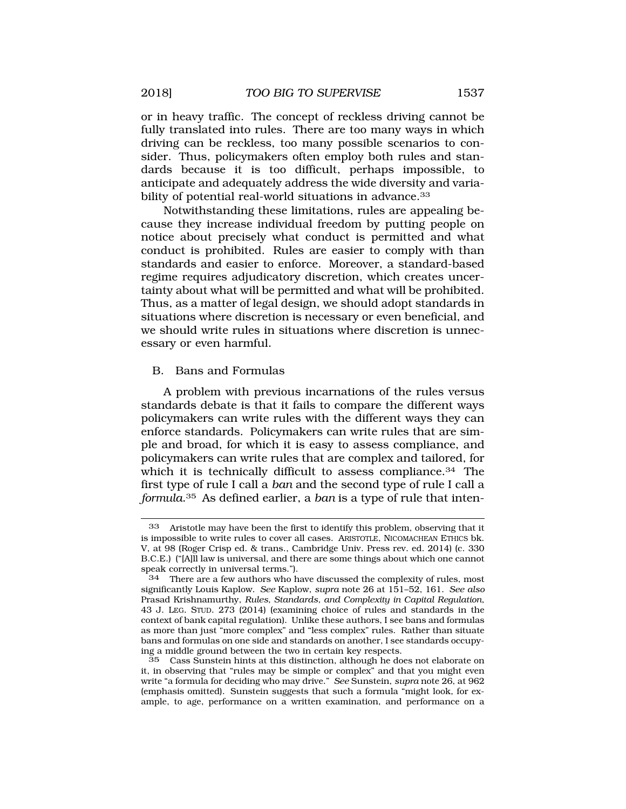<span id="page-10-0"></span>or in heavy traffic. The concept of reckless driving cannot be fully translated into rules. There are too many ways in which driving can be reckless, too many possible scenarios to consider. Thus, policymakers often employ both rules and standards because it is too difficult, perhaps impossible, to anticipate and adequately address the wide diversity and variability of potential real-world situations in advance.<sup>33</sup>

Notwithstanding these limitations, rules are appealing because they increase individual freedom by putting people on notice about precisely what conduct is permitted and what conduct is prohibited. Rules are easier to comply with than standards and easier to enforce. Moreover, a standard-based regime requires adjudicatory discretion, which creates uncertainty about what will be permitted and what will be prohibited. Thus, as a matter of legal design, we should adopt standards in situations where discretion is necessary or even beneficial, and we should write rules in situations where discretion is unnecessary or even harmful.

#### B. Bans and Formulas

A problem with previous incarnations of the rules versus standards debate is that it fails to compare the different ways policymakers can write rules with the different ways they can enforce standards. Policymakers can write rules that are simple and broad, for which it is easy to assess compliance, and policymakers can write rules that are complex and tailored, for which it is technically difficult to assess compliance.<sup>34</sup> The first type of rule I call a *ban* and the second type of rule I call a *[formula](http:formula.35)*.35 As defined earlier, a *ban* is a type of rule that inten-

<sup>33</sup> Aristotle may have been the first to identify this problem, observing that it is impossible to write rules to cover all cases. ARISTOTLE, NICOMACHEAN ETHICS bk. V, at 98 (Roger Crisp ed. & trans., Cambridge Univ. Press rev. ed. 2014) (c. 330 B.C.E.) ("[A]ll law is universal, and there are some things about which one cannot speak correctly in universal terms.").<br>34 There are a few authors who h

There are a few authors who have discussed the complexity of rules, most significantly Louis Kaplow. *See* Kaplow, *supra* note 26 at 151–52, 161. *See also*  Prasad Krishnamurthy, *Rules, Standards, and Complexity in Capital Regulation*, 43 J. LEG. STUD. 273 (2014) (examining choice of rules and standards in the context of bank capital regulation). Unlike these authors, I see bans and formulas as more than just "more complex" and "less complex" rules. Rather than situate bans and formulas on one side and standards on another, I see standards occupying a middle ground between the two in certain key respects.

<sup>35</sup> Cass Sunstein hints at this distinction, although he does not elaborate on it, in observing that "rules may be simple or complex" and that you might even write "a formula for deciding who may drive." *See* Sunstein, *supra* note 26, at 962 (emphasis omitted). Sunstein suggests that such a formula "might look, for example, to age, performance on a written examination, and performance on a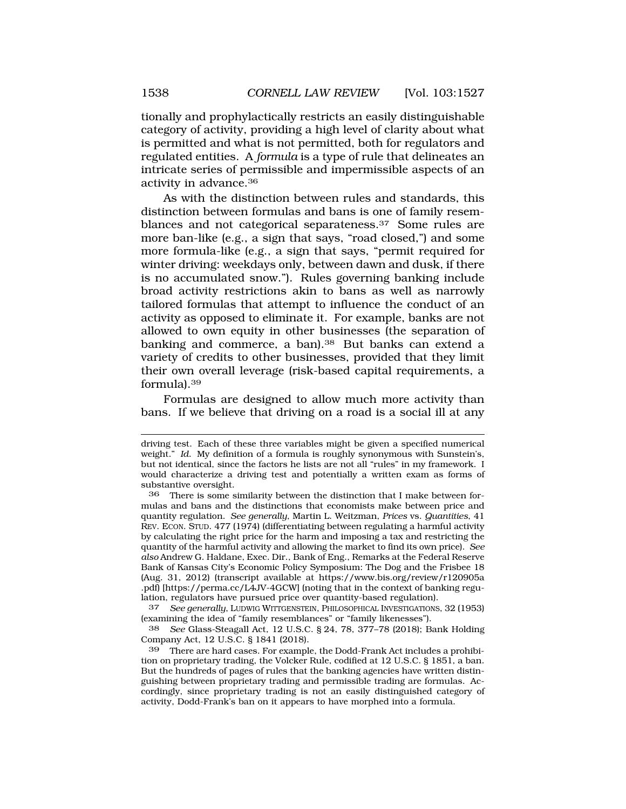tionally and prophylactically restricts an easily distinguishable category of activity, providing a high level of clarity about what is permitted and what is not permitted, both for regulators and regulated entities. A *formula* is a type of rule that delineates an intricate series of permissible and impermissible aspects of an activity in [advance.36](http:advance.36)

As with the distinction between rules and standards, this distinction between formulas and bans is one of family resemblances and not categorical [separateness.37](http:separateness.37) Some rules are more ban-like (e.g., a sign that says, "road closed,") and some more formula-like (e.g., a sign that says, "permit required for winter driving: weekdays only, between dawn and dusk, if there is no accumulated snow."). Rules governing banking include broad activity restrictions akin to bans as well as narrowly tailored formulas that attempt to influence the conduct of an activity as opposed to eliminate it. For example, banks are not allowed to own equity in other businesses (the separation of banking and commerce, a ban).<sup>38</sup> But banks can extend a variety of credits to other businesses, provided that they limit their own overall leverage (risk-based capital requirements, a [formula\).39](http:formula).39) 

Formulas are designed to allow much more activity than bans. If we believe that driving on a road is a social ill at any

37 *See generally*, LUDWIG WITTGENSTEIN, PHILOSOPHICAL INVESTIGATIONS, 32 (1953) (examining the idea of "family resemblances" or "family likenesses").

38 *See* Glass-Steagall Act, 12 U.S.C. § 24, 78, 377–78 (2018); Bank Holding Company Act, 12 U.S.C. § 1841 (2018).

driving test. Each of these three variables might be given a specified numerical weight." *Id*. My definition of a formula is roughly synonymous with Sunstein's, but not identical, since the factors he lists are not all "rules" in my framework. I would characterize a driving test and potentially a written exam as forms of substantive oversight.

<sup>36</sup> There is some similarity between the distinction that I make between formulas and bans and the distinctions that economists make between price and quantity regulation. *See generally*, Martin L. Weitzman, *Prices* vs. *Quantities*, 41 REV. ECON. STUD. 477 (1974) (differentiating between regulating a harmful activity by calculating the right price for the harm and imposing a tax and restricting the quantity of the harmful activity and allowing the market to find its own price). *See also* Andrew G. Haldane, Exec. Dir., Bank of Eng., Remarks at the Federal Reserve Bank of Kansas City's Economic Policy Symposium: The Dog and the Frisbee 18 (Aug. 31, 2012) (transcript available at <https://www.bis.org/review/r120905a> .pdf) [[https://perma.cc/L4JV-4GCW\]](https://perma.cc/L4JV-4GCW) (noting that in the context of banking regulation, regulators have pursued price over quantity-based regulation).

<sup>39</sup> There are hard cases. For example, the Dodd-Frank Act includes a prohibition on proprietary trading, the Volcker Rule, codified at 12 U.S.C. § 1851, a ban. But the hundreds of pages of rules that the banking agencies have written distinguishing between proprietary trading and permissible trading are formulas. Accordingly, since proprietary trading is not an easily distinguished category of activity, Dodd-Frank's ban on it appears to have morphed into a formula.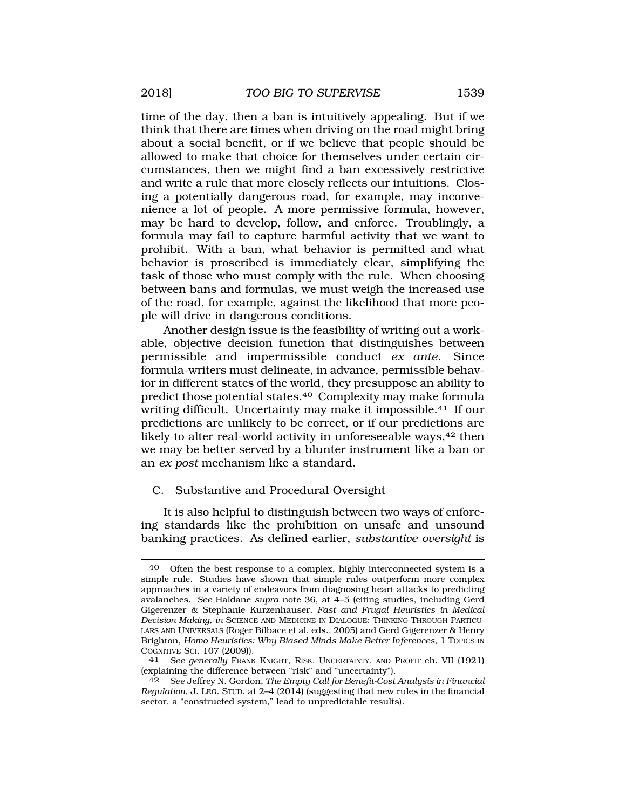<span id="page-12-0"></span>time of the day, then a ban is intuitively appealing. But if we think that there are times when driving on the road might bring about a social benefit, or if we believe that people should be allowed to make that choice for themselves under certain circumstances, then we might find a ban excessively restrictive and write a rule that more closely reflects our intuitions. Closing a potentially dangerous road, for example, may inconvenience a lot of people. A more permissive formula, however, may be hard to develop, follow, and enforce. Troublingly, a formula may fail to capture harmful activity that we want to prohibit. With a ban, what behavior is permitted and what behavior is proscribed is immediately clear, simplifying the task of those who must comply with the rule. When choosing between bans and formulas, we must weigh the increased use of the road, for example, against the likelihood that more people will drive in dangerous conditions.

Another design issue is the feasibility of writing out a workable, objective decision function that distinguishes between permissible and impermissible conduct *ex ante*. Since formula-writers must delineate, in advance, permissible behavior in different states of the world, they presuppose an ability to predict those potential [states.40](http:states.40) Complexity may make formula writing difficult. Uncertainty may make it impossible.<sup>41</sup> If our predictions are unlikely to be correct, or if our predictions are likely to alter real-world activity in unforeseeable ways,<sup>42</sup> then we may be better served by a blunter instrument like a ban or an *ex post* mechanism like a standard.

### C. Substantive and Procedural Oversight

It is also helpful to distinguish between two ways of enforcing standards like the prohibition on unsafe and unsound banking practices. As defined earlier, *substantive oversight* is

Often the best response to a complex, highly interconnected system is a simple rule. Studies have shown that simple rules outperform more complex approaches in a variety of endeavors from diagnosing heart attacks to predicting avalanches. *See* Haldane *supra* note 36, at 4–5 (citing studies, including Gerd Gigerenzer & Stephanie Kurzenhauser, *Fast and Frugal Heuristics in Medical Decision Making, in* SCIENCE AND MEDICINE IN DIALOGUE: THINKING THROUGH PARTICU-LARS AND UNIVERSALS (Roger Bilbace et al. eds., 2005) and Gerd Gigerenzer & Henry Brighton, *Homo Heuristics: Why Biased Minds Make Better Inferences*, 1 TOPICS IN COGNITIVE SCI. 107 (2009)). 41 *See generally* FRANK KNIGHT, RISK, UNCERTAINTY, AND PROFIT ch. VII (1921)

<sup>(</sup>explaining the difference between "risk" and "uncertainty").

<sup>42</sup> *See* Jeffrey N. Gordon, *The Empty Call for Benefit-Cost Analysis in Financial Regulation*, J. LEG. STUD. at 2–4 (2014) (suggesting that new rules in the financial sector, a "constructed system," lead to unpredictable results).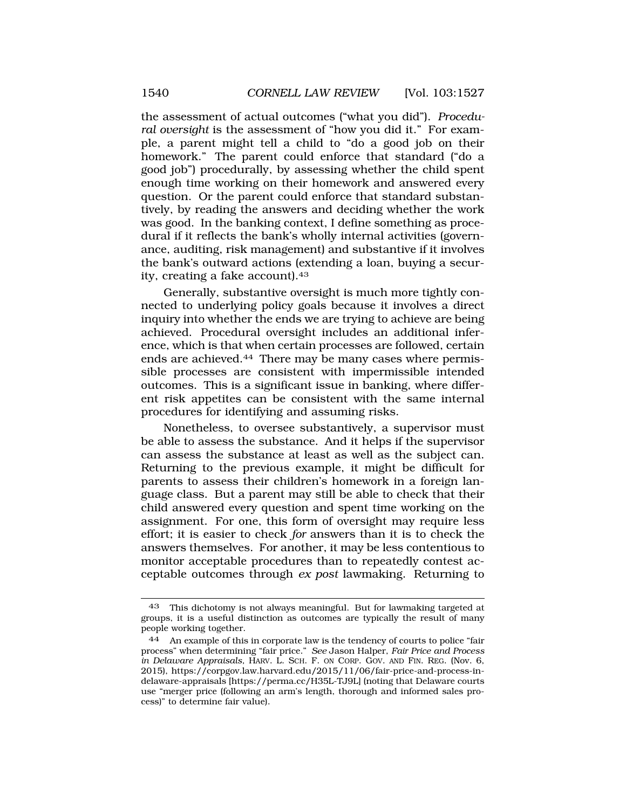the assessment of actual outcomes ("what you did"). *Procedural oversight* is the assessment of "how you did it." For example, a parent might tell a child to "do a good job on their homework." The parent could enforce that standard ("do a good job") procedurally, by assessing whether the child spent enough time working on their homework and answered every question. Or the parent could enforce that standard substantively, by reading the answers and deciding whether the work was good. In the banking context, I define something as procedural if it reflects the bank's wholly internal activities (governance, auditing, risk management) and substantive if it involves the bank's outward actions (extending a loan, buying a security, creating a fake [account\).43](http:account).43)

Generally, substantive oversight is much more tightly connected to underlying policy goals because it involves a direct inquiry into whether the ends we are trying to achieve are being achieved. Procedural oversight includes an additional inference, which is that when certain processes are followed, certain ends are [achieved.44](http:achieved.44) There may be many cases where permissible processes are consistent with impermissible intended outcomes. This is a significant issue in banking, where different risk appetites can be consistent with the same internal procedures for identifying and assuming risks.

Nonetheless, to oversee substantively, a supervisor must be able to assess the substance. And it helps if the supervisor can assess the substance at least as well as the subject can. Returning to the previous example, it might be difficult for parents to assess their children's homework in a foreign language class. But a parent may still be able to check that their child answered every question and spent time working on the assignment. For one, this form of oversight may require less effort; it is easier to check *for* answers than it is to check the answers themselves. For another, it may be less contentious to monitor acceptable procedures than to repeatedly contest acceptable outcomes through *ex post* lawmaking. Returning to

<sup>43</sup> This dichotomy is not always meaningful. But for lawmaking targeted at groups, it is a useful distinction as outcomes are typically the result of many people working together.

<sup>44</sup> An example of this in corporate law is the tendency of courts to police "fair process" when determining "fair price." *See* Jason Halper, *Fair Price and Process in Delaware Appraisals,* HARV. L. SCH. F. ON CORP. GOV. AND FIN. REG. (Nov. 6, 2015), <https://corpgov.law.harvard.edu/2015/11/06/fair-price-and-process-in>delaware-appraisals [\[https://perma.cc/H35L-TJ9L\]](https://perma.cc/H35L-TJ9L) (noting that Delaware courts use "merger price (following an arm's length, thorough and informed sales process)" to determine fair value).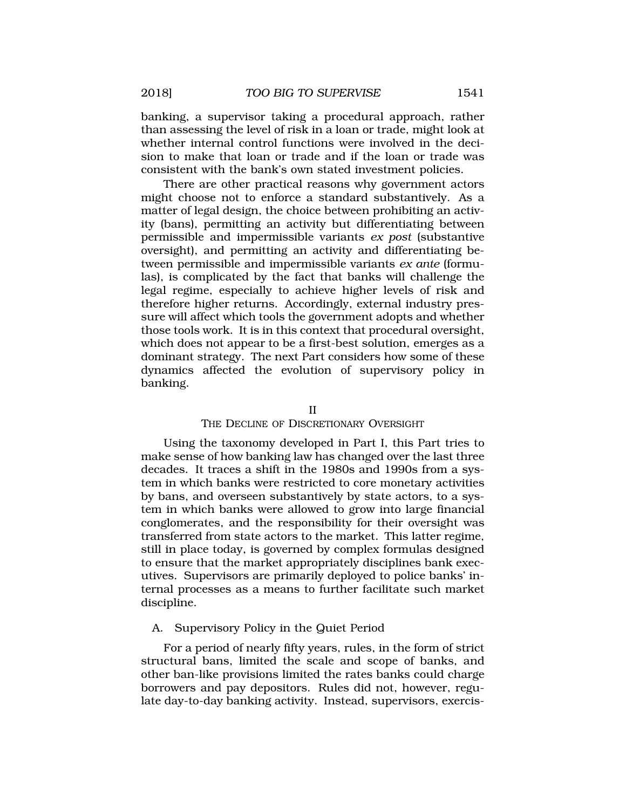<span id="page-14-0"></span>banking, a supervisor taking a procedural approach, rather than assessing the level of risk in a loan or trade, might look at whether internal control functions were involved in the decision to make that loan or trade and if the loan or trade was consistent with the bank's own stated investment policies.

There are other practical reasons why government actors might choose not to enforce a standard substantively. As a matter of legal design, the choice between prohibiting an activity (bans), permitting an activity but differentiating between permissible and impermissible variants *ex post* (substantive oversight), and permitting an activity and differentiating between permissible and impermissible variants *ex ante* (formulas), is complicated by the fact that banks will challenge the legal regime, especially to achieve higher levels of risk and therefore higher returns. Accordingly, external industry pressure will affect which tools the government adopts and whether those tools work. It is in this context that procedural oversight, which does not appear to be a first-best solution, emerges as a dominant strategy. The next Part considers how some of these dynamics affected the evolution of supervisory policy in banking.

II

#### THE DECLINE OF DISCRETIONARY OVERSIGHT

Using the taxonomy developed in Part I, this Part tries to make sense of how banking law has changed over the last three decades. It traces a shift in the 1980s and 1990s from a system in which banks were restricted to core monetary activities by bans, and overseen substantively by state actors, to a system in which banks were allowed to grow into large financial conglomerates, and the responsibility for their oversight was transferred from state actors to the market. This latter regime, still in place today, is governed by complex formulas designed to ensure that the market appropriately disciplines bank executives. Supervisors are primarily deployed to police banks' internal processes as a means to further facilitate such market discipline.

#### A. Supervisory Policy in the Quiet Period

For a period of nearly fifty years, rules, in the form of strict structural bans, limited the scale and scope of banks, and other ban-like provisions limited the rates banks could charge borrowers and pay depositors. Rules did not, however, regulate day-to-day banking activity. Instead, supervisors, exercis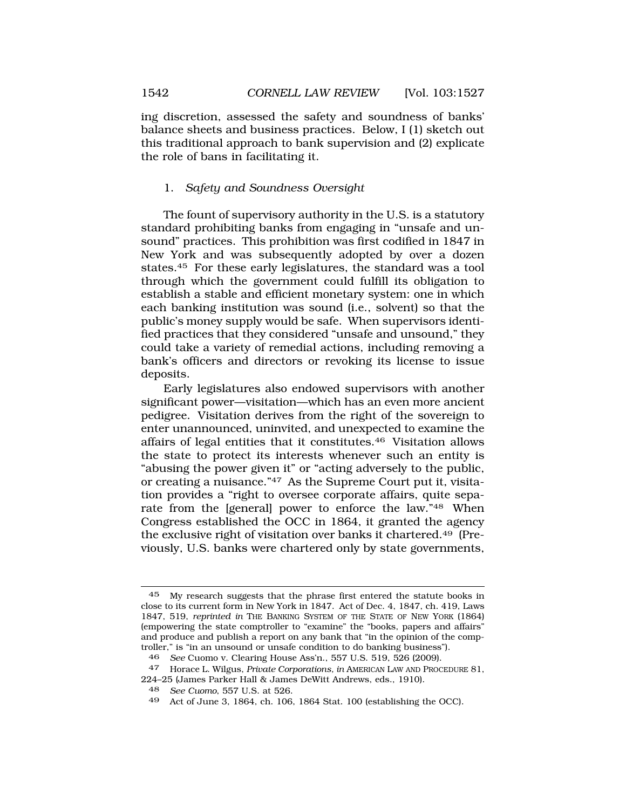<span id="page-15-0"></span>ing discretion, assessed the safety and soundness of banks' balance sheets and business practices. Below, I (1) sketch out this traditional approach to bank supervision and (2) explicate the role of bans in facilitating it.

## 1. *Safety and Soundness Oversight*

The fount of supervisory authority in the U.S. is a statutory standard prohibiting banks from engaging in "unsafe and unsound" practices. This prohibition was first codified in 1847 in New York and was subsequently adopted by over a dozen [states.45](http:states.45) For these early legislatures, the standard was a tool through which the government could fulfill its obligation to establish a stable and efficient monetary system: one in which each banking institution was sound (i.e., solvent) so that the public's money supply would be safe. When supervisors identified practices that they considered "unsafe and unsound," they could take a variety of remedial actions, including removing a bank's officers and directors or revoking its license to issue deposits.

Early legislatures also endowed supervisors with another significant power—visitation—which has an even more ancient pedigree. Visitation derives from the right of the sovereign to enter unannounced, uninvited, and unexpected to examine the affairs of legal entities that it [constitutes.46](http:constitutes.46) Visitation allows the state to protect its interests whenever such an entity is "abusing the power given it" or "acting adversely to the public, or creating a nuisance."47 As the Supreme Court put it, visitation provides a "right to oversee corporate affairs, quite separate from the [general] power to enforce the law."48 When Congress established the OCC in 1864, it granted the agency the exclusive right of visitation over banks it [chartered.49](http:chartered.49) (Previously, U.S. banks were chartered only by state governments,

<sup>45</sup> My research suggests that the phrase first entered the statute books in close to its current form in New York in 1847. Act of Dec. 4, 1847, ch. 419, Laws 1847, 519, *reprinted in* THE BANKING SYSTEM OF THE STATE OF NEW YORK (1864) (empowering the state comptroller to "examine" the "books, papers and affairs" and produce and publish a report on any bank that "in the opinion of the comptroller," is "in an unsound or unsafe condition to do banking business").

<sup>46</sup> *See* Cuomo v. Clearing House Ass'n., 557 U.S. 519, 526 (2009).

<sup>47</sup> Horace L. Wilgus, *Private Corporations, in* AMERICAN LAW AND PROCEDURE 81, 224–25 (James Parker Hall & James DeWitt Andrews, eds., 1910).

<sup>48</sup> *See Cuomo*, 557 U.S. at 526.

<sup>49</sup> Act of June 3, 1864, ch. 106, 1864 Stat. 100 (establishing the OCC).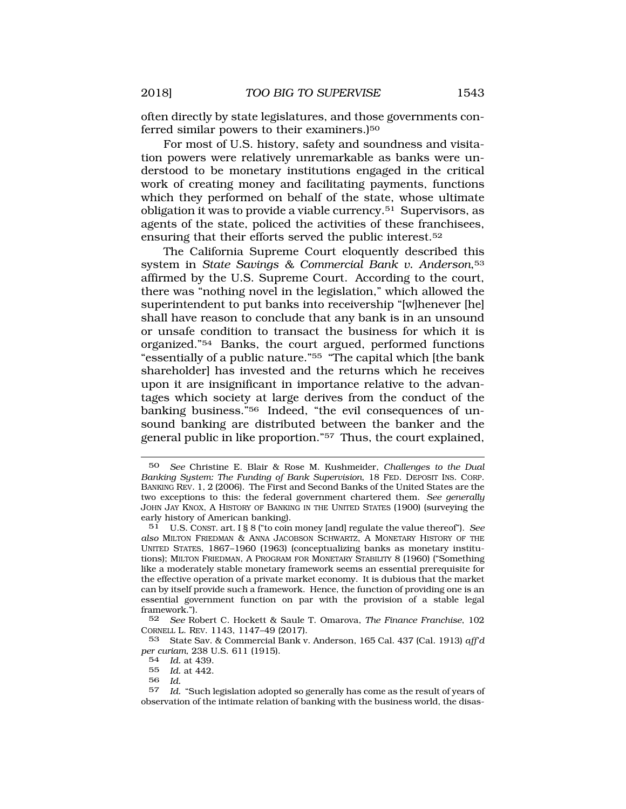often directly by state legislatures, and those governments conferred similar powers to their examiners.)<sup>50</sup>

For most of U.S. history, safety and soundness and visitation powers were relatively unremarkable as banks were understood to be monetary institutions engaged in the critical work of creating money and facilitating payments, functions which they performed on behalf of the state, whose ultimate obligation it was to provide a viable [currency.51](http:currency.51) Supervisors, as agents of the state, policed the activities of these franchisees, ensuring that their efforts served the public [interest.52](http:interest.52) 

The California Supreme Court eloquently described this system in *State Savings & Commercial Bank v. Anderson*,53 affirmed by the U.S. Supreme Court. According to the court, there was "nothing novel in the legislation," which allowed the superintendent to put banks into receivership "[w]henever [he] shall have reason to conclude that any bank is in an unsound or unsafe condition to transact the business for which it is organized."54 Banks, the court argued, performed functions "essentially of a public nature."55 "The capital which [the bank shareholder] has invested and the returns which he receives upon it are insignificant in importance relative to the advantages which society at large derives from the conduct of the banking business."56 Indeed, "the evil consequences of unsound banking are distributed between the banker and the general public in like proportion."57 Thus, the court explained,

52 *See* Robert C. Hockett & Saule T. Omarova, *The Finance Franchise*, 102 CORNELL L. REV. 1143, 1147–49 (2017).

53 State Sav. & Commercial Bank v. Anderson, 165 Cal. 437 (Cal. 1913) *aff'd per curiam,* 238 U.S. 611 (1915).

57 *Id.* "Such legislation adopted so generally has come as the result of years of observation of the intimate relation of banking with the business world, the disas-

<sup>50</sup> *See* Christine E. Blair & Rose M. Kushmeider, *Challenges to the Dual Banking System: The Funding of Bank Supervision*, 18 FED. DEPOSIT INS. CORP. BANKING REV. 1, 2 (2006). The First and Second Banks of the United States are the two exceptions to this: the federal government chartered them. *See generally*  JOHN JAY KNOX, A HISTORY OF BANKING IN THE UNITED STATES (1900) (surveying the early history of American banking).

<sup>51</sup> U.S. CONST. art. I § 8 ("to coin money [and] regulate the value thereof"). *See also* MILTON FRIEDMAN & ANNA JACOBSON SCHWARTZ, A MONETARY HISTORY OF THE UNITED STATES, 1867–1960 (1963) (conceptualizing banks as monetary institutions); MILTON FRIEDMAN, A PROGRAM FOR MONETARY STABILITY 8 (1960) ("Something like a moderately stable monetary framework seems an essential prerequisite for the effective operation of a private market economy. It is dubious that the market can by itself provide such a framework. Hence, the function of providing one is an essential government function on par with the provision of a stable legal framework.").

<sup>54</sup> *Id.* at 439.

<sup>55</sup> *Id.* at 442.

<sup>56</sup> *Id.*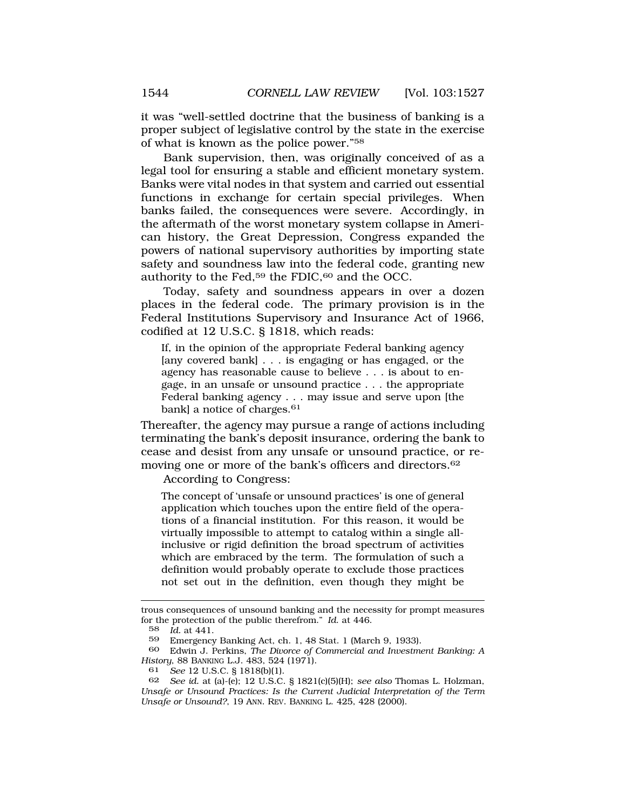it was "well-settled doctrine that the business of banking is a proper subject of legislative control by the state in the exercise of what is known as the police power."58

Bank supervision, then, was originally conceived of as a legal tool for ensuring a stable and efficient monetary system. Banks were vital nodes in that system and carried out essential functions in exchange for certain special privileges. When banks failed, the consequences were severe. Accordingly, in the aftermath of the worst monetary system collapse in American history, the Great Depression, Congress expanded the powers of national supervisory authorities by importing state safety and soundness law into the federal code, granting new authority to the Fed,<sup>59</sup> the FDIC, $60$  and the OCC.

Today, safety and soundness appears in over a dozen places in the federal code. The primary provision is in the Federal Institutions Supervisory and Insurance Act of 1966, codified at 12 U.S.C. § 1818, which reads:

If, in the opinion of the appropriate Federal banking agency [any covered bank] . . . is engaging or has engaged, or the agency has reasonable cause to believe . . . is about to engage, in an unsafe or unsound practice . . . the appropriate Federal banking agency . . . may issue and serve upon [the bank] a notice of [charges.](http:charges.61)<sup>61</sup>

Thereafter, the agency may pursue a range of actions including terminating the bank's deposit insurance, ordering the bank to cease and desist from any unsafe or unsound practice, or removing one or more of the bank's officers and [directors.62](http:directors.62)

According to Congress:

The concept of 'unsafe or unsound practices' is one of general application which touches upon the entire field of the operations of a financial institution. For this reason, it would be virtually impossible to attempt to catalog within a single allinclusive or rigid definition the broad spectrum of activities which are embraced by the term. The formulation of such a definition would probably operate to exclude those practices not set out in the definition, even though they might be

trous consequences of unsound banking and the necessity for prompt measures for the protection of the public therefrom." *Id*. at 446.

<sup>58</sup> *Id.* at 441.

Emergency Banking Act, ch. 1, 48 Stat. 1 (March 9, 1933).

<sup>60</sup> Edwin J. Perkins, *The Divorce of Commercial and Investment Banking: A History*, 88 BANKING L.J. 483, 524 (1971).<br>61 See 12 U.S.C. 8 1818(b)(1)

<sup>61</sup> *See* 12 U.S.C. § 1818(b)(1).

<sup>62</sup> *See id.* at (a)-(e); 12 U.S.C. § 1821(c)(5)(H); *see also* Thomas L. Holzman, *Unsafe or Unsound Practices: Is the Current Judicial Interpretation of the Term Unsafe or Unsound?*, 19 ANN. REV. BANKING L. 425, 428 (2000).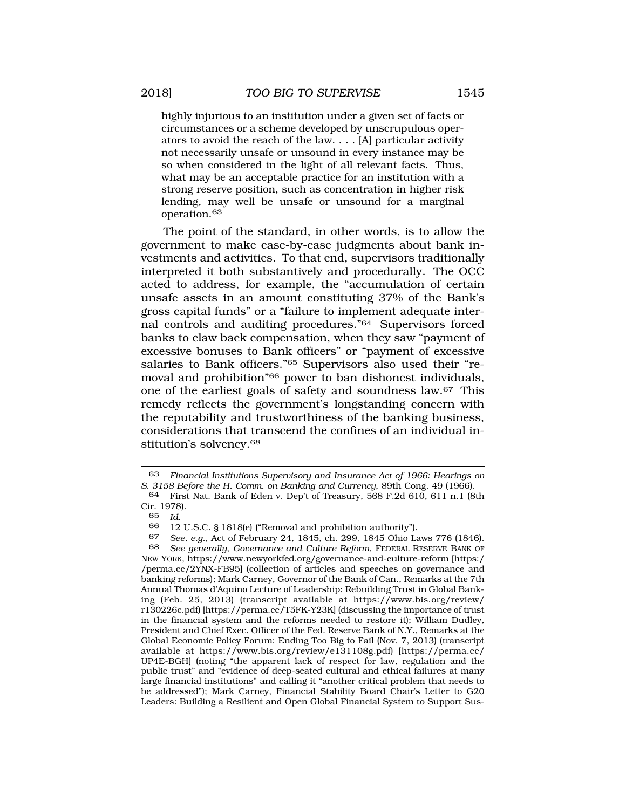highly injurious to an institution under a given set of facts or circumstances or a scheme developed by unscrupulous operators to avoid the reach of the law. . . . [A] particular activity not necessarily unsafe or unsound in every instance may be so when considered in the light of all relevant facts. Thus, what may be an acceptable practice for an institution with a strong reserve position, such as concentration in higher risk lending, may well be unsafe or unsound for a marginal [operation.63](http:operation.63)

The point of the standard, in other words, is to allow the government to make case-by-case judgments about bank investments and activities. To that end, supervisors traditionally interpreted it both substantively and procedurally. The OCC acted to address, for example, the "accumulation of certain unsafe assets in an amount constituting 37% of the Bank's gross capital funds" or a "failure to implement adequate internal controls and auditing procedures."64 Supervisors forced banks to claw back compensation, when they saw "payment of excessive bonuses to Bank officers" or "payment of excessive salaries to Bank officers."65 Supervisors also used their "removal and prohibition"66 power to ban dishonest individuals, one of the earliest goals of safety and soundness law.67 This remedy reflects the government's longstanding concern with the reputability and trustworthiness of the banking business, considerations that transcend the confines of an individual institution's [solvency.68](http:solvency.68) 

66 12 U.S.C. § 1818(e) ("Removal and prohibition authority").

<sup>63</sup> *Financial Institutions Supervisory and Insurance Act of 1966: Hearings on S. 3158 Before the H. Comm. on Banking and Currency*, 89th Cong. 49 (1966).

<sup>64</sup> First Nat. Bank of Eden v. Dep't of Treasury, 568 F.2d 610, 611 n.1 (8th Cir. 1978).

<sup>65</sup> *Id.* 

<sup>67</sup> *See, e.g.*, Act of February 24, 1845, ch. 299, 1845 Ohio Laws 776 (1846).

<sup>68</sup> *See generally*, *Governance and Culture Reform*, FEDERAL RESERVE BANK OF NEW YORK,<https://www.newyorkfed.org/governance-and-culture-reform> [https:/ /perma.cc/2YNX-FB95] (collection of articles and speeches on governance and banking reforms); Mark Carney, Governor of the Bank of Can., Remarks at the 7th Annual Thomas d'Aquino Lecture of Leadership: Rebuilding Trust in Global Banking (Feb. 25, 2013) (transcript available at [https://www.bis.org/review/](https://www.bis.org/review) r130226c.pdf) [<https://perma.cc/T5FK-Y23K>] (discussing the importance of trust in the financial system and the reforms needed to restore it); William Dudley, President and Chief Exec. Officer of the Fed. Reserve Bank of N.Y., Remarks at the Global Economic Policy Forum: Ending Too Big to Fail (Nov. 7, 2013) (transcript available at <https://www.bis.org/review/e131108g.pdf>) [[https://perma.cc/](http:https://perma.cc) UP4E-BGH] (noting "the apparent lack of respect for law, regulation and the public trust" and "evidence of deep-seated cultural and ethical failures at many large financial institutions" and calling it "another critical problem that needs to be addressed"); Mark Carney, Financial Stability Board Chair's Letter to G20 Leaders: Building a Resilient and Open Global Financial System to Support Sus-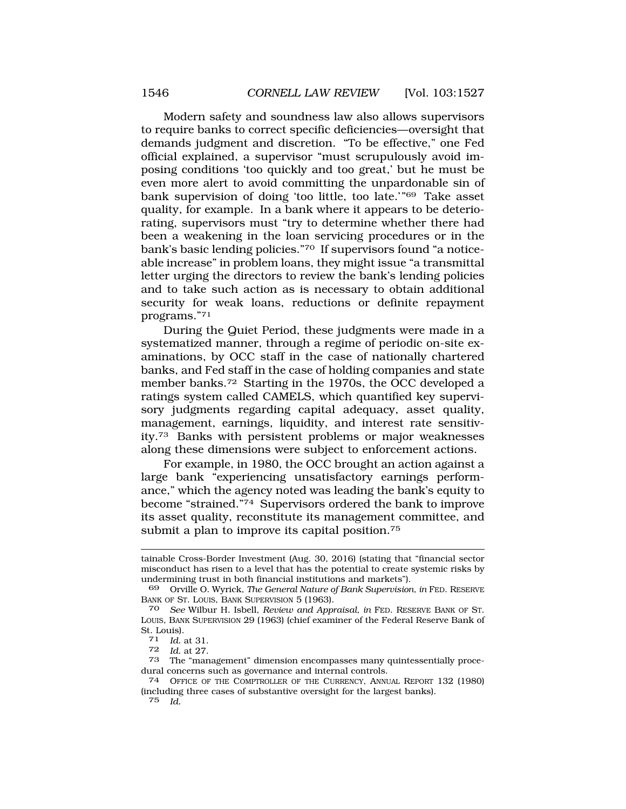Modern safety and soundness law also allows supervisors to require banks to correct specific deficiencies—oversight that demands judgment and discretion. "To be effective," one Fed official explained, a supervisor "must scrupulously avoid imposing conditions 'too quickly and too great,' but he must be even more alert to avoid committing the unpardonable sin of bank supervision of doing 'too little, too late.'"69 Take asset quality, for example. In a bank where it appears to be deteriorating, supervisors must "try to determine whether there had been a weakening in the loan servicing procedures or in the bank's basic lending policies."70 If supervisors found "a noticeable increase" in problem loans, they might issue "a transmittal letter urging the directors to review the bank's lending policies and to take such action as is necessary to obtain additional security for weak loans, reductions or definite repayment programs."71

During the Quiet Period, these judgments were made in a systematized manner, through a regime of periodic on-site examinations, by OCC staff in the case of nationally chartered banks, and Fed staff in the case of holding companies and state member [banks.72](http:banks.72) Starting in the 1970s, the OCC developed a ratings system called CAMELS, which quantified key supervisory judgments regarding capital adequacy, asset quality, management, earnings, liquidity, and interest rate sensitivity.73 Banks with persistent problems or major weaknesses along these dimensions were subject to enforcement actions.

For example, in 1980, the OCC brought an action against a large bank "experiencing unsatisfactory earnings performance," which the agency noted was leading the bank's equity to become "strained."74 Supervisors ordered the bank to improve its asset quality, reconstitute its management committee, and submit a plan to improve its capital position.<sup>75</sup>

75 *Id.* 

tainable Cross-Border Investment (Aug. 30, 2016) (stating that "financial sector misconduct has risen to a level that has the potential to create systemic risks by undermining trust in both financial institutions and markets").

<sup>69</sup> Orville O. Wyrick, *The General Nature of Bank Supervision, in* FED. RESERVE BANK OF ST. LOUIS, BANK SUPERVISION 5 (1963).

<sup>70</sup> *See* Wilbur H. Isbell, *Review and Appraisal, in* FED. RESERVE BANK OF ST. LOUIS, BANK SUPERVISION 29 (1963) (chief examiner of the Federal Reserve Bank of St. Louis).

<sup>71</sup> *Id.* at 31.

*Id.* at 27.

<sup>73</sup> The "management" dimension encompasses many quintessentially procedural concerns such as governance and internal controls.

<sup>74</sup> OFFICE OF THE COMPTROLLER OF THE CURRENCY, ANNUAL REPORT 132 (1980) (including three cases of substantive oversight for the largest banks).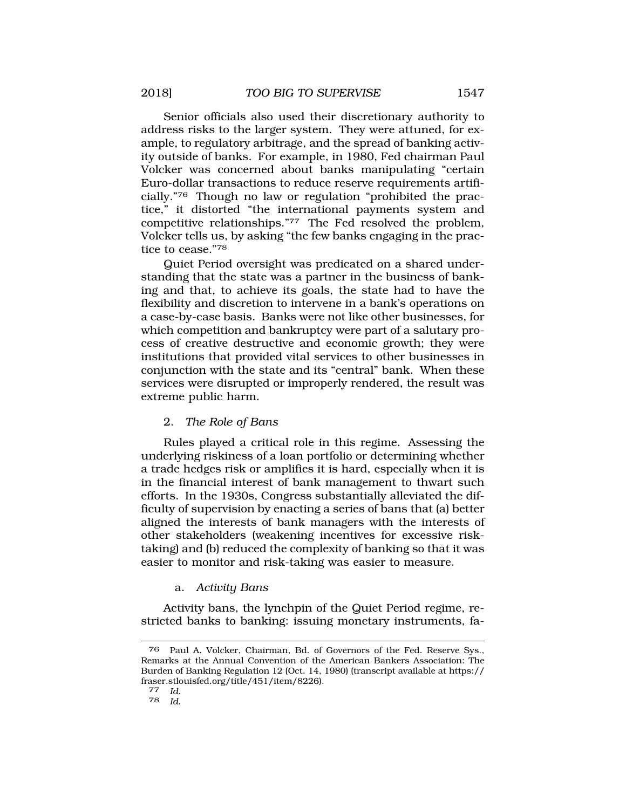<span id="page-20-0"></span>Senior officials also used their discretionary authority to address risks to the larger system. They were attuned, for example, to regulatory arbitrage, and the spread of banking activity outside of banks. For example, in 1980, Fed chairman Paul Volcker was concerned about banks manipulating "certain Euro-dollar transactions to reduce reserve requirements artificially."76 Though no law or regulation "prohibited the practice," it distorted "the international payments system and competitive relationships."77 The Fed resolved the problem, Volcker tells us, by asking "the few banks engaging in the practice to cease."78

Quiet Period oversight was predicated on a shared understanding that the state was a partner in the business of banking and that, to achieve its goals, the state had to have the flexibility and discretion to intervene in a bank's operations on a case-by-case basis. Banks were not like other businesses, for which competition and bankruptcy were part of a salutary process of creative destructive and economic growth; they were institutions that provided vital services to other businesses in conjunction with the state and its "central" bank. When these services were disrupted or improperly rendered, the result was extreme public harm.

### 2. *The Role of Bans*

Rules played a critical role in this regime. Assessing the underlying riskiness of a loan portfolio or determining whether a trade hedges risk or amplifies it is hard, especially when it is in the financial interest of bank management to thwart such efforts. In the 1930s, Congress substantially alleviated the difficulty of supervision by enacting a series of bans that (a) better aligned the interests of bank managers with the interests of other stakeholders (weakening incentives for excessive risktaking) and (b) reduced the complexity of banking so that it was easier to monitor and risk-taking was easier to measure.

### a. *Activity Bans*

Activity bans, the lynchpin of the Quiet Period regime, restricted banks to banking: issuing monetary instruments, fa-

<sup>76</sup> Paul A. Volcker, Chairman, Bd. of Governors of the Fed. Reserve Sys., Remarks at the Annual Convention of the American Bankers Association: The Burden of Banking Regulation 12 (Oct. 14, 1980) (transcript available at https:// [fraser.stlouisfed.org/title/451/item/8226](https://fraser.stlouisfed.org/title/451/item/8226)). [77](https://fraser.stlouisfed.org/title/451/item/8226) *Id.* 

*Id.*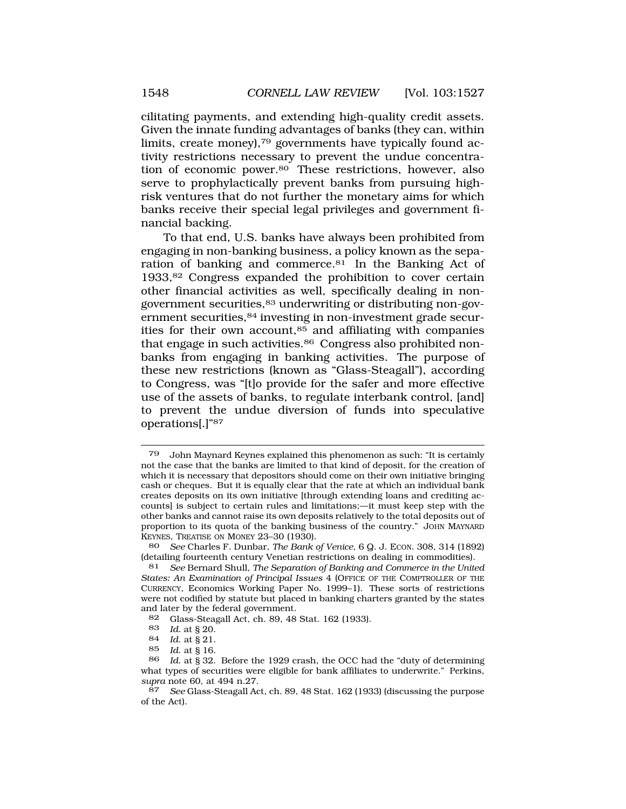cilitating payments, and extending high-quality credit assets. Given the innate funding advantages of banks (they can, within limits, create money),79 governments have typically found activity restrictions necessary to prevent the undue concentration of economic [power.80](http:power.80) These restrictions, however, also serve to prophylactically prevent banks from pursuing highrisk ventures that do not further the monetary aims for which banks receive their special legal privileges and government financial backing.

To that end, U.S. banks have always been prohibited from engaging in non-banking business, a policy known as the separation of banking and [commerce.81](http:commerce.81) In the Banking Act of 1933,82 Congress expanded the prohibition to cover certain other financial activities as well, specifically dealing in nongovernment securities,83 underwriting or distributing non-government securities, 84 investing in non-investment grade securities for their own account, $85$  and affiliating with companies that engage in such activities.<sup>86</sup> Congress also prohibited nonbanks from engaging in banking activities. The purpose of these new restrictions (known as "Glass-Steagall"), according to Congress, was "[t]o provide for the safer and more effective use of the assets of banks, to regulate interbank control, [and] to prevent the undue diversion of funds into speculative operations[.]"87

87 *See* Glass-Steagall Act, ch. 89, 48 Stat. 162 (1933) (discussing the purpose of the Act).

<sup>79</sup> John Maynard Keynes explained this phenomenon as such: "It is certainly not the case that the banks are limited to that kind of deposit, for the creation of which it is necessary that depositors should come on their own initiative bringing cash or cheques. But it is equally clear that the rate at which an individual bank creates deposits on its own initiative [through extending loans and crediting accounts] is subject to certain rules and limitations;—it must keep step with the other banks and cannot raise its own deposits relatively to the total deposits out of proportion to its quota of the banking business of the country." JOHN MAYNARD KEYNES, TREATISE ON MONEY 23-30 (1930).<br>80 See Charles F. Dunbar, The Bank

<sup>80</sup> *See* Charles F. Dunbar, *The Bank of Venice*, 6 Q. J. ECON. 308, 314 (1892) (detailing fourteenth century Venetian restrictions on dealing in commodities).<br>81 See Bernard Shull, *The Separation of Banking and Commerce in the Unite* 

<sup>81</sup> *See* Bernard Shull, *The Separation of Banking and Commerce in the United States: An Examination of Principal Issues* 4 (OFFICE OF THE COMPTROLLER OF THE CURRENCY, Economics Working Paper No. 1999–1). These sorts of restrictions were not codified by statute but placed in banking charters granted by the states and later by the federal government.<br>82 Glass-Steagall Act, ch. 89, 48

<sup>82</sup> Glass-Steagall Act, ch. 89, 48 Stat. 162 (1933).<br>83 Id at 8 20

<sup>83</sup> *Id.* at § 20.

*Id.* at § 21.

<sup>85</sup> *Id*. at § 16.

<sup>86</sup> *Id*. at § 32. Before the 1929 crash, the OCC had the "duty of determining what types of securities were eligible for bank affiliates to underwrite." Perkins, *supra* note 60, at 494 n.27.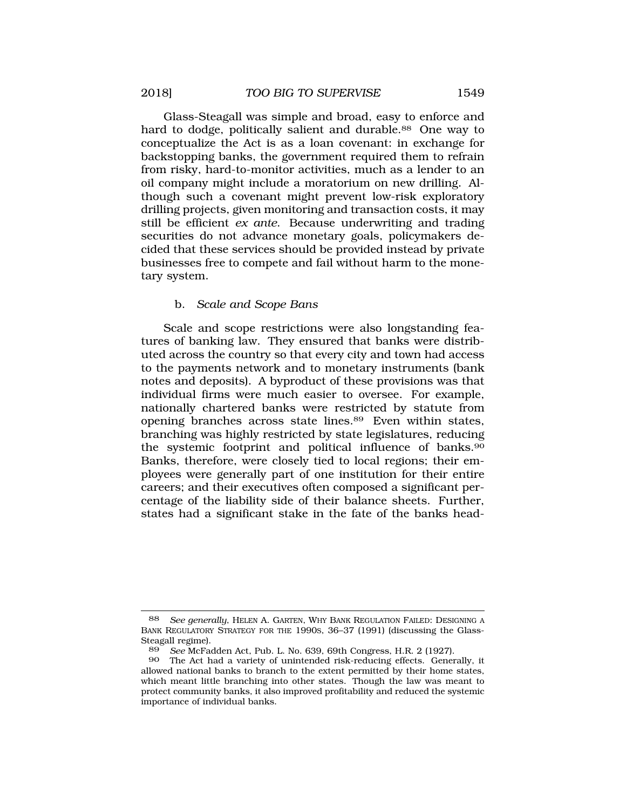<span id="page-22-0"></span>Glass-Steagall was simple and broad, easy to enforce and hard to dodge, politically salient and durable.<sup>88</sup> One way to conceptualize the Act is as a loan covenant: in exchange for backstopping banks, the government required them to refrain from risky, hard-to-monitor activities, much as a lender to an oil company might include a moratorium on new drilling. Although such a covenant might prevent low-risk exploratory drilling projects, given monitoring and transaction costs, it may still be efficient *ex ante*. Because underwriting and trading securities do not advance monetary goals, policymakers decided that these services should be provided instead by private businesses free to compete and fail without harm to the monetary system.

### b. *Scale and Scope Bans*

Scale and scope restrictions were also longstanding features of banking law. They ensured that banks were distributed across the country so that every city and town had access to the payments network and to monetary instruments (bank notes and deposits). A byproduct of these provisions was that individual firms were much easier to oversee. For example, nationally chartered banks were restricted by statute from opening branches across state [lines.89](http:lines.89) Even within states, branching was highly restricted by state legislatures, reducing the systemic footprint and political influence of banks.<sup>90</sup> Banks, therefore, were closely tied to local regions; their employees were generally part of one institution for their entire careers; and their executives often composed a significant percentage of the liability side of their balance sheets. Further, states had a significant stake in the fate of the banks head-

<sup>88</sup> *See generally*, HELEN A. GARTEN, WHY BANK REGULATION FAILED: DESIGNING A BANK REGULATORY STRATEGY FOR THE 1990S, 36–37 (1991) (discussing the Glass-Steagall regime).<br>89 See McFa

<sup>89</sup> *See* McFadden Act, Pub. L. No. 639, 69th Congress, H.R. 2 (1927).

<sup>90</sup> The Act had a variety of unintended risk-reducing effects. Generally, it allowed national banks to branch to the extent permitted by their home states, which meant little branching into other states. Though the law was meant to protect community banks, it also improved profitability and reduced the systemic importance of individual banks.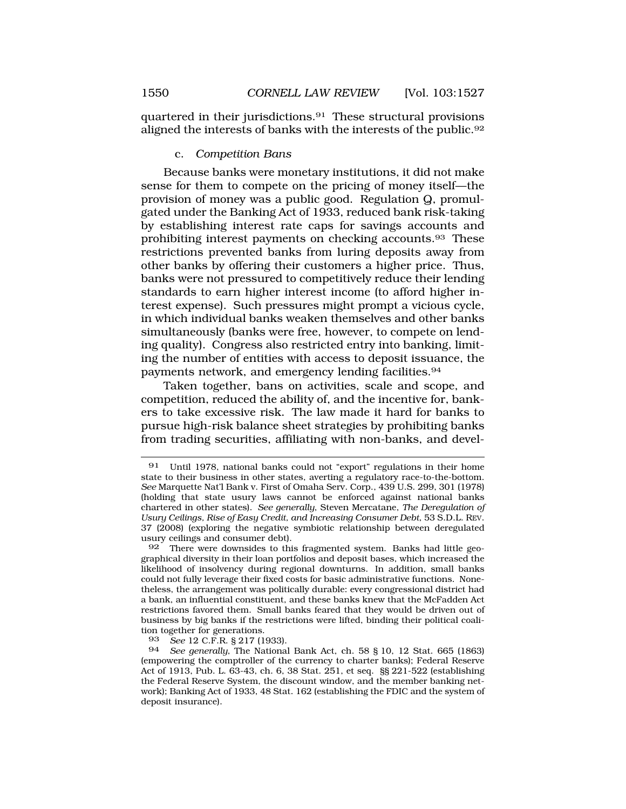<span id="page-23-0"></span>quartered in their [jurisdictions.91](http:jurisdictions.91) These structural provisions aligned the interests of banks with the interests of the [public.92](http:public.92) 

## c. *Competition Bans*

Because banks were monetary institutions, it did not make sense for them to compete on the pricing of money itself—the provision of money was a public good. Regulation Q, promulgated under the Banking Act of 1933, reduced bank risk-taking by establishing interest rate caps for savings accounts and prohibiting interest payments on checking [accounts.93](http:accounts.93) These restrictions prevented banks from luring deposits away from other banks by offering their customers a higher price. Thus, banks were not pressured to competitively reduce their lending standards to earn higher interest income (to afford higher interest expense). Such pressures might prompt a vicious cycle, in which individual banks weaken themselves and other banks simultaneously (banks were free, however, to compete on lending quality). Congress also restricted entry into banking, limiting the number of entities with access to deposit issuance, the payments network, and emergency lending [facilities.94](http:facilities.94) 

Taken together, bans on activities, scale and scope, and competition, reduced the ability of, and the incentive for, bankers to take excessive risk. The law made it hard for banks to pursue high-risk balance sheet strategies by prohibiting banks from trading securities, affiliating with non-banks, and devel-

<sup>91</sup> Until 1978, national banks could not "export" regulations in their home state to their business in other states, averting a regulatory race-to-the-bottom. *See* Marquette Nat'l Bank v. First of Omaha Serv. Corp., 439 U.S. 299, 301 (1978) (holding that state usury laws cannot be enforced against national banks chartered in other states). *See generally*, Steven Mercatane, *The Deregulation of Usury Ceilings, Rise of Easy Credit, and Increasing Consumer Debt*, 53 S.D.L. REV. 37 (2008) (exploring the negative symbiotic relationship between deregulated usury ceilings and consumer debt).

<sup>92</sup> There were downsides to this fragmented system. Banks had little geographical diversity in their loan portfolios and deposit bases, which increased the likelihood of insolvency during regional downturns. In addition, small banks could not fully leverage their fixed costs for basic administrative functions. Nonetheless, the arrangement was politically durable: every congressional district had a bank, an influential constituent, and these banks knew that the McFadden Act restrictions favored them. Small banks feared that they would be driven out of business by big banks if the restrictions were lifted, binding their political coalition together for generations.<br>93 See 12 C.F.R. 8 217 (1)

<sup>93</sup> *See* 12 C.F.R. § 217 (1933).

<sup>94</sup> *See generally*, The National Bank Act, ch. 58 § 10, 12 Stat. 665 (1863) (empowering the comptroller of the currency to charter banks); Federal Reserve Act of 1913, Pub. L. 63-43, ch. 6, 38 Stat. 251, et seq. §§ 221-522 (establishing the Federal Reserve System, the discount window, and the member banking network); Banking Act of 1933, 48 Stat. 162 (establishing the FDIC and the system of deposit insurance).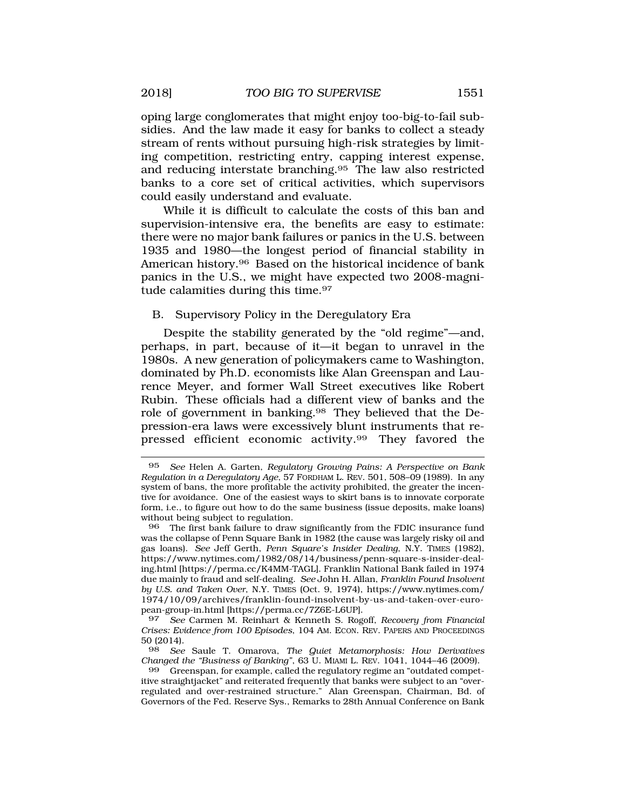<span id="page-24-0"></span>oping large conglomerates that might enjoy too-big-to-fail subsidies. And the law made it easy for banks to collect a steady stream of rents without pursuing high-risk strategies by limiting competition, restricting entry, capping interest expense, and reducing interstate [branching.95](http:branching.95) The law also restricted banks to a core set of critical activities, which supervisors could easily understand and evaluate.

While it is difficult to calculate the costs of this ban and supervision-intensive era, the benefits are easy to estimate: there were no major bank failures or panics in the U.S. between 1935 and 1980—the longest period of financial stability in American [history.96](http:history.96) Based on the historical incidence of bank panics in the U.S., we might have expected two 2008-magnitude calamities during this time.<sup>97</sup>

## B. Supervisory Policy in the Deregulatory Era

Despite the stability generated by the "old regime"—and, perhaps, in part, because of it—it began to unravel in the 1980s. A new generation of policymakers came to Washington, dominated by Ph.D. economists like Alan Greenspan and Laurence Meyer, and former Wall Street executives like Robert Rubin. These officials had a different view of banks and the role of government in [banking.98](http:banking.98) They believed that the Depression-era laws were excessively blunt instruments that repressed efficient economic [activity.99](http:activity.99) They favored the

<sup>95</sup> *See* Helen A. Garten, *Regulatory Growing Pains: A Perspective on Bank Regulation in a Deregulatory Age*, 57 FORDHAM L. REV. 501, 508–09 (1989). In any system of bans, the more profitable the activity prohibited, the greater the incentive for avoidance. One of the easiest ways to skirt bans is to innovate corporate form, i.e., to figure out how to do the same business (issue deposits, make loans) without being subject to regulation.

<sup>96</sup> The first bank failure to draw significantly from the FDIC insurance fund was the collapse of Penn Square Bank in 1982 (the cause was largely risky oil and gas loans). *See* Jeff Gerth, *Penn Square's Insider Dealing*, N.Y. TIMES (1982), <https://www.nytimes.com/1982/08/14/business/penn-square-s-insider-deal>ing.html [<https://perma.cc/K4MM-TAGL>]. Franklin National Bank failed in 1974 due mainly to fraud and self-dealing. *See* John H. Allan, *Franklin Found Insolvent by U.S. and Taken Over*, N.Y. TIMES (Oct. 9, 1974), [https://www.nytimes.com/](http:https://www.nytimes.com) 1974/10/09/archives/franklin-found-insolvent-by-us-and-taken-over-european-group-in.html [<https://perma.cc/7Z6E-L6UP>].

<sup>97</sup> *See* Carmen M. Reinhart & Kenneth S. Rogoff, *Recovery from Financial Crises: Evidence from 100 Episodes*, 104 AM. ECON. REV. PAPERS AND PROCEEDINGS 50 (2014).

<sup>98</sup> *See* Saule T. Omarova, *The Quiet Metamorphosis: How Derivatives Changed the "Business of Banking"*, 63 U. MIAMI L. REV. 1041, 1044–46 (2009).

<sup>99</sup> Greenspan, for example, called the regulatory regime an "outdated competitive straightjacket" and reiterated frequently that banks were subject to an "overregulated and over-restrained structure." Alan Greenspan, Chairman, Bd. of Governors of the Fed. Reserve Sys., Remarks to 28th Annual Conference on Bank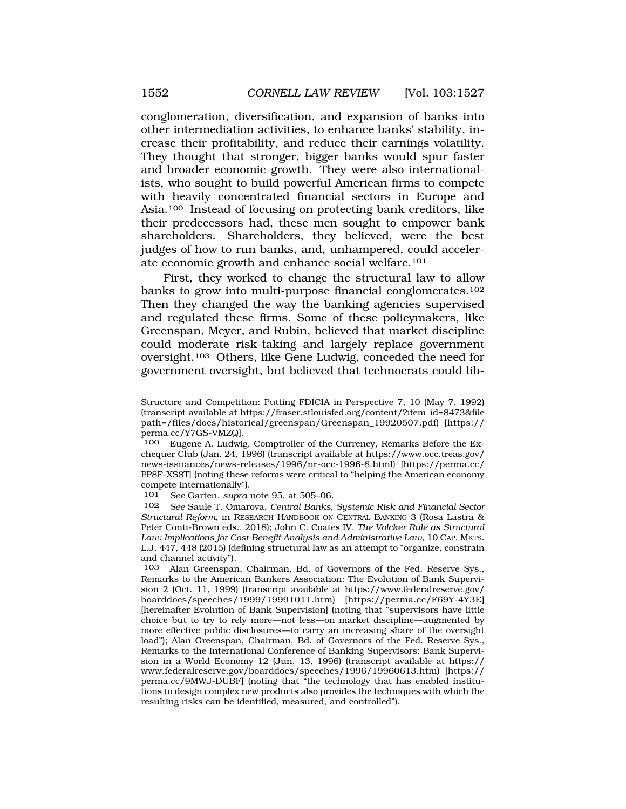conglomeration, diversification, and expansion of banks into other intermediation activities, to enhance banks' stability, increase their profitability, and reduce their earnings volatility. They thought that stronger, bigger banks would spur faster and broader economic growth. They were also internationalists, who sought to build powerful American firms to compete with heavily concentrated financial sectors in Europe and Asia.100 Instead of focusing on protecting bank creditors, like their predecessors had, these men sought to empower bank shareholders. Shareholders, they believed, were the best judges of how to run banks, and, unhampered, could accelerate economic growth and enhance social welfare.101

First, they worked to change the structural law to allow banks to grow into multi-purpose financial conglomerates.<sup>102</sup> Then they changed the way the banking agencies supervised and regulated these firms. Some of these policymakers, like Greenspan, Meyer, and Rubin, believed that market discipline could moderate risk-taking and largely replace government oversight.103 Others, like Gene Ludwig, conceded the need for government oversight, but believed that technocrats could lib-

101 *See* Garten, *supra* note 95, at 505–06.

Structure and Competition: Putting FDICIA in Perspective 7, 10 (May 7, 1992) (transcript available at [https://fraser.stlouisfed.org/content/?item\\_id=8473&file](https://fraser.stlouisfed.org/content/?item_id=8473&file) path=/files/docs/historical/greenspan/Greenspan\_19920507.pdf) [https:// perma.cc/Y7GS-VMZQ].

<sup>100</sup> Eugene A. Ludwig, Comptroller of the Currency, Remarks Before the Exchequer Club (Jan. 24, 1996) (transcript available at [https://www.occ.treas.gov/](http:https://www.occ.treas.gov) news-issuances/news-releases/1996/nr-occ-1996-8.html) [[https://perma.cc/](http:https://perma.cc) PP8F-XS8T] (noting these reforms were critical to "helping the American economy compete internationally").

<sup>102</sup> *See* Saule T. Omarova, *Central Banks, Systemic Risk and Financial Sector Structural Reform*, in RESEARCH HANDBOOK ON CENTRAL BANKING 3 (Rosa Lastra & Peter Conti-Brown eds., 2018); John C. Coates IV, *The Volcker Rule as Structural Law: Implications for Cost-Benefit Analysis and Administrative Law*, 10 CAP. MKTS. L.J. 447, 448 (2015) (defining structural law as an attempt to "organize, constrain and channel activity").

<sup>103</sup> Alan Greenspan, Chairman, Bd. of Governors of the Fed. Reserve Sys., Remarks to the American Bankers Association: The Evolution of Bank Supervision 2 (Oct. 11, 1999) (transcript available at [https://www.federalreserve.gov/](http:https://www.federalreserve.gov) boarddocs/speeches/1999/19991011.htm) [\[https://perma.cc/F69Y-4Y3E](https://perma.cc/F69Y-4Y3E)] [hereinafter Evolution of Bank Supervision] (noting that "supervisors have little choice but to try to rely more—not less—on market discipline—augmented by more effective public disclosures—to carry an increasing share of the oversight load"); Alan Greenspan, Chairman, Bd. of Governors of the Fed. Reserve Sys., Remarks to the International Conference of Banking Supervisors: Bank Supervision in a World Economy 12 (Jun. 13, 1996) (transcript available at https:// <www.federalreserve.gov/boarddocs/speeches/1996/19960613.htm>) [https:// perma.cc/9MWJ-DUBF] (noting that "the technology that has enabled institutions to design complex new products also provides the techniques with which the resulting risks can be identified, measured, and controlled").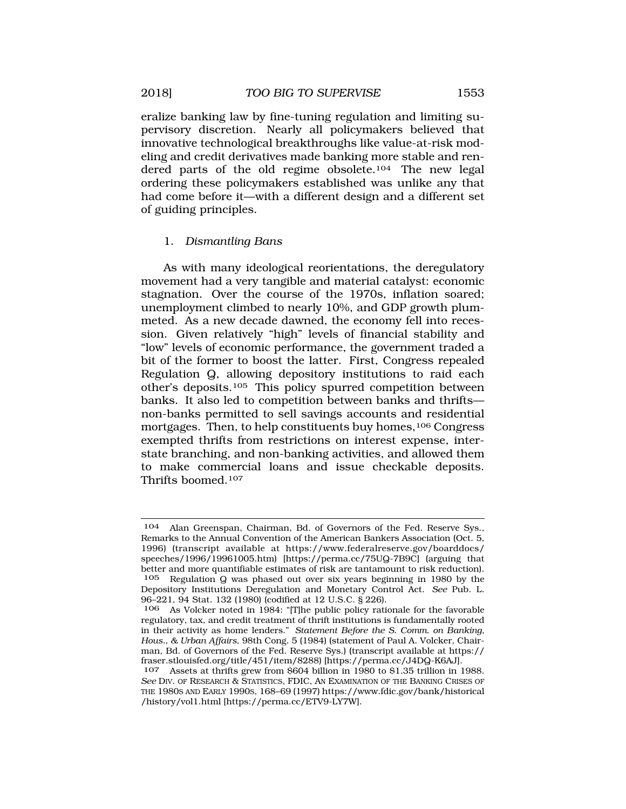<span id="page-26-0"></span>eralize banking law by fine-tuning regulation and limiting supervisory discretion. Nearly all policymakers believed that innovative technological breakthroughs like value-at-risk modeling and credit derivatives made banking more stable and rendered parts of the old regime obsolete.104 The new legal ordering these policymakers established was unlike any that had come before it—with a different design and a different set of guiding principles.

## 1. *Dismantling Bans*

As with many ideological reorientations, the deregulatory movement had a very tangible and material catalyst: economic stagnation. Over the course of the 1970s, inflation soared; unemployment climbed to nearly 10%, and GDP growth plummeted. As a new decade dawned, the economy fell into recession. Given relatively "high" levels of financial stability and "low" levels of economic performance, the government traded a bit of the former to boost the latter. First, Congress repealed Regulation Q, allowing depository institutions to raid each other's deposits.105 This policy spurred competition between banks. It also led to competition between banks and thrifts non-banks permitted to sell savings accounts and residential mortgages. Then, to help constituents buy homes, <sup>106</sup> Congress exempted thrifts from restrictions on interest expense, interstate branching, and non-banking activities, and allowed them to make commercial loans and issue checkable deposits. Thrifts boomed.107

<sup>104</sup> Alan Greenspan, Chairman, Bd. of Governors of the Fed. Reserve Sys., Remarks to the Annual Convention of the American Bankers Association (Oct. 5, 1996) (transcript available at [https://www.federalreserve.gov/boarddocs/](https://www.federalreserve.gov/boarddocs) speeches/1996/19961005.htm) [[https://perma.cc/75UQ-7B9C\]](https://perma.cc/75UQ-7B9C) (arguing that better and more quantifiable estimates of risk are tantamount to risk reduction).<br>105 Regulation O was phased out over six years beginning in 1980 by the Regulation Q was phased out over six years beginning in 1980 by the Depository Institutions Deregulation and Monetary Control Act. *See* Pub. L. 96–221, 94 Stat. 132 (1980) (codified at 12 U.S.C. § 226).

As Volcker noted in 1984: "[T]he public policy rationale for the favorable regulatory, tax, and credit treatment of thrift institutions is fundamentally rooted in their activity as home lenders." *Statement Before the S. Comm. on Banking, Hous., & Urban Affairs*, 98th Cong. 5 (1984) (statement of Paul A. Volcker, Chairman, Bd. of Governors of the Fed. Reserve Sys.) (transcript available at https:// [fraser.stlouisfed.org/title/451/item/8288](https://fraser.stlouisfed.org/title/451/item/8288)) [<https://perma.cc/J4DQ-K6AJ>].

<sup>107</sup> Assets at thrifts grew from \$604 billion in 1980 to \$1.35 trillion in 1988. *See* DIV. OF RESEARCH & STATISTICS, FDIC, AN EXAMINATION OF THE BANKING CRISES OF THE 1980S AND EARLY 1990S, 168–69 (1997)<https://www.fdic.gov/bank/historical> /history/vol1.html [\[https://perma.cc/ETV9-LY7W](https://perma.cc/ETV9-LY7W)].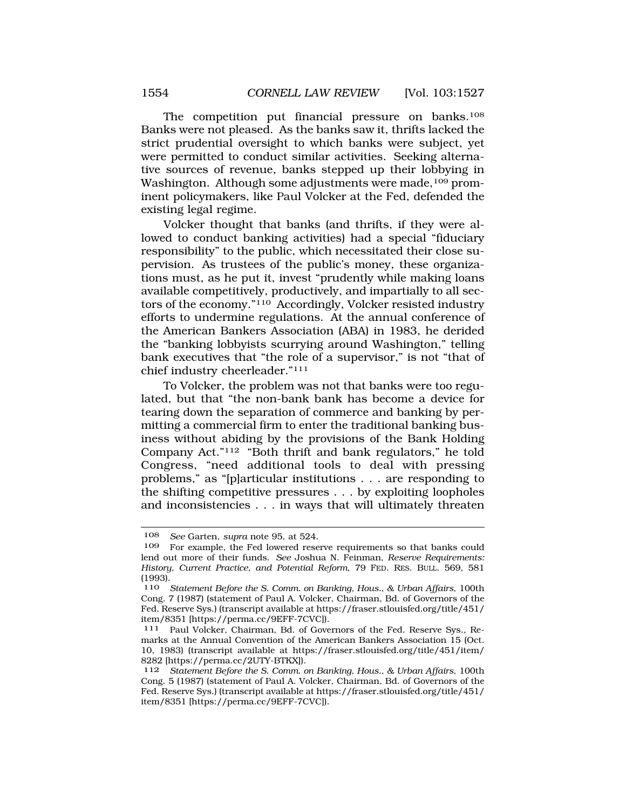The competition put financial pressure on banks.<sup>108</sup> Banks were not pleased. As the banks saw it, thrifts lacked the strict prudential oversight to which banks were subject, yet were permitted to conduct similar activities. Seeking alternative sources of revenue, banks stepped up their lobbying in Washington. Although some adjustments were made,<sup>109</sup> prominent policymakers, like Paul Volcker at the Fed, defended the existing legal regime.

Volcker thought that banks (and thrifts, if they were allowed to conduct banking activities) had a special "fiduciary responsibility" to the public, which necessitated their close supervision. As trustees of the public's money, these organizations must, as he put it, invest "prudently while making loans available competitively, productively, and impartially to all sectors of the economy."110 Accordingly, Volcker resisted industry efforts to undermine regulations. At the annual conference of the American Bankers Association (ABA) in 1983, he derided the "banking lobbyists scurrying around Washington," telling bank executives that "the role of a supervisor," is not "that of chief industry cheerleader."111

To Volcker, the problem was not that banks were too regulated, but that "the non-bank bank has become a device for tearing down the separation of commerce and banking by permitting a commercial firm to enter the traditional banking business without abiding by the provisions of the Bank Holding Company Act."112 "Both thrift and bank regulators," he told Congress, "need additional tools to deal with pressing problems," as "[p]articular institutions . . . are responding to the shifting competitive pressures . . . by exploiting loopholes and inconsistencies . . . in ways that will ultimately threaten

<sup>108</sup> *See* Garten, *supra* note 95, at 524.

For example, the Fed lowered reserve requirements so that banks could lend out more of their funds. *See* Joshua N. Feinman, *Reserve Requirements: History, Current Practice, and Potential Reform*, 79 FED. RES. BULL. 569, 581 (1993).

<sup>110</sup> *Statement Before the S. Comm. on Banking, Hous., & Urban Affairs*, 100th Cong. 7 (1987) (statement of Paul A. Volcker, Chairman, Bd. of Governors of the Fed. Reserve Sys.) (transcript available at [https://fraser.stlouisfed.org/title/451/](https://fraser.stlouisfed.org/title/451) item/8351 [[https://perma.cc/9EFF-7CVC\]](https://perma.cc/9EFF-7CVC)].<br><sup>111</sup> Paul Volcker, Chairman, Bd. of Governors of the Fed. Reserve Sys., Re-

marks at the Annual Convention of the American Bankers Association 15 (Oct. 10, 1983) (transcript available at [https://fraser.stlouisfed.org/title/451/item/](https://fraser.stlouisfed.org/title/451/item) 8282 [\[https://perma.cc/2UTY-BTKX\]](https://perma.cc/2UTY-BTKX)).

<sup>112</sup> *Statement Before the S. Comm. on Banking, Hous., & Urban Affairs*, 100th Cong. 5 (1987) (statement of Paul A. Volcker, Chairman, Bd. of Governors of the Fed. Reserve Sys.) (transcript available at [https://fraser.stlouisfed.org/title/451/](https://fraser.stlouisfed.org/title/451) item/8351 [[https://perma.cc/9EFF-7CVC\]](https://perma.cc/9EFF-7CVC)).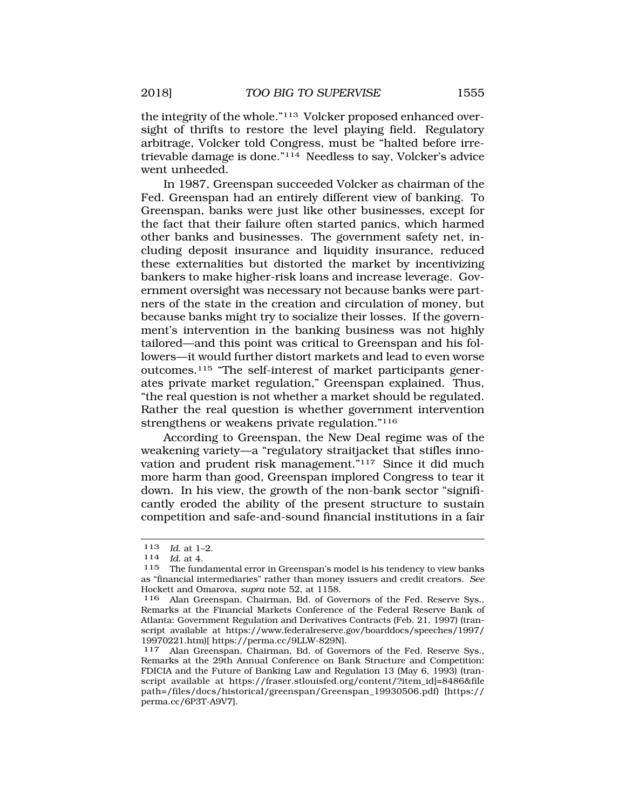the integrity of the whole."113 Volcker proposed enhanced oversight of thrifts to restore the level playing field. Regulatory arbitrage, Volcker told Congress, must be "halted before irretrievable damage is done."114 Needless to say, Volcker's advice went unheeded.

In 1987, Greenspan succeeded Volcker as chairman of the Fed. Greenspan had an entirely different view of banking. To Greenspan, banks were just like other businesses, except for the fact that their failure often started panics, which harmed other banks and businesses. The government safety net, including deposit insurance and liquidity insurance, reduced these externalities but distorted the market by incentivizing bankers to make higher-risk loans and increase leverage. Government oversight was necessary not because banks were partners of the state in the creation and circulation of money, but because banks might try to socialize their losses. If the government's intervention in the banking business was not highly tailored—and this point was critical to Greenspan and his followers—it would further distort markets and lead to even worse outcomes.115 "The self-interest of market participants generates private market regulation," Greenspan explained. Thus, "the real question is not whether a market should be regulated. Rather the real question is whether government intervention strengthens or weakens private regulation."116

According to Greenspan, the New Deal regime was of the weakening variety—a "regulatory straitjacket that stifles innovation and prudent risk management."117 Since it did much more harm than good, Greenspan implored Congress to tear it down. In his view, the growth of the non-bank sector "significantly eroded the ability of the present structure to sustain competition and safe-and-sound financial institutions in a fair

<sup>113</sup>*Id.* at 1–2. 114 *Id.* at 4.

<sup>115</sup> The fundamental error in Greenspan's model is his tendency to view banks as "financial intermediaries" rather than money issuers and credit creators. *See*  Hockett and Omarova, *supra* note 52, at 1158.

<sup>116</sup> Alan Greenspan, Chairman, Bd. of Governors of the Fed. Reserve Sys., Remarks at the Financial Markets Conference of the Federal Reserve Bank of Atlanta: Government Regulation and Derivatives Contracts (Feb. 21, 1997) (transcript available at [https://www.federalreserve.gov/boarddocs/speeches/1997/](https://www.federalreserve.gov/boarddocs/speeches/1997) 19970221.htm)[<https://perma.cc/9LLW-829N>].<br>117 Alan Greenspan, Chairman, Bd. of Gove

Alan Greenspan, Chairman, Bd. of Governors of the Fed. Reserve Sys., Remarks at the 29th Annual Conference on Bank Structure and Competition: FDICIA and the Future of Banking Law and Regulation 13 (May 6, 1993) (transcript available at [https://fraser.stlouisfed.org/content/?item\\_id\]=8486&file](https://fraser.stlouisfed.org/content/?item_id]=8486&file) path=/files/docs/historical/greenspan/Greenspan\_19930506.pdf) [https:// perma.cc/6P3T-A9V7].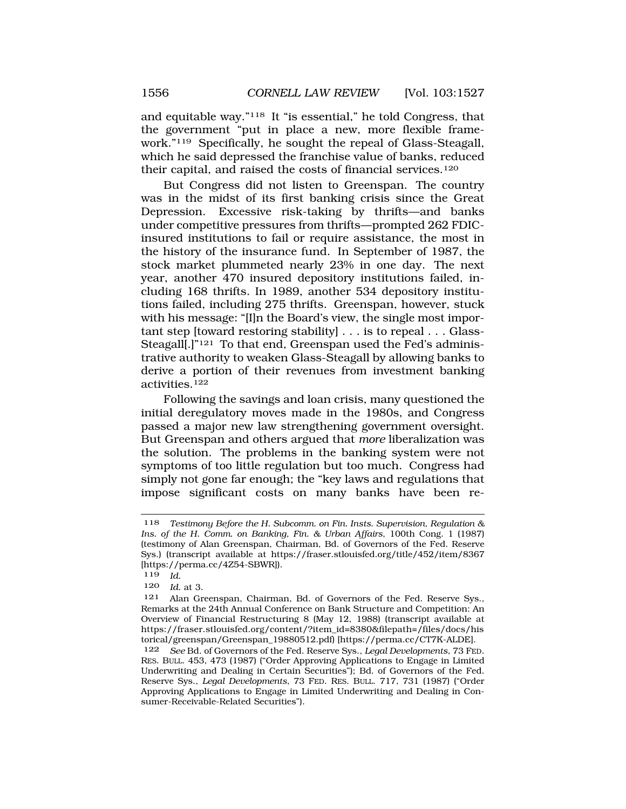and equitable way."118 It "is essential," he told Congress, that the government "put in place a new, more flexible framework."119 Specifically, he sought the repeal of Glass-Steagall, which he said depressed the franchise value of banks, reduced their capital, and raised the costs of financial services.<sup>120</sup>

But Congress did not listen to Greenspan. The country was in the midst of its first banking crisis since the Great Depression. Excessive risk-taking by thrifts—and banks under competitive pressures from thrifts—prompted 262 FDICinsured institutions to fail or require assistance, the most in the history of the insurance fund. In September of 1987, the stock market plummeted nearly 23% in one day. The next year, another 470 insured depository institutions failed, including 168 thrifts. In 1989, another 534 depository institutions failed, including 275 thrifts. Greenspan, however, stuck with his message: "[I]n the Board's view, the single most important step [toward restoring stability] . . . is to repeal . . . Glass-Steagall<sup>[1]</sup><sup>121</sup> To that end, Greenspan used the Fed's administrative authority to weaken Glass-Steagall by allowing banks to derive a portion of their revenues from investment banking activities.122

Following the savings and loan crisis, many questioned the initial deregulatory moves made in the 1980s, and Congress passed a major new law strengthening government oversight. But Greenspan and others argued that *more* liberalization was the solution. The problems in the banking system were not symptoms of too little regulation but too much. Congress had simply not gone far enough; the "key laws and regulations that impose significant costs on many banks have been re-

<sup>118</sup> *Testimony Before the H. Subcomm. on Fin. Insts. Supervision, Regulation & Ins. of the H. Comm. on Banking, Fin. & Urban Affairs*, 100th Cong. 1 (1987) (testimony of Alan Greenspan, Chairman, Bd. of Governors of the Fed. Reserve Sys.) (transcript available at <https://fraser.stlouisfed.org/title/452/item/8367> [[https://perma.cc/4Z54-SBWR\]](https://perma.cc/4Z54-SBWR)).

<sup>119</sup> *Id.* 

<sup>120</sup> *Id.* at 3.

<sup>121</sup> Alan Greenspan, Chairman, Bd. of Governors of the Fed. Reserve Sys., Remarks at the 24th Annual Conference on Bank Structure and Competition: An Overview of Financial Restructuring 8 (May 12, 1988) (transcript available at [https://fraser.stlouisfed.org/content/?item\\_id=8380&filepath=/files/docs/his](https://fraser.stlouisfed.org/content/?item_id=8380&filepath=/files/docs/his) torical/greenspan/Greenspan\_19880512.pdf) [[https://perma.cc/CT7K-ALDE\]](https://perma.cc/CT7K-ALDE).

<sup>122</sup> *See* Bd. of Governors of the Fed. Reserve Sys., *Legal Developments*, 73 FED. RES. BULL. 453, 473 (1987) ("Order Approving Applications to Engage in Limited Underwriting and Dealing in Certain Securities"); Bd. of Governors of the Fed. Reserve Sys., *Legal Developments*, 73 FED. RES. BULL. 717, 731 (1987) ("Order Approving Applications to Engage in Limited Underwriting and Dealing in Consumer-Receivable-Related Securities").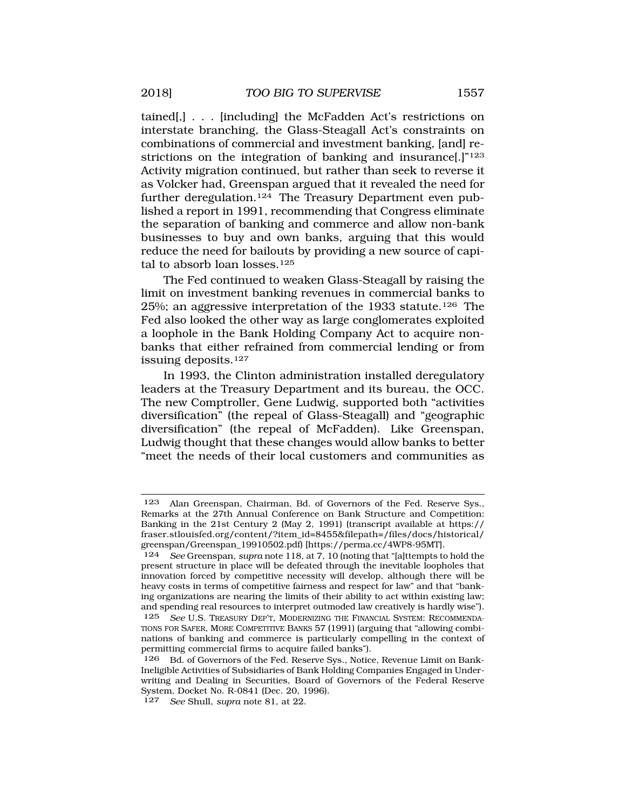tained[,] . . . [including] the McFadden Act's restrictions on interstate branching, the Glass-Steagall Act's constraints on combinations of commercial and investment banking, [and] restrictions on the integration of banking and insurance[.]"<sup>123</sup> Activity migration continued, but rather than seek to reverse it as Volcker had, Greenspan argued that it revealed the need for further deregulation.<sup>124</sup> The Treasury Department even published a report in 1991, recommending that Congress eliminate the separation of banking and commerce and allow non-bank businesses to buy and own banks, arguing that this would reduce the need for bailouts by providing a new source of capital to absorb loan losses.125

The Fed continued to weaken Glass-Steagall by raising the limit on investment banking revenues in commercial banks to 25%; an aggressive interpretation of the 1933 statute.126 The Fed also looked the other way as large conglomerates exploited a loophole in the Bank Holding Company Act to acquire nonbanks that either refrained from commercial lending or from issuing deposits.127

In 1993, the Clinton administration installed deregulatory leaders at the Treasury Department and its bureau, the OCC. The new Comptroller, Gene Ludwig, supported both "activities diversification" (the repeal of Glass-Steagall) and "geographic diversification" (the repeal of McFadden). Like Greenspan, Ludwig thought that these changes would allow banks to better "meet the needs of their local customers and communities as

<sup>123</sup> Alan Greenspan, Chairman, Bd. of Governors of the Fed. Reserve Sys., Remarks at the 27th Annual Conference on Bank Structure and Competition: Banking in the 21st Century 2 (May 2, 1991) (transcript available at https:// fraser.stlouisfed.org/content/?item\_id=8455&filepath=/files/docs/historical/ greenspan/Greenspan\_19910502.pdf) [\[https://perma.cc/4WP8-95MT](https://perma.cc/4WP8-95MT)].

<sup>124</sup> *See* Greenspan, *supra* note 118, at 7, 10 (noting that "[a]ttempts to hold the present structure in place will be defeated through the inevitable loopholes that innovation forced by competitive necessity will develop, although there will be heavy costs in terms of competitive fairness and respect for law" and that "banking organizations are nearing the limits of their ability to act within existing law; and spending real resources to interpret outmoded law creatively is hardly wise"). 125 *See* U.S. TREASURY DEP'T, MODERNIZING THE FINANCIAL SYSTEM: RECOMMENDA-TIONS FOR SAFER, MORE COMPETITIVE BANKS 57 (1991) (arguing that "allowing combinations of banking and commerce is particularly compelling in the context of permitting commercial firms to acquire failed banks").

<sup>126</sup> Bd. of Governors of the Fed. Reserve Sys., Notice, Revenue Limit on Bank-Ineligible Activities of Subsidiaries of Bank Holding Companies Engaged in Underwriting and Dealing in Securities, Board of Governors of the Federal Reserve System, Docket No. R-0841 (Dec. 20, 1996).

<sup>127</sup> *See* Shull, *supra* note 81, at 22.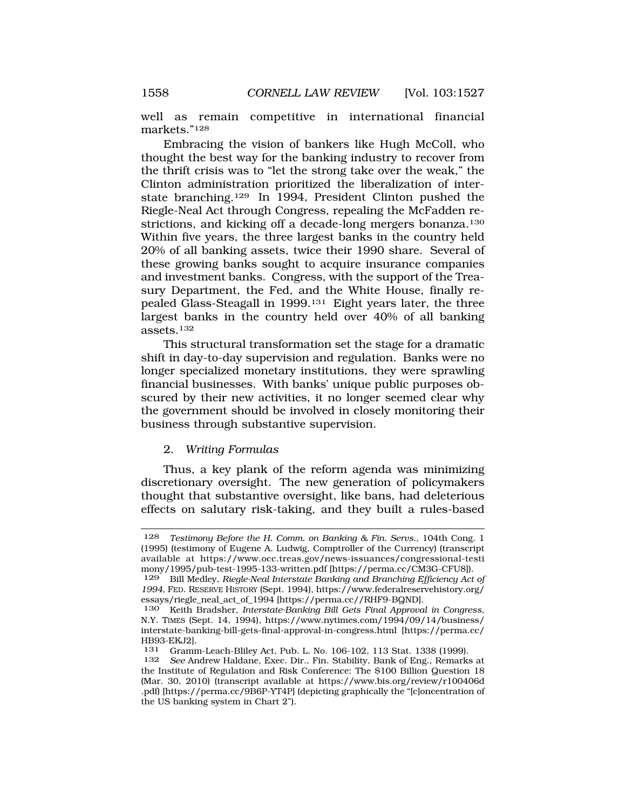<span id="page-31-0"></span>well as remain competitive in international financial markets."128

Embracing the vision of bankers like Hugh McColl, who thought the best way for the banking industry to recover from the thrift crisis was to "let the strong take over the weak," the Clinton administration prioritized the liberalization of interstate branching.129 In 1994, President Clinton pushed the Riegle-Neal Act through Congress, repealing the McFadden restrictions, and kicking off a decade-long mergers bonanza.130 Within five years, the three largest banks in the country held 20% of all banking assets, twice their 1990 share. Several of these growing banks sought to acquire insurance companies and investment banks. Congress, with the support of the Treasury Department, the Fed, and the White House, finally repealed Glass-Steagall in 1999.131 Eight years later, the three largest banks in the country held over 40% of all banking assets.132

This structural transformation set the stage for a dramatic shift in day-to-day supervision and regulation. Banks were no longer specialized monetary institutions, they were sprawling financial businesses. With banks' unique public purposes obscured by their new activities, it no longer seemed clear why the government should be involved in closely monitoring their business through substantive supervision.

### 2. *Writing Formulas*

Thus, a key plank of the reform agenda was minimizing discretionary oversight. The new generation of policymakers thought that substantive oversight, like bans, had deleterious effects on salutary risk-taking, and they built a rules-based

<sup>128</sup> *Testimony Before the H. Comm. on Banking & Fin. Servs.*, 104th Cong. 1 (1995) (testimony of Eugene A. Ludwig, Comptroller of the Currency) (transcript available at <https://www.occ.treas.gov/news-issuances/congressional-testi> mony/1995/pub-test-1995-133-written.pdf [[https://perma.cc/CM3G-CFU8\]](https://perma.cc/CM3G-CFU8)).

<sup>129</sup> Bill Medley, *Riegle-Neal Interstate Banking and Branching Efficiency Act of 1994*, FED. RESERVE HISTORY (Sept. 1994), [https://www.federalreservehistory.org/](http:https://www.federalreservehistory.org) essays/riegle\_neal\_act\_of\_1994 [\[https://perma.cc//RHF9-BQND\]](https://perma.cc//RHF9-BQND).

<sup>130</sup> Keith Bradsher, *Interstate-Banking Bill Gets Final Approval in Congress*, N.Y. TIMES (Sept. 14, 1994), [https://www.nytimes.com/1994/09/14/business/](https://www.nytimes.com/1994/09/14/business) interstate-banking-bill-gets-final-approval-in-congress.html [[https://perma.cc/](http:https://perma.cc) HB93-EKJ2].<br>131 Gramn

<sup>131</sup> Gramm-Leach-Bliley Act, Pub. L. No. 106-102, 113 Stat. 1338 (1999).

<sup>132</sup> *See* Andrew Haldane, Exec. Dir., Fin. Stability, Bank of Eng., Remarks at the Institute of Regulation and Risk Conference: The \$100 Billion Question 18 (Mar. 30, 2010) (transcript available at <https://www.bis.org/review/r100406d> .pdf) [<https://perma.cc/9B6P-YT4P>] (depicting graphically the "[c]oncentration of the US banking system in Chart 2").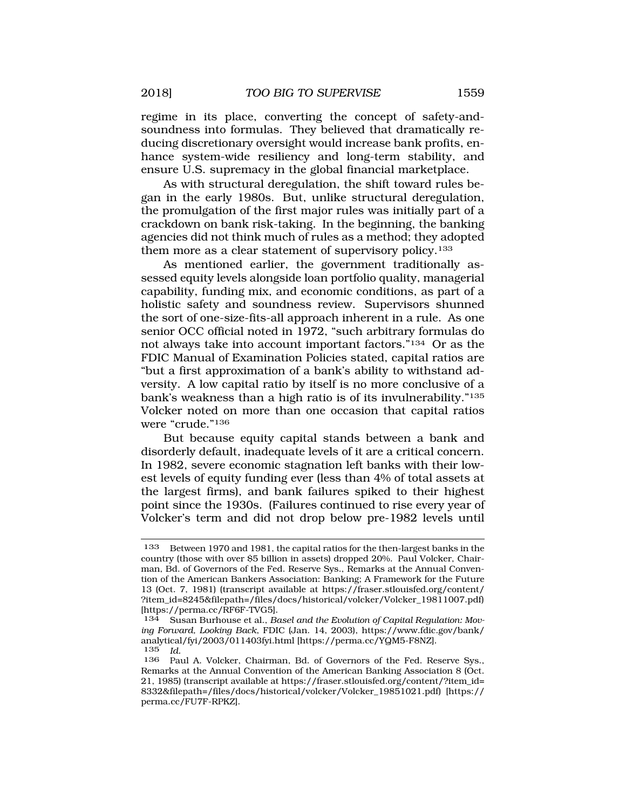regime in its place, converting the concept of safety-andsoundness into formulas. They believed that dramatically reducing discretionary oversight would increase bank profits, enhance system-wide resiliency and long-term stability, and ensure U.S. supremacy in the global financial marketplace.

As with structural deregulation, the shift toward rules began in the early 1980s. But, unlike structural deregulation, the promulgation of the first major rules was initially part of a crackdown on bank risk-taking. In the beginning, the banking agencies did not think much of rules as a method; they adopted them more as a clear statement of supervisory policy.<sup>133</sup>

As mentioned earlier, the government traditionally assessed equity levels alongside loan portfolio quality, managerial capability, funding mix, and economic conditions, as part of a holistic safety and soundness review. Supervisors shunned the sort of one-size-fits-all approach inherent in a rule. As one senior OCC official noted in 1972, "such arbitrary formulas do not always take into account important factors."134 Or as the FDIC Manual of Examination Policies stated, capital ratios are "but a first approximation of a bank's ability to withstand adversity. A low capital ratio by itself is no more conclusive of a bank's weakness than a high ratio is of its invulnerability."135 Volcker noted on more than one occasion that capital ratios were "crude."136

But because equity capital stands between a bank and disorderly default, inadequate levels of it are a critical concern. In 1982, severe economic stagnation left banks with their lowest levels of equity funding ever (less than 4% of total assets at the largest firms), and bank failures spiked to their highest point since the 1930s. (Failures continued to rise every year of Volcker's term and did not drop below pre-1982 levels until

<sup>133</sup> Between 1970 and 1981, the capital ratios for the then-largest banks in the country (those with over \$5 billion in assets) dropped 20%. Paul Volcker, Chairman, Bd. of Governors of the Fed. Reserve Sys., Remarks at the Annual Convention of the American Bankers Association: Banking; A Framework for the Future 13 (Oct. 7, 1981) (transcript available at [https://fraser.stlouisfed.org/content/](https://fraser.stlouisfed.org/content) ?item\_id=8245&filepath=/files/docs/historical/volcker/Volcker\_19811007.pdf) [[https://perma.cc/RF6F-TVG5\]](https://perma.cc/RF6F-TVG5).

<sup>134</sup> Susan Burhouse et al., *Basel and the Evolution of Capital Regulation: Moving Forward, Looking Back*, FDIC (Jan. 14, 2003), [https://www.fdic.gov/bank/](https://www.fdic.gov/bank) analytical/fyi/2003/011403fyi.html [\[https://perma.cc/YQM5-F8NZ](https://perma.cc/YQM5-F8NZ)]. 135 *Id.* 

<sup>136</sup> Paul A. Volcker, Chairman, Bd. of Governors of the Fed. Reserve Sys., Remarks at the Annual Convention of the American Banking Association 8 (Oct. 21, 1985) (transcript available at [https://fraser.stlouisfed.org/content/?item\\_id=](https://fraser.stlouisfed.org/content/?item_id) 8332&filepath=/files/docs/historical/volcker/Volcker\_19851021.pdf) [https:// perma.cc/FU7F-RPKZ].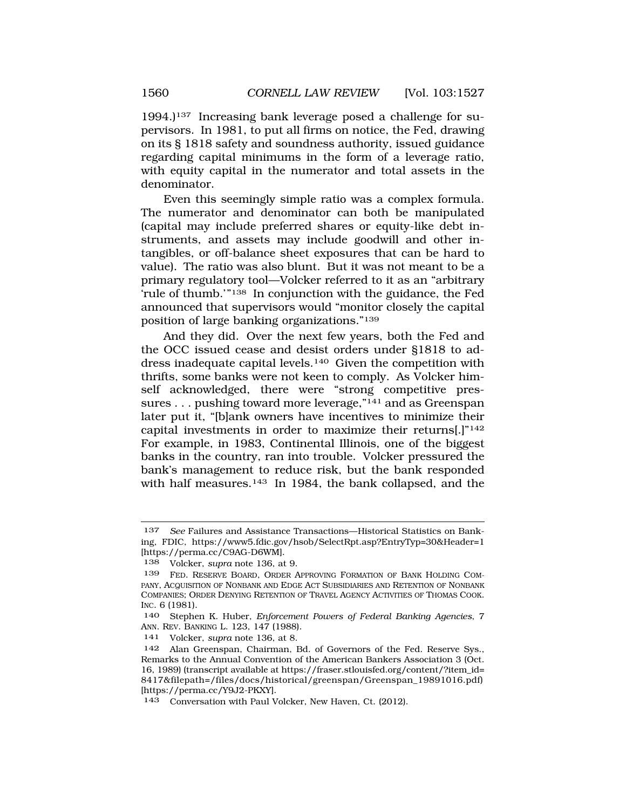1994.)137 Increasing bank leverage posed a challenge for supervisors. In 1981, to put all firms on notice, the Fed, drawing on its § 1818 safety and soundness authority, issued guidance regarding capital minimums in the form of a leverage ratio, with equity capital in the numerator and total assets in the denominator.

Even this seemingly simple ratio was a complex formula. The numerator and denominator can both be manipulated (capital may include preferred shares or equity-like debt instruments, and assets may include goodwill and other intangibles, or off-balance sheet exposures that can be hard to value). The ratio was also blunt. But it was not meant to be a primary regulatory tool—Volcker referred to it as an "arbitrary 'rule of thumb.'"138 In conjunction with the guidance, the Fed announced that supervisors would "monitor closely the capital position of large banking organizations."139

And they did. Over the next few years, both the Fed and the OCC issued cease and desist orders under §1818 to address inadequate capital levels.<sup>140</sup> Given the competition with thrifts, some banks were not keen to comply. As Volcker himself acknowledged, there were "strong competitive pressures . . . pushing toward more leverage,"141 and as Greenspan later put it, "[b]ank owners have incentives to minimize their capital investments in order to maximize their returns[.]"142 For example, in 1983, Continental Illinois, one of the biggest banks in the country, ran into trouble. Volcker pressured the bank's management to reduce risk, but the bank responded with half measures.<sup>143</sup> In 1984, the bank collapsed, and the

<sup>137</sup> *See* Failures and Assistance Transactions—Historical Statistics on Banking, FDIC, <https://www5.fdic.gov/hsob/SelectRpt.asp?EntryTyp=30&Header=1> [<https://perma.cc/C9AG-D6WM>].

<sup>138</sup> Volcker, *supra* note 136, at 9.

<sup>139</sup> FED. RESERVE BOARD, ORDER APPROVING FORMATION OF BANK HOLDING COM-PANY, ACQUISITION OF NONBANK AND EDGE ACT SUBSIDIARIES AND RETENTION OF NONBANK COMPANIES; ORDER DENYING RETENTION OF TRAVEL AGENCY ACTIVITIES OF THOMAS COOK. INC. 6 (1981).

<sup>140</sup> Stephen K. Huber, *Enforcement Powers of Federal Banking Agencies*, 7 ANN. REV. BANKING L. 123, 147 (1988).

<sup>141</sup> Volcker, *supra* note 136, at 8.

<sup>142</sup> Alan Greenspan, Chairman, Bd. of Governors of the Fed. Reserve Sys., Remarks to the Annual Convention of the American Bankers Association 3 (Oct. 16, 1989) (transcript available at [https://fraser.stlouisfed.org/content/?item\\_id=](https://fraser.stlouisfed.org/content/?item_id) 8417&filepath=/files/docs/historical/greenspan/Greenspan\_19891016.pdf) [<https://perma.cc/Y9J2-PKXY>].

<sup>143</sup> Conversation with Paul Volcker, New Haven, Ct. (2012).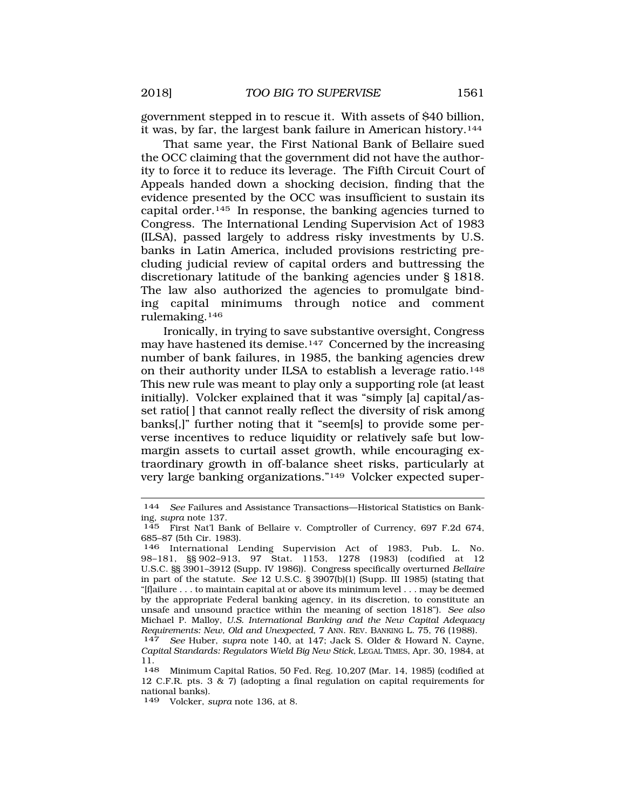government stepped in to rescue it. With assets of \$40 billion, it was, by far, the largest bank failure in American history.144

That same year, the First National Bank of Bellaire sued the OCC claiming that the government did not have the authority to force it to reduce its leverage. The Fifth Circuit Court of Appeals handed down a shocking decision, finding that the evidence presented by the OCC was insufficient to sustain its capital order.145 In response, the banking agencies turned to Congress. The International Lending Supervision Act of 1983 (ILSA), passed largely to address risky investments by U.S. banks in Latin America, included provisions restricting precluding judicial review of capital orders and buttressing the discretionary latitude of the banking agencies under § 1818. The law also authorized the agencies to promulgate binding capital minimums through notice and comment rulemaking.146

Ironically, in trying to save substantive oversight, Congress may have hastened its demise.147 Concerned by the increasing number of bank failures, in 1985, the banking agencies drew on their authority under ILSA to establish a leverage ratio.148 This new rule was meant to play only a supporting role (at least initially). Volcker explained that it was "simply [a] capital/asset ratio[ ] that cannot really reflect the diversity of risk among banks[,]" further noting that it "seem[s] to provide some perverse incentives to reduce liquidity or relatively safe but lowmargin assets to curtail asset growth, while encouraging extraordinary growth in off-balance sheet risks, particularly at very large banking organizations."149 Volcker expected super-

<sup>144</sup> *See* Failures and Assistance Transactions—Historical Statistics on Banking, *supra* note 137.

<sup>145</sup> First Nat'l Bank of Bellaire v. Comptroller of Currency, 697 F.2d 674, 685–87 (5th Cir. 1983).

<sup>146</sup> International Lending Supervision Act of 1983, Pub. L. No. 98–181, §§ 902–913, 97 Stat. 1153, 1278 (1983) (codified at 12 U.S.C. §§ 3901–3912 (Supp. IV 1986)). Congress specifically overturned *Bellaire*  in part of the statute. *See* 12 U.S.C. § 3907(b)(1) (Supp. III 1985) (stating that "[f]ailure . . . to maintain capital at or above its minimum level . . . may be deemed by the appropriate Federal banking agency, in its discretion, to constitute an unsafe and unsound practice within the meaning of section 1818"). *See also*  Michael P. Malloy, *U.S. International Banking and the New Capital Adequacy Requirements: New, Old and Unexpected*, 7 ANN. REV. BANKING L. 75, 76 (1988). 147 *See* Huber, *supra* note 140, at 147; Jack S. Older & Howard N. Cayne,

*Capital Standards: Regulators Wield Big New Stick,* LEGAL TIMES, Apr. 30, 1984, at 11.<br>148

Minimum Capital Ratios, 50 Fed. Reg. 10,207 (Mar. 14, 1985) (codified at 12 C.F.R. pts. 3  $\&$  7) (adopting a final regulation on capital requirements for national banks).

<sup>149</sup> Volcker, *supra* note 136, at 8.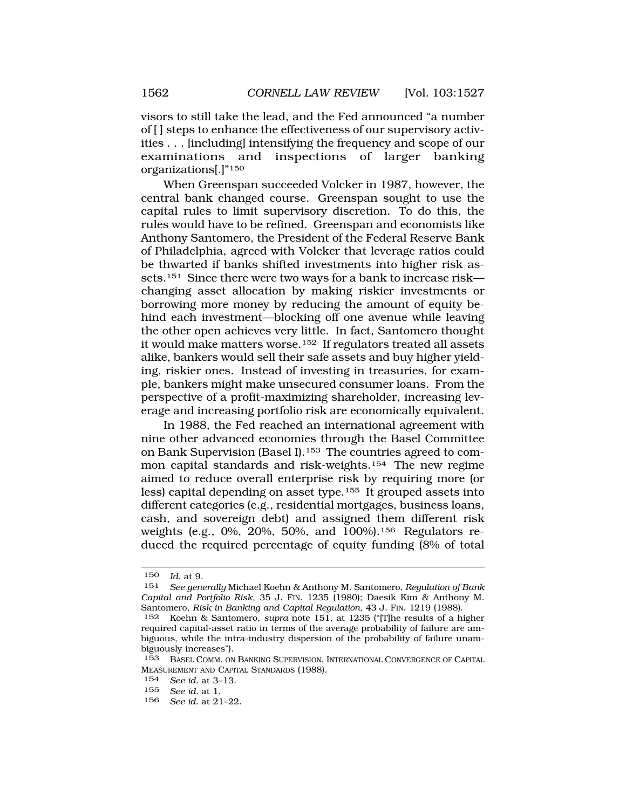visors to still take the lead, and the Fed announced "a number of [ ] steps to enhance the effectiveness of our supervisory activities . . . [including] intensifying the frequency and scope of our examinations and inspections of larger banking organizations[.]"150

When Greenspan succeeded Volcker in 1987, however, the central bank changed course. Greenspan sought to use the capital rules to limit supervisory discretion. To do this, the rules would have to be refined. Greenspan and economists like Anthony Santomero, the President of the Federal Reserve Bank of Philadelphia, agreed with Volcker that leverage ratios could be thwarted if banks shifted investments into higher risk assets.151 Since there were two ways for a bank to increase risk changing asset allocation by making riskier investments or borrowing more money by reducing the amount of equity behind each investment—blocking off one avenue while leaving the other open achieves very little. In fact, Santomero thought it would make matters worse.152 If regulators treated all assets alike, bankers would sell their safe assets and buy higher yielding, riskier ones. Instead of investing in treasuries, for example, bankers might make unsecured consumer loans. From the perspective of a profit-maximizing shareholder, increasing leverage and increasing portfolio risk are economically equivalent.

In 1988, the Fed reached an international agreement with nine other advanced economies through the Basel Committee on Bank Supervision (Basel I).153 The countries agreed to common capital standards and risk-weights.154 The new regime aimed to reduce overall enterprise risk by requiring more (or less) capital depending on asset type.155 It grouped assets into different categories (e.g., residential mortgages, business loans, cash, and sovereign debt) and assigned them different risk weights (e.g., 0%, 20%, 50%, and 100%).156 Regulators reduced the required percentage of equity funding (8% of total

<sup>150</sup> *Id.* at 9.

<sup>151</sup> *See generally* Michael Koehn & Anthony M. Santomero, *Regulation of Bank Capital and Portfolio Risk*, 35 J. FIN. 1235 (1980); Daesik Kim & Anthony M. Santomero, *Risk in Banking and Capital Regulation*, 43 J. FIN. 1219 (1988).

<sup>152</sup> Koehn & Santomero, *supra* note 151, at 1235 ("[T]he results of a higher required capital-asset ratio in terms of the average probability of failure are ambiguous, while the intra-industry dispersion of the probability of failure unambiguously increases").

<sup>153</sup> BASEL COMM. ON BANKING SUPERVISION, INTERNATIONAL CONVERGENCE OF CAPITAL MEASUREMENT AND CAPITAL STANDARDS (1988).

<sup>154</sup> *See id.* at 3–13.

<sup>155</sup> *See id.* at 1.

<sup>156</sup> *See id.* at 21–22.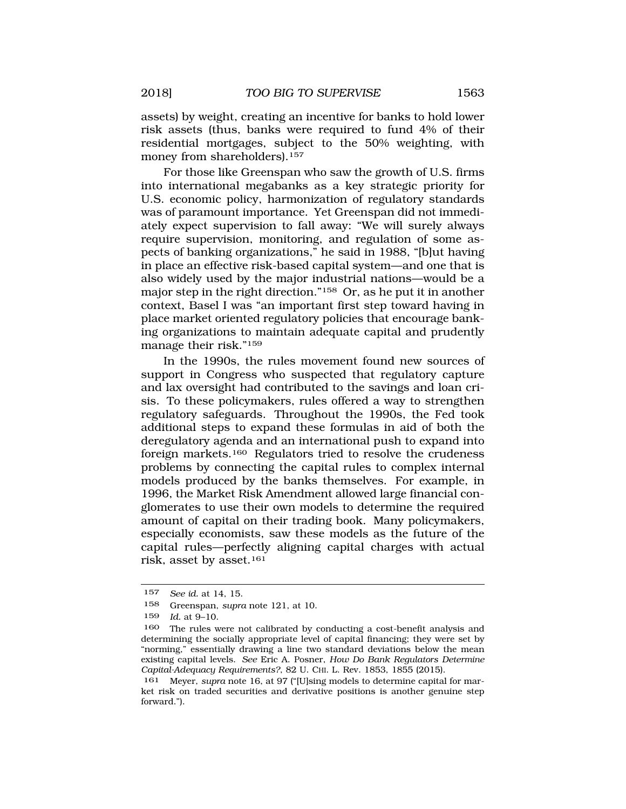assets) by weight, creating an incentive for banks to hold lower risk assets (thus, banks were required to fund 4% of their residential mortgages, subject to the 50% weighting, with money from shareholders).<sup>157</sup>

For those like Greenspan who saw the growth of U.S. firms into international megabanks as a key strategic priority for U.S. economic policy, harmonization of regulatory standards was of paramount importance. Yet Greenspan did not immediately expect supervision to fall away: "We will surely always require supervision, monitoring, and regulation of some aspects of banking organizations," he said in 1988, "[b]ut having in place an effective risk-based capital system—and one that is also widely used by the major industrial nations—would be a major step in the right direction."158 Or, as he put it in another context, Basel I was "an important first step toward having in place market oriented regulatory policies that encourage banking organizations to maintain adequate capital and prudently manage their risk."159

In the 1990s, the rules movement found new sources of support in Congress who suspected that regulatory capture and lax oversight had contributed to the savings and loan crisis. To these policymakers, rules offered a way to strengthen regulatory safeguards. Throughout the 1990s, the Fed took additional steps to expand these formulas in aid of both the deregulatory agenda and an international push to expand into foreign markets.160 Regulators tried to resolve the crudeness problems by connecting the capital rules to complex internal models produced by the banks themselves. For example, in 1996, the Market Risk Amendment allowed large financial conglomerates to use their own models to determine the required amount of capital on their trading book. Many policymakers, especially economists, saw these models as the future of the capital rules—perfectly aligning capital charges with actual risk, asset by asset.161

<sup>157</sup> *See id.* at 14, 15.

<sup>158</sup> Greenspan, *supra* note 121, at 10.

<sup>159</sup> *Id.* at 9–10.

<sup>160</sup> The rules were not calibrated by conducting a cost-benefit analysis and determining the socially appropriate level of capital financing; they were set by "norming," essentially drawing a line two standard deviations below the mean existing capital levels. *See* Eric A. Posner, *How Do Bank Regulators Determine Capital-Adequacy Requirements?*, 82 U. CHI. L. Rev. 1853, 1855 (2015).

<sup>161</sup> Meyer, *supra* note 16, at 97 ("[U]sing models to determine capital for market risk on traded securities and derivative positions is another genuine step forward.").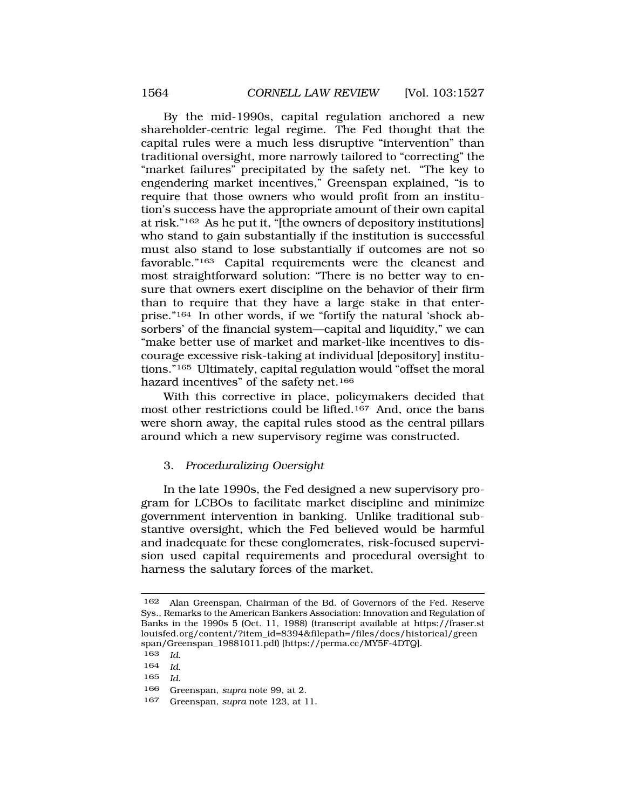<span id="page-37-0"></span>By the mid-1990s, capital regulation anchored a new shareholder-centric legal regime. The Fed thought that the capital rules were a much less disruptive "intervention" than traditional oversight, more narrowly tailored to "correcting" the "market failures" precipitated by the safety net. "The key to engendering market incentives," Greenspan explained, "is to require that those owners who would profit from an institution's success have the appropriate amount of their own capital at risk."162 As he put it, "[the owners of depository institutions] who stand to gain substantially if the institution is successful must also stand to lose substantially if outcomes are not so favorable."163 Capital requirements were the cleanest and most straightforward solution: "There is no better way to ensure that owners exert discipline on the behavior of their firm than to require that they have a large stake in that enterprise."164 In other words, if we "fortify the natural 'shock absorbers' of the financial system—capital and liquidity," we can "make better use of market and market-like incentives to discourage excessive risk-taking at individual [depository] institutions."165 Ultimately, capital regulation would "offset the moral hazard incentives" of the safety net.<sup>166</sup>

With this corrective in place, policymakers decided that most other restrictions could be lifted.167 And, once the bans were shorn away, the capital rules stood as the central pillars around which a new supervisory regime was constructed.

## 3. *Proceduralizing Oversight*

In the late 1990s, the Fed designed a new supervisory program for LCBOs to facilitate market discipline and minimize government intervention in banking. Unlike traditional substantive oversight, which the Fed believed would be harmful and inadequate for these conglomerates, risk-focused supervision used capital requirements and procedural oversight to harness the salutary forces of the market.

- 164 *Id.*
- 165 *Id.*

<sup>162</sup> Alan Greenspan, Chairman of the Bd. of Governors of the Fed. Reserve Sys., Remarks to the American Bankers Association: Innovation and Regulation of Banks in the 1990s 5 (Oct. 11, 1988) (transcript available at [https://fraser.st](http:https://fraser.st) louisfed.org/content/?item\_id=8394&filepath=/files/docs/historical/green span/Greenspan\_19881011.pdf) [<https://perma.cc/MY5F-4DTQ>].

<sup>163</sup> *Id.* 

<sup>166</sup> Greenspan, *supra* note 99, at 2.

<sup>167</sup> Greenspan, *supra* note 123, at 11.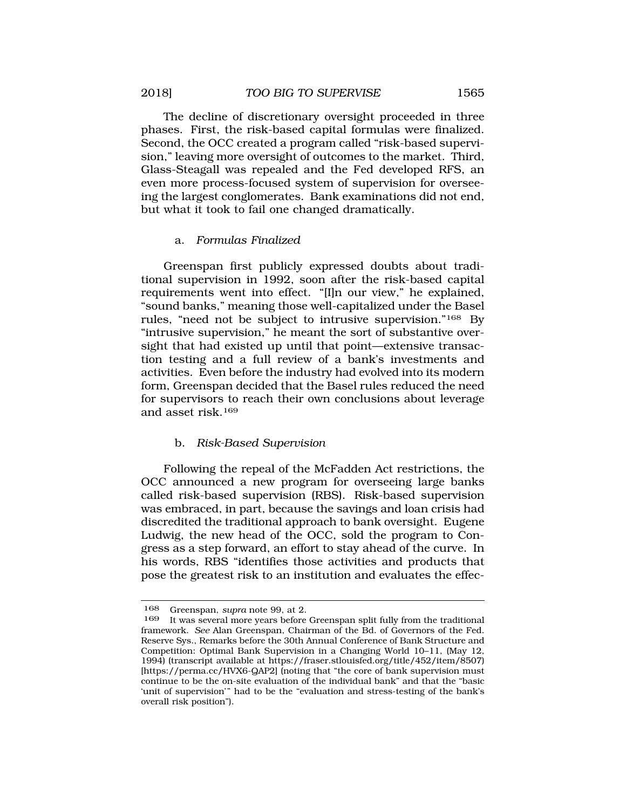<span id="page-38-0"></span>The decline of discretionary oversight proceeded in three phases. First, the risk-based capital formulas were finalized. Second, the OCC created a program called "risk-based supervision," leaving more oversight of outcomes to the market. Third, Glass-Steagall was repealed and the Fed developed RFS, an even more process-focused system of supervision for overseeing the largest conglomerates. Bank examinations did not end, but what it took to fail one changed dramatically.

#### a. *Formulas Finalized*

Greenspan first publicly expressed doubts about traditional supervision in 1992, soon after the risk-based capital requirements went into effect. "[I]n our view," he explained, "sound banks," meaning those well-capitalized under the Basel rules, "need not be subject to intrusive supervision."168 By "intrusive supervision," he meant the sort of substantive oversight that had existed up until that point—extensive transaction testing and a full review of a bank's investments and activities. Even before the industry had evolved into its modern form, Greenspan decided that the Basel rules reduced the need for supervisors to reach their own conclusions about leverage and asset risk.169

### b. *Risk-Based Supervision*

Following the repeal of the McFadden Act restrictions, the OCC announced a new program for overseeing large banks called risk-based supervision (RBS). Risk-based supervision was embraced, in part, because the savings and loan crisis had discredited the traditional approach to bank oversight. Eugene Ludwig, the new head of the OCC, sold the program to Congress as a step forward, an effort to stay ahead of the curve. In his words, RBS "identifies those activities and products that pose the greatest risk to an institution and evaluates the effec-

<sup>168</sup> Greenspan, *supra* note 99, at 2.

<sup>169</sup> It was several more years before Greenspan split fully from the traditional framework. *See* Alan Greenspan, Chairman of the Bd. of Governors of the Fed. Reserve Sys., Remarks before the 30th Annual Conference of Bank Structure and Competition: Optimal Bank Supervision in a Changing World 10–11, (May 12, 1994) (transcript available at <https://fraser.stlouisfed.org/title/452/item/8507>) [<https://perma.cc/HVX6-QAP2>] (noting that "the core of bank supervision must continue to be the on-site evaluation of the individual bank" and that the "basic 'unit of supervision'" had to be the "evaluation and stress-testing of the bank's overall risk position").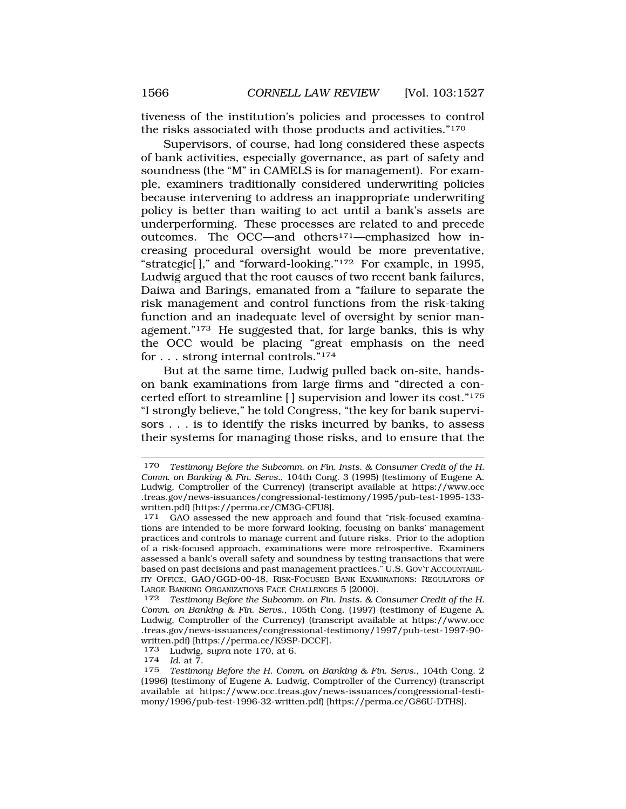tiveness of the institution's policies and processes to control the risks associated with those products and activities."170

Supervisors, of course, had long considered these aspects of bank activities, especially governance, as part of safety and soundness (the "M" in CAMELS is for management). For example, examiners traditionally considered underwriting policies because intervening to address an inappropriate underwriting policy is better than waiting to act until a bank's assets are underperforming. These processes are related to and precede outcomes. The OCC—and others171—emphasized how increasing procedural oversight would be more preventative, "strategic[ ]," and "forward-looking."172 For example, in 1995, Ludwig argued that the root causes of two recent bank failures, Daiwa and Barings, emanated from a "failure to separate the risk management and control functions from the risk-taking function and an inadequate level of oversight by senior management."173 He suggested that, for large banks, this is why the OCC would be placing "great emphasis on the need for . . . strong internal controls."174

But at the same time, Ludwig pulled back on-site, handson bank examinations from large firms and "directed a concerted effort to streamline [ ] supervision and lower its cost."175 "I strongly believe," he told Congress, "the key for bank supervisors . . . is to identify the risks incurred by banks, to assess their systems for managing those risks, and to ensure that the

<sup>170</sup> *Testimony Before the Subcomm. on Fin. Insts. & Consumer Credit of the H. Comm. on Banking & Fin. Servs.*, 104th Cong. 3 (1995) (testimony of Eugene A. Ludwig, Comptroller of the Currency) (transcript available at <https://www.occ> .treas.gov/news-issuances/congressional-testimony/1995/pub-test-1995-133- written.pdf) [\[https://perma.cc/CM3G-CFU8](https://perma.cc/CM3G-CFU8)].<br><sup>171</sup> GAO assessed the new approach and found that "risk-focused examina-

tions are intended to be more forward looking, focusing on banks' management practices and controls to manage current and future risks. Prior to the adoption of a risk-focused approach, examinations were more retrospective. Examiners assessed a bank's overall safety and soundness by testing transactions that were based on past decisions and past management practices." U.S. GOV'T ACCOUNTABIL-ITY OFFICE, GAO/GGD-00-48, RISK-FOCUSED BANK EXAMINATIONS: REGULATORS OF LARGE BANKING ORGANIZATIONS FACE CHALLENGES 5 (2000).

<sup>172</sup> *Testimony Before the Subcomm. on Fin. Insts. & Consumer Credit of the H. Comm. on Banking & Fin. Servs.*, 105th Cong. (1997) (testimony of Eugene A. Ludwig, Comptroller of the Currency) (transcript available at <https://www.occ> .treas.gov/news-issuances/congressional-testimony/1997/pub-test-1997-90 written.pdf) [\[https://perma.cc/K9SP-DCCF](https://perma.cc/K9SP-DCCF)].

<sup>173</sup> Ludwig, *supra* note 170, at 6. 174 *Id.* at 7.

Testimony Before the H. Comm. on Banking & Fin. Servs., 104th Cong. 2 (1996) (testimony of Eugene A. Ludwig, Comptroller of the Currency) (transcript available at <https://www.occ.treas.gov/news-issuances/congressional-testi>mony/1996/pub-test-1996-32-written.pdf) [\[https://perma.cc/G86U-DTH8](https://perma.cc/G86U-DTH8)].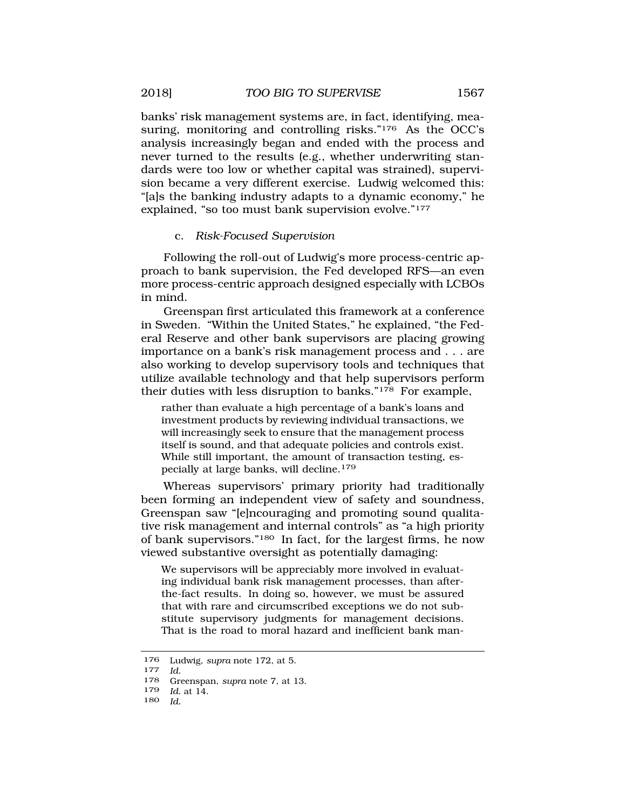<span id="page-40-0"></span>banks' risk management systems are, in fact, identifying, measuring, monitoring and controlling risks."<sup>176</sup> As the OCC's analysis increasingly began and ended with the process and never turned to the results (e.g., whether underwriting standards were too low or whether capital was strained), supervision became a very different exercise. Ludwig welcomed this: "[a]s the banking industry adapts to a dynamic economy," he explained, "so too must bank supervision evolve."177

## c. *Risk-Focused Supervision*

Following the roll-out of Ludwig's more process-centric approach to bank supervision, the Fed developed RFS—an even more process-centric approach designed especially with LCBOs in mind.

Greenspan first articulated this framework at a conference in Sweden. "Within the United States," he explained, "the Federal Reserve and other bank supervisors are placing growing importance on a bank's risk management process and . . . are also working to develop supervisory tools and techniques that utilize available technology and that help supervisors perform their duties with less disruption to banks."178 For example,

rather than evaluate a high percentage of a bank's loans and investment products by reviewing individual transactions, we will increasingly seek to ensure that the management process itself is sound, and that adequate policies and controls exist. While still important, the amount of transaction testing, especially at large banks, will decline.<sup>179</sup>

Whereas supervisors' primary priority had traditionally been forming an independent view of safety and soundness, Greenspan saw "[e]ncouraging and promoting sound qualitative risk management and internal controls" as "a high priority of bank supervisors."180 In fact, for the largest firms, he now viewed substantive oversight as potentially damaging:

We supervisors will be appreciably more involved in evaluating individual bank risk management processes, than afterthe-fact results. In doing so, however, we must be assured that with rare and circumscribed exceptions we do not substitute supervisory judgments for management decisions. That is the road to moral hazard and inefficient bank man-

180 *Id.* 

<sup>176</sup> Ludwig, *supra* note 172, at 5. 177 *Id.* 

<sup>178</sup> Greenspan, *supra* note 7, at 13.

<sup>179</sup> *Id.* at 14.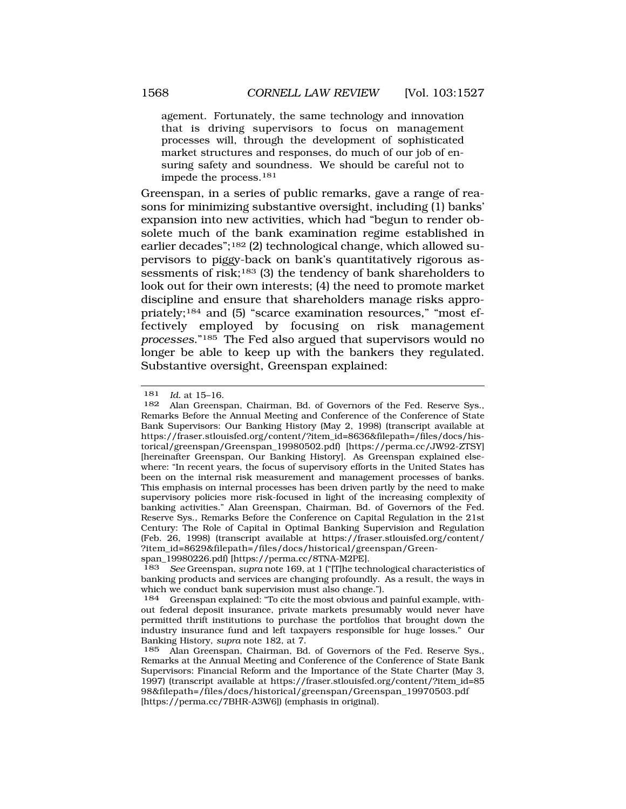agement. Fortunately, the same technology and innovation that is driving supervisors to focus on management processes will, through the development of sophisticated market structures and responses, do much of our job of ensuring safety and soundness. We should be careful not to impede the process.<sup>181</sup>

Greenspan, in a series of public remarks, gave a range of reasons for minimizing substantive oversight, including (1) banks' expansion into new activities, which had "begun to render obsolete much of the bank examination regime established in earlier decades";182 (2) technological change, which allowed supervisors to piggy-back on bank's quantitatively rigorous assessments of risk;<sup>183</sup> (3) the tendency of bank shareholders to look out for their own interests; (4) the need to promote market discipline and ensure that shareholders manage risks appropriately;184 and (5) "scarce examination resources," "most effectively employed by focusing on risk management *processes*."185 The Fed also argued that supervisors would no longer be able to keep up with the bankers they regulated. Substantive oversight, Greenspan explained:

<sup>181</sup> *Id.* at 15–16.

Alan Greenspan, Chairman, Bd. of Governors of the Fed. Reserve Sys., Remarks Before the Annual Meeting and Conference of the Conference of State Bank Supervisors: Our Banking History (May 2, 1998) (transcript available at [https://fraser.stlouisfed.org/content/?item\\_id=8636&filepath=/files/docs/his](https://fraser.stlouisfed.org/content/?item_id=8636&filepath=/files/docs/his)torical/greenspan/Greenspan\_19980502.pdf) [\[https://perma.cc/JW92-ZTSY](https://perma.cc/JW92-ZTSY)] [hereinafter Greenspan, Our Banking History]. As Greenspan explained elsewhere: "In recent years, the focus of supervisory efforts in the United States has been on the internal risk measurement and management processes of banks. This emphasis on internal processes has been driven partly by the need to make supervisory policies more risk-focused in light of the increasing complexity of banking activities." Alan Greenspan, Chairman, Bd. of Governors of the Fed. Reserve Sys., Remarks Before the Conference on Capital Regulation in the 21st Century: The Role of Capital in Optimal Banking Supervision and Regulation (Feb. 26, 1998) (transcript available at [https://fraser.stlouisfed.org/content/](https://fraser.stlouisfed.org/content) ?item\_id=8629&filepath=/files/docs/historical/greenspan/Green-

span\_19980226.pdf) [\[https://perma.cc/8TNA-M2PE\]](https://perma.cc/8TNA-M2PE).<br>183 See Greenspan\_supra pote 169 at 1 ("IT the tech 183 *See* Greenspan, *supra* note 169, at 1 ("[T]he technological characteristics of banking products and services are changing profoundly. As a result, the ways in which we conduct bank supervision must also change.").

<sup>184</sup> Greenspan explained: "To cite the most obvious and painful example, without federal deposit insurance, private markets presumably would never have permitted thrift institutions to purchase the portfolios that brought down the industry insurance fund and left taxpayers responsible for huge losses." Our Banking History, *supra* note 182, at 7.

<sup>185</sup> Alan Greenspan, Chairman, Bd. of Governors of the Fed. Reserve Sys., Remarks at the Annual Meeting and Conference of the Conference of State Bank Supervisors: Financial Reform and the Importance of the State Charter (May 3, 1997) (transcript available at [https://fraser.stlouisfed.org/content/?item\\_id=85](https://fraser.stlouisfed.org/content/?item_id=85) 98&filepath=/files/docs/historical/greenspan/Greenspan\_19970503.pdf [[https://perma.cc/7BHR-A3W6\]](https://perma.cc/7BHR-A3W6)) (emphasis in original).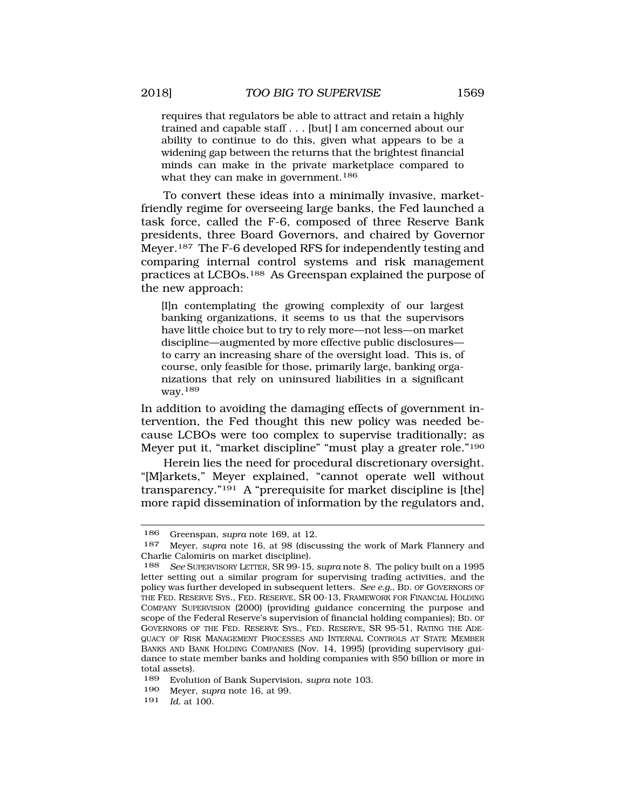requires that regulators be able to attract and retain a highly trained and capable staff . . . [but] I am concerned about our ability to continue to do this, given what appears to be a widening gap between the returns that the brightest financial minds can make in the private marketplace compared to what they can make in government.<sup>186</sup>

To convert these ideas into a minimally invasive, marketfriendly regime for overseeing large banks, the Fed launched a task force, called the F-6, composed of three Reserve Bank presidents, three Board Governors, and chaired by Governor Meyer.187 The F-6 developed RFS for independently testing and comparing internal control systems and risk management practices at LCBOs.188 As Greenspan explained the purpose of the new approach:

[I]n contemplating the growing complexity of our largest banking organizations, it seems to us that the supervisors have little choice but to try to rely more—not less—on market discipline—augmented by more effective public disclosures to carry an increasing share of the oversight load. This is, of course, only feasible for those, primarily large, banking organizations that rely on uninsured liabilities in a significant way.189

In addition to avoiding the damaging effects of government intervention, the Fed thought this new policy was needed because LCBOs were too complex to supervise traditionally; as Meyer put it, "market discipline" "must play a greater role."190

Herein lies the need for procedural discretionary oversight. "[M]arkets," Meyer explained, "cannot operate well without transparency."191 A "prerequisite for market discipline is [the] more rapid dissemination of information by the regulators and,

<sup>186</sup> Greenspan, *supra* note 169, at 12.

<sup>187</sup> Meyer, *supra* note 16, at 98 (discussing the work of Mark Flannery and Charlie Calomiris on market discipline).

<sup>188</sup> *See* SUPERVISORY LETTER, SR 99-15, *supra* note 8. The policy built on a 1995 letter setting out a similar program for supervising trading activities, and the policy was further developed in subsequent letters. *See e.g.*, BD. OF GOVERNORS OF THE FED. RESERVE SYS., FED. RESERVE, SR 00-13, FRAMEWORK FOR FINANCIAL HOLDING COMPANY SUPERVISION (2000) (providing guidance concerning the purpose and scope of the Federal Reserve's supervision of financial holding companies); BD. OF GOVERNORS OF THE FED. RESERVE SYS., FED. RESERVE, SR 95-51, RATING THE ADE-QUACY OF RISK MANAGEMENT PROCESSES AND INTERNAL CONTROLS AT STATE MEMBER BANKS AND BANK HOLDING COMPANIES (Nov. 14, 1995) (providing supervisory guidance to state member banks and holding companies with \$50 billion or more in total assets).

<sup>189</sup> Evolution of Bank Supervision, *supra* note 103.

<sup>190</sup> Meyer, *supra* note 16, at 99.

<sup>191</sup> *Id.* at 100.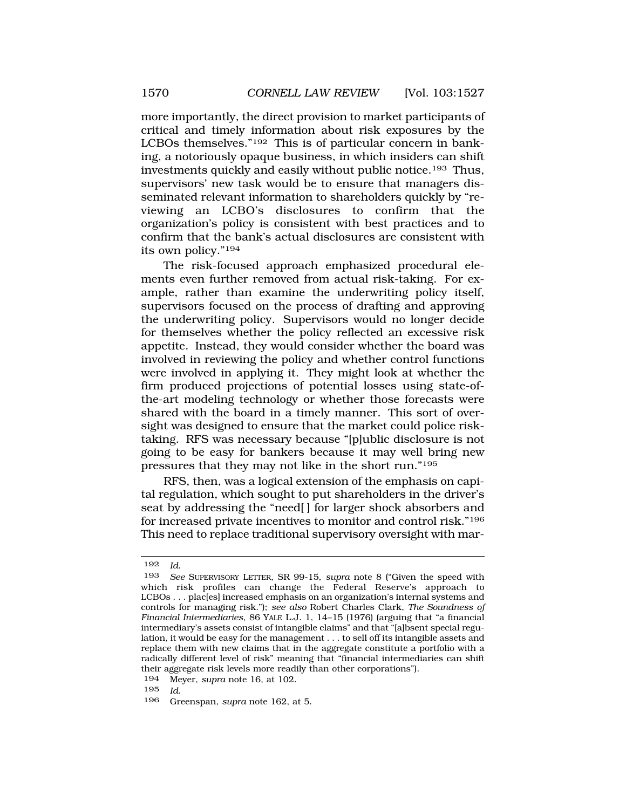more importantly, the direct provision to market participants of critical and timely information about risk exposures by the LCBOs themselves."192 This is of particular concern in banking, a notoriously opaque business, in which insiders can shift investments quickly and easily without public notice.193 Thus, supervisors' new task would be to ensure that managers disseminated relevant information to shareholders quickly by "reviewing an LCBO's disclosures to confirm that the organization's policy is consistent with best practices and to confirm that the bank's actual disclosures are consistent with its own policy."194

The risk-focused approach emphasized procedural elements even further removed from actual risk-taking. For example, rather than examine the underwriting policy itself, supervisors focused on the process of drafting and approving the underwriting policy. Supervisors would no longer decide for themselves whether the policy reflected an excessive risk appetite. Instead, they would consider whether the board was involved in reviewing the policy and whether control functions were involved in applying it. They might look at whether the firm produced projections of potential losses using state-ofthe-art modeling technology or whether those forecasts were shared with the board in a timely manner. This sort of oversight was designed to ensure that the market could police risktaking. RFS was necessary because "[p]ublic disclosure is not going to be easy for bankers because it may well bring new pressures that they may not like in the short run."195

RFS, then, was a logical extension of the emphasis on capital regulation, which sought to put shareholders in the driver's seat by addressing the "need[ ] for larger shock absorbers and for increased private incentives to monitor and control risk."196 This need to replace traditional supervisory oversight with mar-

<sup>192</sup> *Id.* 

<sup>193</sup> *See* SUPERVISORY LETTER, SR 99-15, *supra* note 8 ("Given the speed with which risk profiles can change the Federal Reserve's approach to LCBOs . . . plac[es] increased emphasis on an organization's internal systems and controls for managing risk."); *see also* Robert Charles Clark, *The Soundness of Financial Intermediaries*, 86 YALE L.J. 1, 14–15 (1976) (arguing that "a financial intermediary's assets consist of intangible claims" and that "[a]bsent special regulation, it would be easy for the management . . . to sell off its intangible assets and replace them with new claims that in the aggregate constitute a portfolio with a radically different level of risk" meaning that "financial intermediaries can shift their aggregate risk levels more readily than other corporations").

<sup>194</sup> Meyer, *supra* note 16, at 102.

<sup>195</sup> *Id.* 

Greenspan, *supra* note 162, at 5.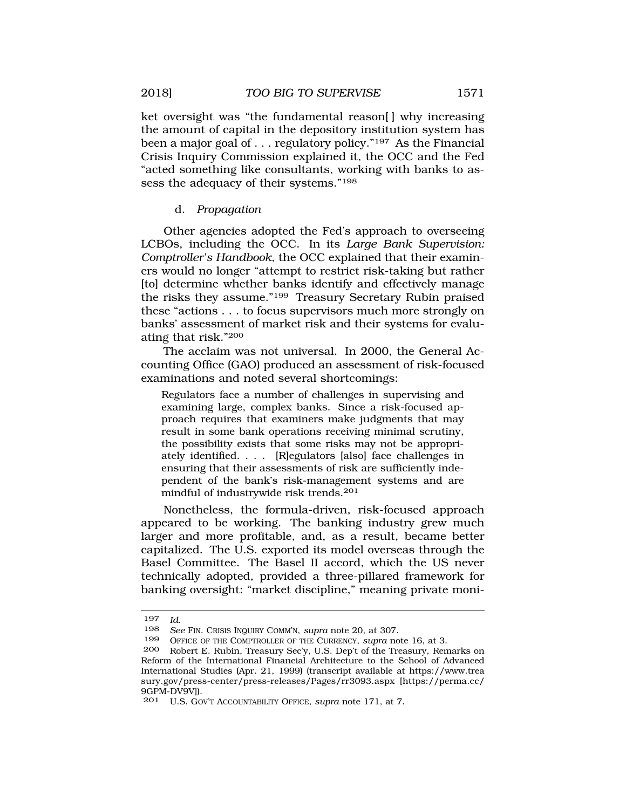<span id="page-44-0"></span>ket oversight was "the fundamental reason. why increasing the amount of capital in the depository institution system has been a major goal of . . . regulatory policy."197 As the Financial Crisis Inquiry Commission explained it, the OCC and the Fed "acted something like consultants, working with banks to assess the adequacy of their systems."198

## d. *Propagation*

Other agencies adopted the Fed's approach to overseeing LCBOs, including the OCC. In its *Large Bank Supervision: Comptroller's Handbook*, the OCC explained that their examiners would no longer "attempt to restrict risk-taking but rather [to] determine whether banks identify and effectively manage the risks they assume."199 Treasury Secretary Rubin praised these "actions . . . to focus supervisors much more strongly on banks' assessment of market risk and their systems for evaluating that risk."200

The acclaim was not universal. In 2000, the General Accounting Office (GAO) produced an assessment of risk-focused examinations and noted several shortcomings:

Regulators face a number of challenges in supervising and examining large, complex banks. Since a risk-focused approach requires that examiners make judgments that may result in some bank operations receiving minimal scrutiny, the possibility exists that some risks may not be appropriately identified. . . . [R]egulators [also] face challenges in ensuring that their assessments of risk are sufficiently independent of the bank's risk-management systems and are mindful of industrywide risk trends.<sup>201</sup>

Nonetheless, the formula-driven, risk-focused approach appeared to be working. The banking industry grew much larger and more profitable, and, as a result, became better capitalized. The U.S. exported its model overseas through the Basel Committee. The Basel II accord, which the US never technically adopted, provided a three-pillared framework for banking oversight: "market discipline," meaning private moni-

<sup>197</sup>*Id.*<br>198 *See FIN. CRISIS INQUIRY COMM'N, supra* note 20, at 307.<br>199 **OEECE OF THE COMPTROLLER OF THE CLIRENCY** *supra* no

<sup>199</sup> OFFICE OF THE COMPTROLLER OF THE CURRENCY, *supra* note 16, at 3.

Robert E. Rubin, Treasury Sec'y, U.S. Dep't of the Treasury, Remarks on Reform of the International Financial Architecture to the School of Advanced International Studies (Apr. 21, 1999) (transcript available at <https://www.trea> [sury.gov/press-center/press-releases/Pages/rr3093.aspx](https://sury.gov/press-center/press-releases/Pages/rr3093.aspx) [[https://perma.cc/](http:https://perma.cc) 9GPM-DV9V]).

<sup>201</sup> U.S. GOV'T ACCOUNTABILITY OFFICE, *supra* note 171, at 7.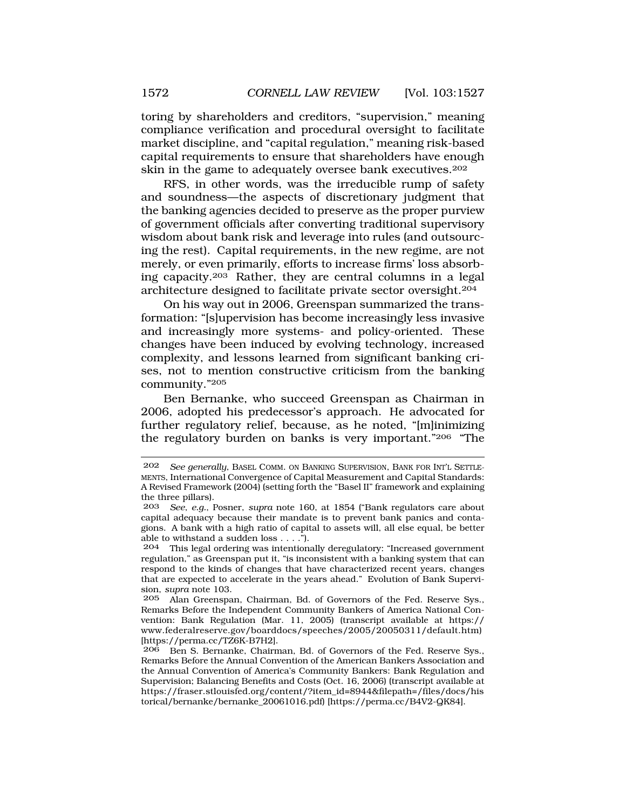toring by shareholders and creditors, "supervision," meaning compliance verification and procedural oversight to facilitate market discipline, and "capital regulation," meaning risk-based capital requirements to ensure that shareholders have enough skin in the game to adequately oversee bank executives.202

RFS, in other words, was the irreducible rump of safety and soundness—the aspects of discretionary judgment that the banking agencies decided to preserve as the proper purview of government officials after converting traditional supervisory wisdom about bank risk and leverage into rules (and outsourcing the rest). Capital requirements, in the new regime, are not merely, or even primarily, efforts to increase firms' loss absorbing capacity.203 Rather, they are central columns in a legal architecture designed to facilitate private sector oversight.204

On his way out in 2006, Greenspan summarized the transformation: "[s]upervision has become increasingly less invasive and increasingly more systems- and policy-oriented. These changes have been induced by evolving technology, increased complexity, and lessons learned from significant banking crises, not to mention constructive criticism from the banking community."205

Ben Bernanke, who succeed Greenspan as Chairman in 2006, adopted his predecessor's approach. He advocated for further regulatory relief, because, as he noted, "[m]inimizing the regulatory burden on banks is very important."206 "The

<sup>202</sup> *See generally*, BASEL COMM. ON BANKING SUPERVISION, BANK FOR INT'L SETTLE-MENTS, International Convergence of Capital Measurement and Capital Standards: A Revised Framework (2004) (setting forth the "Basel II" framework and explaining the three pillars).

<sup>203</sup> *See*, *e.g.*, Posner, *supra* note 160, at 1854 ("Bank regulators care about capital adequacy because their mandate is to prevent bank panics and contagions. A bank with a high ratio of capital to assets will, all else equal, be better able to withstand a sudden loss  $\dots$ ").<br>204 This legal ordering was intention

<sup>204</sup> This legal ordering was intentionally deregulatory: "Increased government regulation," as Greenspan put it, "is inconsistent with a banking system that can respond to the kinds of changes that have characterized recent years, changes that are expected to accelerate in the years ahead." Evolution of Bank Supervision, *supra* note 103.

<sup>205</sup> Alan Greenspan, Chairman, Bd. of Governors of the Fed. Reserve Sys., Remarks Before the Independent Community Bankers of America National Convention: Bank Regulation (Mar. 11, 2005) (transcript available at https:// [www.federalreserve.gov/boarddocs/speeches/2005/20050311/default.htm\)](www.federalreserve.gov/boarddocs/speeches/2005/20050311/default.htm) [<https://perma.cc/TZ6K-B7H2>].

Ben S. Bernanke, Chairman, Bd. of Governors of the Fed. Reserve Sys., Remarks Before the Annual Convention of the American Bankers Association and the Annual Convention of America's Community Bankers: Bank Regulation and Supervision; Balancing Benefits and Costs (Oct. 16, 2006) (transcript available at [https://fraser.stlouisfed.org/content/?item\\_id=8944&filepath=/files/docs/his](https://fraser.stlouisfed.org/content/?item_id=8944&filepath=/files/docs/his) torical/bernanke/bernanke\_20061016.pdf) [\[https://perma.cc/B4V2-QK84\]](https://perma.cc/B4V2-QK84).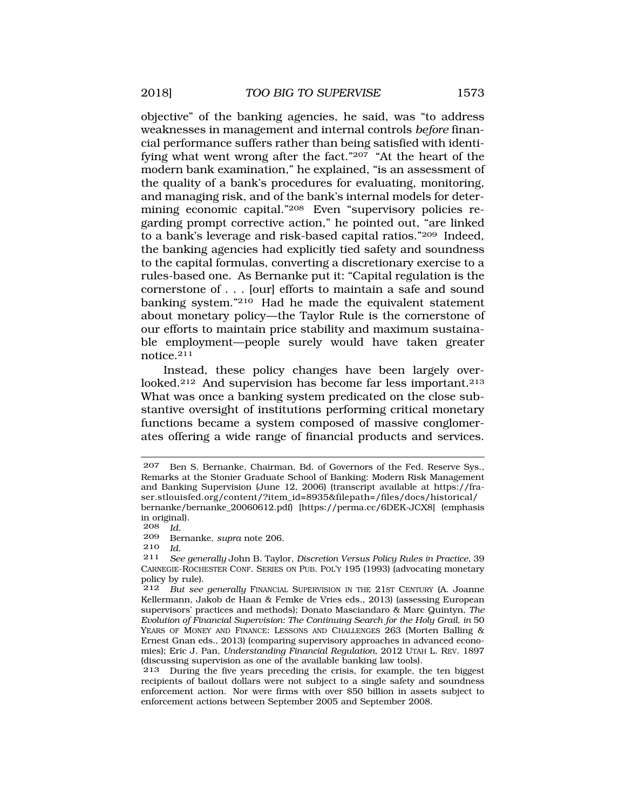objective" of the banking agencies, he said, was "to address weaknesses in management and internal controls *before* financial performance suffers rather than being satisfied with identifying what went wrong after the fact." $20\overline{7}$  "At the heart of the modern bank examination," he explained, "is an assessment of the quality of a bank's procedures for evaluating, monitoring, and managing risk, and of the bank's internal models for determining economic capital."208 Even "supervisory policies regarding prompt corrective action," he pointed out, "are linked to a bank's leverage and risk-based capital ratios."209 Indeed, the banking agencies had explicitly tied safety and soundness to the capital formulas, converting a discretionary exercise to a rules-based one. As Bernanke put it: "Capital regulation is the cornerstone of . . . [our] efforts to maintain a safe and sound banking system."210 Had he made the equivalent statement about monetary policy—the Taylor Rule is the cornerstone of our efforts to maintain price stability and maximum sustainable employment—people surely would have taken greater notice.211

Instead, these policy changes have been largely overlooked.<sup>212</sup> And supervision has become far less important.<sup>213</sup> What was once a banking system predicated on the close substantive oversight of institutions performing critical monetary functions became a system composed of massive conglomerates offering a wide range of financial products and services.

<sup>207</sup> Ben S. Bernanke, Chairman, Bd. of Governors of the Fed. Reserve Sys., Remarks at the Stonier Graduate School of Banking: Modern Risk Management and Banking Supervision (June 12, 2006) (transcript available at <https://fra>ser.stlouisfed.org/content/?item\_id=8935&filepath=/files/docs/historical/ bernanke/bernanke\_20060612.pdf) [\[https://perma.cc/6DEK-JCX8](https://perma.cc/6DEK-JCX8)] (emphasis in original).

 $\frac{208}{209}$  *Id.* 

<sup>209</sup> Bernanke, *supra* note 206.

<sup>210</sup> *Id.* 

<sup>211</sup> *See generally* John B. Taylor, *Discretion Versus Policy Rules in Practice*, 39 CARNEGIE-ROCHESTER CONF. SERIES ON PUB. POL'Y 195 (1993) (advocating monetary policy by rule).

<sup>212</sup> *But see generally* FINANCIAL SUPERVISION IN THE 21ST CENTURY (A. Joanne Kellermann, Jakob de Haan & Femke de Vries eds., 2013) (assessing European supervisors' practices and methods); Donato Masciandaro & Marc Quintyn, *The Evolution of Financial Supervision: The Continuing Search for the Holy Grail*, *in* 50 YEARS OF MONEY AND FINANCE: LESSONS AND CHALLENGES 263 (Morten Balling & Ernest Gnan eds., 2013) (comparing supervisory approaches in advanced economies); Eric J. Pan, *Understanding Financial Regulation*, 2012 UTAH L. REV. 1897 (discussing supervision as one of the available banking law tools).

<sup>213</sup> During the five years preceding the crisis, for example, the ten biggest recipients of bailout dollars were not subject to a single safety and soundness enforcement action. Nor were firms with over \$50 billion in assets subject to enforcement actions between September 2005 and September 2008.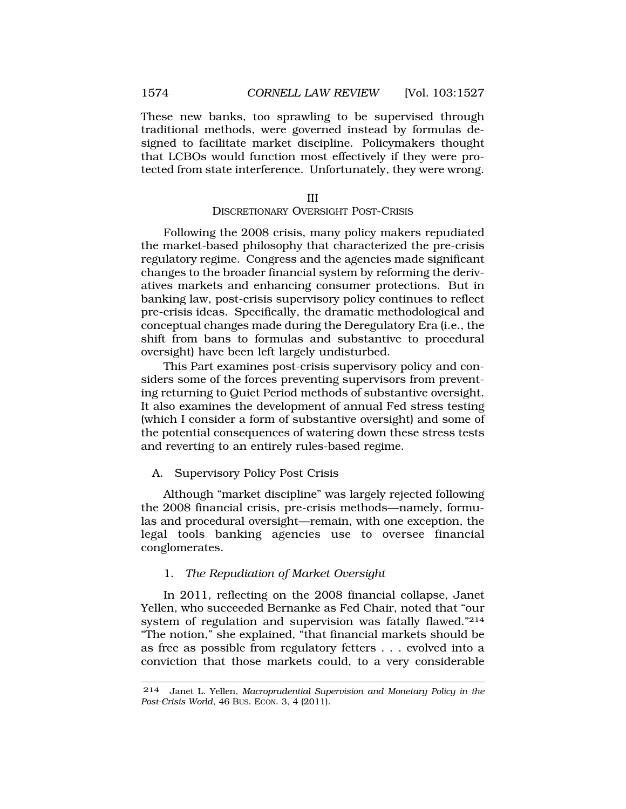<span id="page-47-0"></span>These new banks, too sprawling to be supervised through traditional methods, were governed instead by formulas designed to facilitate market discipline. Policymakers thought that LCBOs would function most effectively if they were protected from state interference. Unfortunately, they were wrong.

#### III

#### DISCRETIONARY OVERSIGHT POST-CRISIS

Following the 2008 crisis, many policy makers repudiated the market-based philosophy that characterized the pre-crisis regulatory regime. Congress and the agencies made significant changes to the broader financial system by reforming the derivatives markets and enhancing consumer protections. But in banking law, post-crisis supervisory policy continues to reflect pre-crisis ideas. Specifically, the dramatic methodological and conceptual changes made during the Deregulatory Era (i.e., the shift from bans to formulas and substantive to procedural oversight) have been left largely undisturbed.

This Part examines post-crisis supervisory policy and considers some of the forces preventing supervisors from preventing returning to Quiet Period methods of substantive oversight. It also examines the development of annual Fed stress testing (which I consider a form of substantive oversight) and some of the potential consequences of watering down these stress tests and reverting to an entirely rules-based regime.

#### A. Supervisory Policy Post Crisis

Although "market discipline" was largely rejected following the 2008 financial crisis, pre-crisis methods—namely, formulas and procedural oversight—remain, with one exception, the legal tools banking agencies use to oversee financial conglomerates.

### 1. *The Repudiation of Market Oversight*

In 2011, reflecting on the 2008 financial collapse, Janet Yellen, who succeeded Bernanke as Fed Chair, noted that "our system of regulation and supervision was fatally flawed."214 "The notion," she explained, "that financial markets should be as free as possible from regulatory fetters . . . evolved into a conviction that those markets could, to a very considerable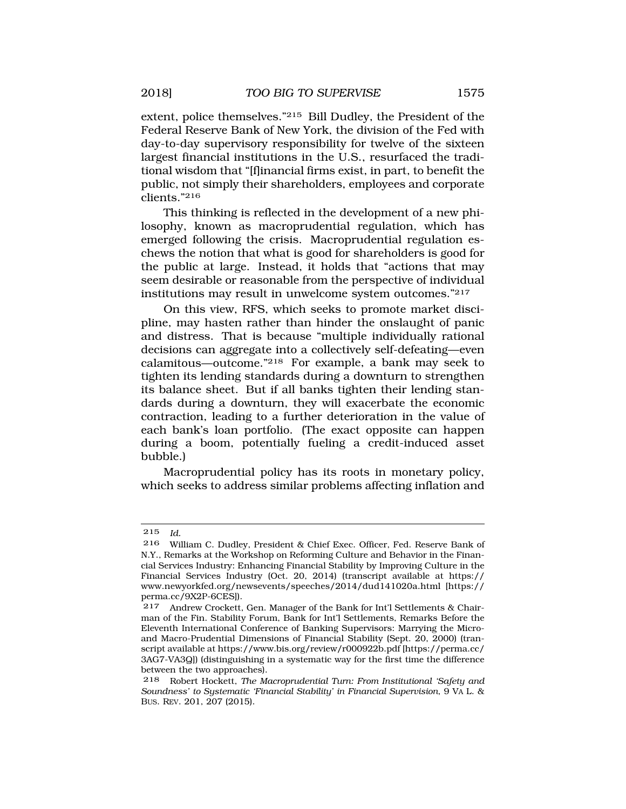extent, police themselves."215 Bill Dudley, the President of the Federal Reserve Bank of New York, the division of the Fed with day-to-day supervisory responsibility for twelve of the sixteen largest financial institutions in the U.S., resurfaced the traditional wisdom that "[f]inancial firms exist, in part, to benefit the public, not simply their shareholders, employees and corporate clients."216

This thinking is reflected in the development of a new philosophy, known as macroprudential regulation, which has emerged following the crisis. Macroprudential regulation eschews the notion that what is good for shareholders is good for the public at large. Instead, it holds that "actions that may seem desirable or reasonable from the perspective of individual institutions may result in unwelcome system outcomes."217

On this view, RFS, which seeks to promote market discipline, may hasten rather than hinder the onslaught of panic and distress. That is because "multiple individually rational decisions can aggregate into a collectively self-defeating—even calamitous—outcome."218 For example, a bank may seek to tighten its lending standards during a downturn to strengthen its balance sheet. But if all banks tighten their lending standards during a downturn, they will exacerbate the economic contraction, leading to a further deterioration in the value of each bank's loan portfolio. (The exact opposite can happen during a boom, potentially fueling a credit-induced asset bubble.)

Macroprudential policy has its roots in monetary policy, which seeks to address similar problems affecting inflation and

<sup>215</sup> *Id.* 

<sup>216</sup> William C. Dudley, President & Chief Exec. Officer, Fed. Reserve Bank of N.Y., Remarks at the Workshop on Reforming Culture and Behavior in the Financial Services Industry: Enhancing Financial Stability by Improving Culture in the Financial Services Industry (Oct. 20, 2014) (transcript available at https:// <www.newyorkfed.org/newsevents/speeches/2014/dud141020a.html> [https:// perma.cc/9X2P-6CES]).

<sup>217</sup> Andrew Crockett, Gen. Manager of the Bank for Int'l Settlements & Chairman of the Fin. Stability Forum, Bank for Int'l Settlements, Remarks Before the Eleventh International Conference of Banking Supervisors: Marrying the Microand Macro-Prudential Dimensions of Financial Stability (Sept. 20, 2000) (transcript available at<https://www.bis.org/review/r000922b.pdf> [\[https://perma.cc/](http:https://perma.cc) 3AG7-VA3Q]) (distinguishing in a systematic way for the first time the difference between the two approaches).

<sup>218</sup> Robert Hockett, *The Macroprudential Turn: From Institutional 'Safety and Soundness' to Systematic 'Financial Stability' in Financial Supervision*, 9 VA L. & BUS. REV. 201, 207 (2015).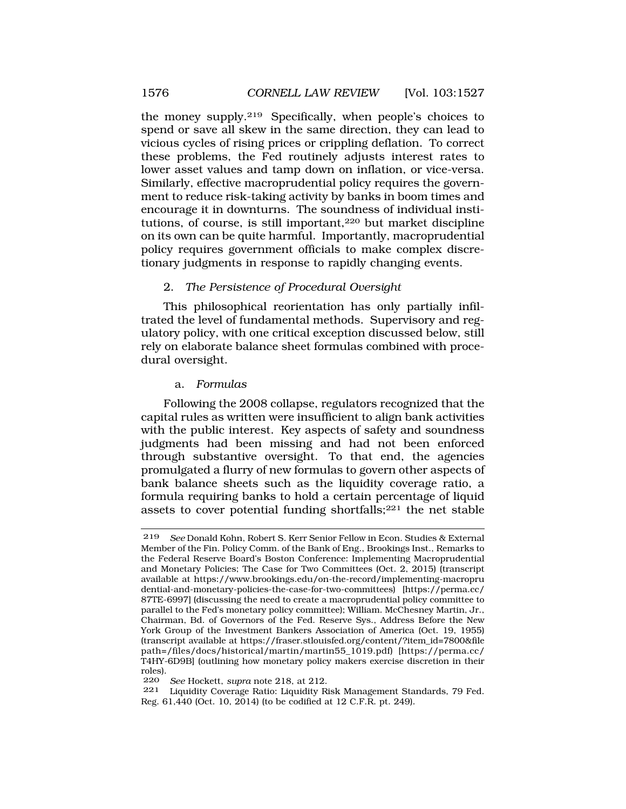<span id="page-49-0"></span>the money supply.219 Specifically, when people's choices to spend or save all skew in the same direction, they can lead to vicious cycles of rising prices or crippling deflation. To correct these problems, the Fed routinely adjusts interest rates to lower asset values and tamp down on inflation, or vice-versa. Similarly, effective macroprudential policy requires the government to reduce risk-taking activity by banks in boom times and encourage it in downturns. The soundness of individual institutions, of course, is still important,<sup>220</sup> but market discipline on its own can be quite harmful. Importantly, macroprudential policy requires government officials to make complex discretionary judgments in response to rapidly changing events.

### 2. *The Persistence of Procedural Oversight*

This philosophical reorientation has only partially infiltrated the level of fundamental methods. Supervisory and regulatory policy, with one critical exception discussed below, still rely on elaborate balance sheet formulas combined with procedural oversight.

### a. *Formulas*

Following the 2008 collapse, regulators recognized that the capital rules as written were insufficient to align bank activities with the public interest. Key aspects of safety and soundness judgments had been missing and had not been enforced through substantive oversight. To that end, the agencies promulgated a flurry of new formulas to govern other aspects of bank balance sheets such as the liquidity coverage ratio, a formula requiring banks to hold a certain percentage of liquid assets to cover potential funding shortfalls; $^{221}$  the net stable

220 *See* Hockett, *supra* note 218, at 212.

Liquidity Coverage Ratio: Liquidity Risk Management Standards, 79 Fed. Reg. 61,440 (Oct. 10, 2014) (to be codified at 12 C.F.R. pt. 249).

<sup>219</sup> *See* Donald Kohn, Robert S. Kerr Senior Fellow in Econ. Studies & External Member of the Fin. Policy Comm. of the Bank of Eng., Brookings Inst., Remarks to the Federal Reserve Board's Boston Conference: Implementing Macroprudential and Monetary Policies; The Case for Two Committees (Oct. 2, 2015) (transcript available at <https://www.brookings.edu/on-the-record/implementing-macropru> dential-and-monetary-policies-the-case-for-two-committees) [\[https://perma.cc/](http:https://perma.cc) 87TE-6997] (discussing the need to create a macroprudential policy committee to parallel to the Fed's monetary policy committee); William. McChesney Martin, Jr., Chairman, Bd. of Governors of the Fed. Reserve Sys., Address Before the New York Group of the Investment Bankers Association of America (Oct. 19, 1955) (transcript available at [https://fraser.stlouisfed.org/content/?item\\_id=7800&file](https://fraser.stlouisfed.org/content/?item_id=7800&file) path=/files/docs/historical/martin/martin55\_1019.pdf) [[https://perma.cc/](http:https://perma.cc) T4HY-6D9B] (outlining how monetary policy makers exercise discretion in their roles).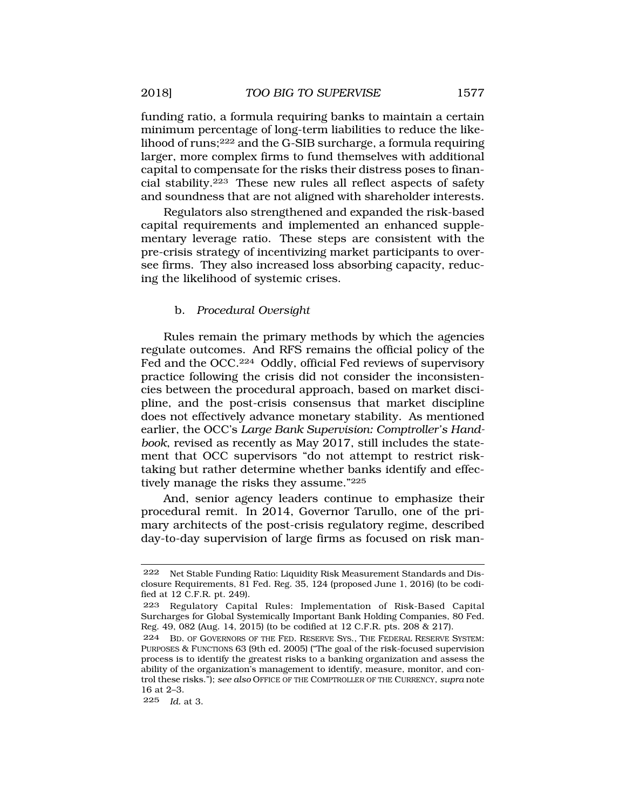<span id="page-50-0"></span>funding ratio, a formula requiring banks to maintain a certain minimum percentage of long-term liabilities to reduce the likelihood of runs;222 and the G-SIB surcharge, a formula requiring larger, more complex firms to fund themselves with additional capital to compensate for the risks their distress poses to financial stability.223 These new rules all reflect aspects of safety and soundness that are not aligned with shareholder interests.

Regulators also strengthened and expanded the risk-based capital requirements and implemented an enhanced supplementary leverage ratio. These steps are consistent with the pre-crisis strategy of incentivizing market participants to oversee firms. They also increased loss absorbing capacity, reducing the likelihood of systemic crises.

### b. *Procedural Oversight*

Rules remain the primary methods by which the agencies regulate outcomes. And RFS remains the official policy of the Fed and the OCC.<sup>224</sup> Oddly, official Fed reviews of supervisory practice following the crisis did not consider the inconsistencies between the procedural approach, based on market discipline, and the post-crisis consensus that market discipline does not effectively advance monetary stability. As mentioned earlier, the OCC's *Large Bank Supervision: Comptroller's Handbook*, revised as recently as May 2017, still includes the statement that OCC supervisors "do not attempt to restrict risktaking but rather determine whether banks identify and effectively manage the risks they assume."225

And, senior agency leaders continue to emphasize their procedural remit. In 2014, Governor Tarullo, one of the primary architects of the post-crisis regulatory regime, described day-to-day supervision of large firms as focused on risk man-

<sup>222</sup> Net Stable Funding Ratio: Liquidity Risk Measurement Standards and Disclosure Requirements, 81 Fed. Reg. 35, 124 (proposed June 1, 2016) (to be codified at 12 C.F.R. pt. 249).

<sup>223</sup> Regulatory Capital Rules: Implementation of Risk-Based Capital Surcharges for Global Systemically Important Bank Holding Companies, 80 Fed. Reg. 49, 082 (Aug. 14, 2015) (to be codified at 12 C.F.R. pts. 208 & 217).

<sup>224</sup> BD. OF GOVERNORS OF THE FED. RESERVE SYS., THE FEDERAL RESERVE SYSTEM: PURPOSES & FUNCTIONS 63 (9th ed. 2005) ("The goal of the risk-focused supervision process is to identify the greatest risks to a banking organization and assess the ability of the organization's management to identify, measure, monitor, and control these risks."); *see also* OFFICE OF THE COMPTROLLER OF THE CURRENCY, *supra* note 16 at 2–3.

<sup>225</sup> *Id.* at 3.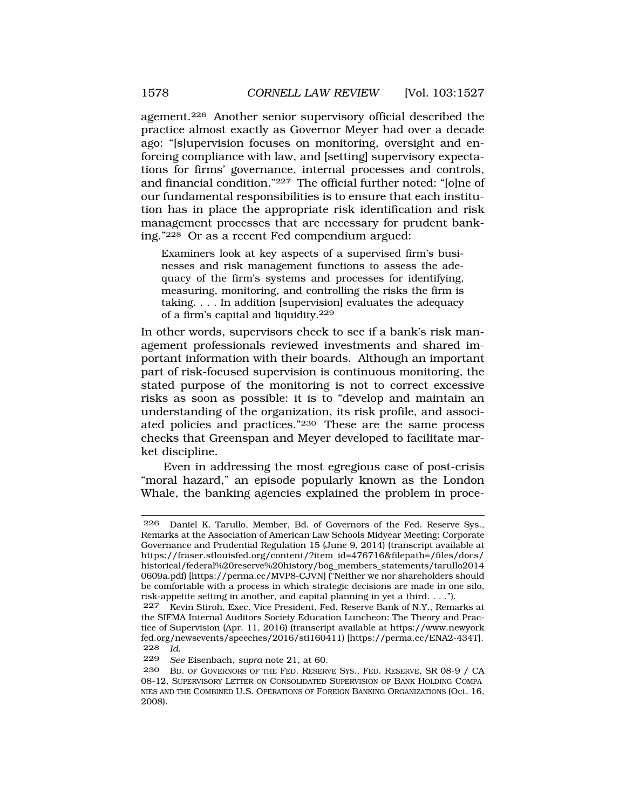agement.226 Another senior supervisory official described the practice almost exactly as Governor Meyer had over a decade ago: "[s]upervision focuses on monitoring, oversight and enforcing compliance with law, and [setting] supervisory expectations for firms' governance, internal processes and controls, and financial condition."227 The official further noted: "[o]ne of our fundamental responsibilities is to ensure that each institution has in place the appropriate risk identification and risk management processes that are necessary for prudent banking."228 Or as a recent Fed compendium argued:

Examiners look at key aspects of a supervised firm's businesses and risk management functions to assess the adequacy of the firm's systems and processes for identifying, measuring, monitoring, and controlling the risks the firm is taking. . . . In addition [supervision] evaluates the adequacy of a firm's capital and liquidity.<sup>229</sup>

In other words, supervisors check to see if a bank's risk management professionals reviewed investments and shared important information with their boards. Although an important part of risk-focused supervision is continuous monitoring, the stated purpose of the monitoring is not to correct excessive risks as soon as possible: it is to "develop and maintain an understanding of the organization, its risk profile, and associated policies and practices."230 These are the same process checks that Greenspan and Meyer developed to facilitate market discipline.

Even in addressing the most egregious case of post-crisis "moral hazard," an episode popularly known as the London Whale, the banking agencies explained the problem in proce-

<sup>226</sup> Daniel K. Tarullo, Member, Bd. of Governors of the Fed. Reserve Sys., Remarks at the Association of American Law Schools Midyear Meeting: Corporate Governance and Prudential Regulation 15 (June 9, 2014) (transcript available at [https://fraser.stlouisfed.org/content/?item\\_id=476716&filepath=/files/docs](https://fraser.stlouisfed.org/content/?item_id=476716&filepath=/files/docs)/ historical/federal%20reserve%20history/bog\_members\_statements/tarullo2014 0609a.pdf) [\[https://perma.cc/MVP8-CJVN](https://perma.cc/MVP8-CJVN)] ("Neither we nor shareholders should be comfortable with a process in which strategic decisions are made in one silo, risk-appetite setting in another, and capital planning in yet a third. . . .").

<sup>227</sup> Kevin Stiroh, Exec. Vice President, Fed. Reserve Bank of N.Y., Remarks at the SIFMA Internal Auditors Society Education Luncheon: The Theory and Practice of Supervision (Apr. 11, 2016) (transcript available at <https://www.newyork> [fed.org/newsevents/speeches/2016/sti160411\)](https://fed.org/newsevents/speeches/2016/sti160411) [\[https://perma.cc/ENA2-434T\]](https://perma.cc/ENA2-434T). 228 *Id.* 

<sup>229</sup> *See* Eisenbach, *supra* note 21, at 60.

BD. OF GOVERNORS OF THE FED. RESERVE SYS., FED. RESERVE, SR 08-9 / CA 08-12, SUPERVISORY LETTER ON CONSOLIDATED SUPERVISION OF BANK HOLDING COMPA-NIES AND THE COMBINED U.S. OPERATIONS OF FOREIGN BANKING ORGANIZATIONS (Oct. 16, 2008).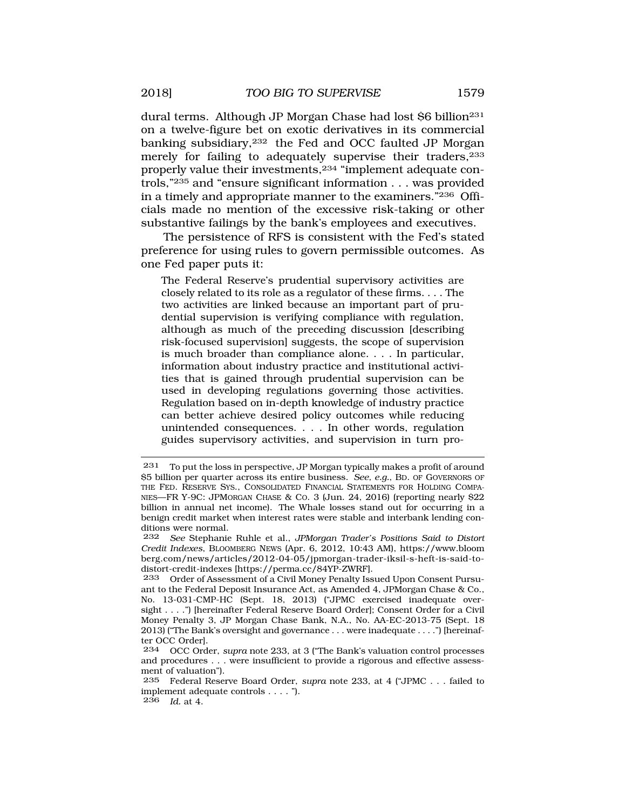dural terms. Although JP Morgan Chase had lost \$6 billion<sup>231</sup> on a twelve-figure bet on exotic derivatives in its commercial banking subsidiary,232 the Fed and OCC faulted JP Morgan merely for failing to adequately supervise their traders, <sup>233</sup> properly value their investments,234 "implement adequate controls,"235 and "ensure significant information . . . was provided in a timely and appropriate manner to the examiners."236 Officials made no mention of the excessive risk-taking or other substantive failings by the bank's employees and executives.

The persistence of RFS is consistent with the Fed's stated preference for using rules to govern permissible outcomes. As one Fed paper puts it:

The Federal Reserve's prudential supervisory activities are closely related to its role as a regulator of these firms. . . . The two activities are linked because an important part of prudential supervision is verifying compliance with regulation, although as much of the preceding discussion [describing risk-focused supervision] suggests, the scope of supervision is much broader than compliance alone. . . . In particular, information about industry practice and institutional activities that is gained through prudential supervision can be used in developing regulations governing those activities. Regulation based on in-depth knowledge of industry practice can better achieve desired policy outcomes while reducing unintended consequences. . . . In other words, regulation guides supervisory activities, and supervision in turn pro-

<sup>231</sup> To put the loss in perspective, JP Morgan typically makes a profit of around \$5 billion per quarter across its entire business. *See, e.g.*, BD. OF GOVERNORS OF THE FED. RESERVE SYS., CONSOLIDATED FINANCIAL STATEMENTS FOR HOLDING COMPA-NIES—FR Y-9C: JPMORGAN CHASE & CO. 3 (Jun. 24, 2016) (reporting nearly \$22 billion in annual net income). The Whale losses stand out for occurring in a benign credit market when interest rates were stable and interbank lending conditions were normal.

<sup>232</sup> *See* Stephanie Ruhle et al., *JPMorgan Trader's Positions Said to Distort Credit Indexes*, BLOOMBERG NEWS (Apr. 6, 2012, 10:43 AM), <https://www.bloom> [berg.com/news/articles/2012-04-05/jpmorgan-trader-iksil-s-heft-is-said-to](https://berg.com/news/articles/2012-04-05/jpmorgan-trader-iksil-s-heft-is-said-to)distort-credit-indexes [\[https://perma.cc/84YP-ZWRF\]](https://perma.cc/84YP-ZWRF).

<sup>233</sup> Order of Assessment of a Civil Money Penalty Issued Upon Consent Pursuant to the Federal Deposit Insurance Act, as Amended 4, JPMorgan Chase & Co., No. 13-031-CMP-HC (Sept. 18, 2013) ("JPMC exercised inadequate oversight . . . .") [hereinafter Federal Reserve Board Order]; Consent Order for a Civil Money Penalty 3, JP Morgan Chase Bank, N.A., No. AA-EC-2013-75 (Sept. 18 2013) ("The Bank's oversight and governance . . . were inadequate . . . .") [hereinafter OCC Order].

<sup>234</sup> OCC Order, *supra* note 233, at 3 ("The Bank's valuation control processes and procedures . . . were insufficient to provide a rigorous and effective assessment of valuation").

<sup>235</sup> Federal Reserve Board Order, *supra* note 233, at 4 ("JPMC . . . failed to implement adequate controls . . . . "). 236 *Id.* at 4.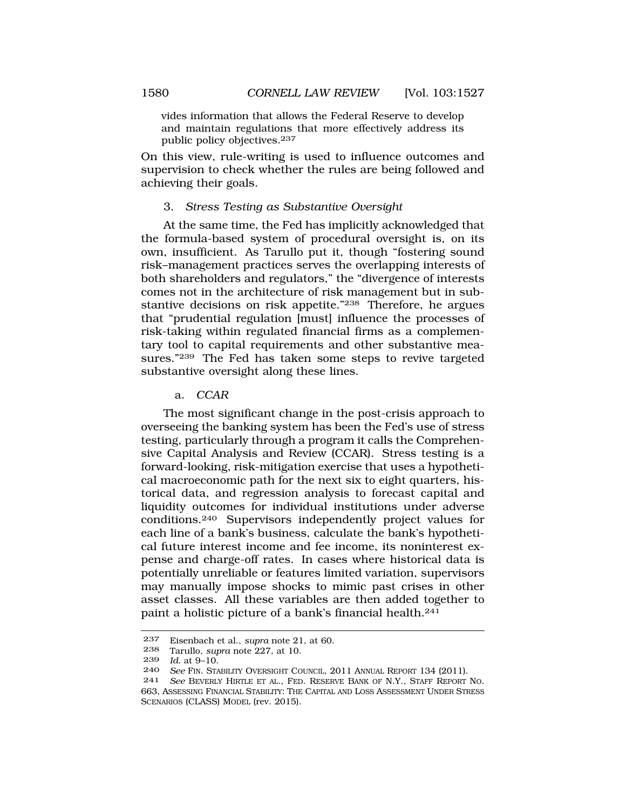<span id="page-53-0"></span>vides information that allows the Federal Reserve to develop and maintain regulations that more effectively address its public policy objectives.<sup>237</sup>

On this view, rule-writing is used to influence outcomes and supervision to check whether the rules are being followed and achieving their goals.

#### 3. *Stress Testing as Substantive Oversight*

At the same time, the Fed has implicitly acknowledged that the formula-based system of procedural oversight is, on its own, insufficient. As Tarullo put it, though "fostering sound risk–management practices serves the overlapping interests of both shareholders and regulators," the "divergence of interests comes not in the architecture of risk management but in substantive decisions on risk appetite."238 Therefore, he argues that "prudential regulation [must] influence the processes of risk-taking within regulated financial firms as a complementary tool to capital requirements and other substantive measures."239 The Fed has taken some steps to revive targeted substantive oversight along these lines.

#### a. *CCAR*

The most significant change in the post-crisis approach to overseeing the banking system has been the Fed's use of stress testing, particularly through a program it calls the Comprehensive Capital Analysis and Review (CCAR). Stress testing is a forward-looking, risk-mitigation exercise that uses a hypothetical macroeconomic path for the next six to eight quarters, historical data, and regression analysis to forecast capital and liquidity outcomes for individual institutions under adverse conditions.240 Supervisors independently project values for each line of a bank's business, calculate the bank's hypothetical future interest income and fee income, its noninterest expense and charge-off rates. In cases where historical data is potentially unreliable or features limited variation, supervisors may manually impose shocks to mimic past crises in other asset classes. All these variables are then added together to paint a holistic picture of a bank's financial health.241

<sup>237</sup> Eisenbach et al., *supra* note 21, at 60.

<sup>238</sup> Tarullo, *supra* note 227, at 10.<br>239 *Id* at 9-10.

<sup>239</sup> *Id.* at 9–10.

See FIN. STABILITY OVERSIGHT COUNCIL, 2011 ANNUAL REPORT 134 (2011).

<sup>241</sup> *See* BEVERLY HIRTLE ET AL., FED. RESERVE BANK OF N.Y., STAFF REPORT NO. 663, ASSESSING FINANCIAL STABILITY: THE CAPITAL AND LOSS ASSESSMENT UNDER STRESS SCENARIOS (CLASS) MODEL (rev. 2015).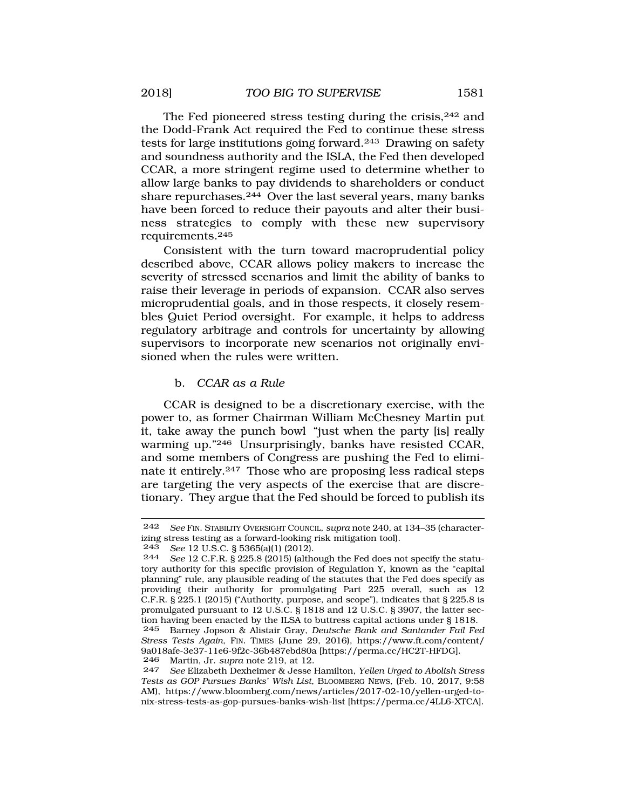<span id="page-54-0"></span>The Fed pioneered stress testing during the crisis, <sup>242</sup> and the Dodd-Frank Act required the Fed to continue these stress tests for large institutions going forward.243 Drawing on safety and soundness authority and the ISLA, the Fed then developed CCAR, a more stringent regime used to determine whether to allow large banks to pay dividends to shareholders or conduct share repurchases. $244$  Over the last several years, many banks have been forced to reduce their payouts and alter their business strategies to comply with these new supervisory requirements.245

Consistent with the turn toward macroprudential policy described above, CCAR allows policy makers to increase the severity of stressed scenarios and limit the ability of banks to raise their leverage in periods of expansion. CCAR also serves microprudential goals, and in those respects, it closely resembles Quiet Period oversight. For example, it helps to address regulatory arbitrage and controls for uncertainty by allowing supervisors to incorporate new scenarios not originally envisioned when the rules were written.

### b. *CCAR as a Rule*

CCAR is designed to be a discretionary exercise, with the power to, as former Chairman William McChesney Martin put it, take away the punch bowl "just when the party [is] really warming up."246 Unsurprisingly, banks have resisted CCAR, and some members of Congress are pushing the Fed to eliminate it entirely.247 Those who are proposing less radical steps are targeting the very aspects of the exercise that are discretionary. They argue that the Fed should be forced to publish its

<sup>242</sup> *See* FIN. STABILITY OVERSIGHT COUNCIL, *supra* note 240, at 134–35 (characterizing stress testing as a forward-looking risk mitigation tool).<br> $243 \text{ }$  See 12 U S C 8 5365(a)(1) (2012)

<sup>243</sup> *See* 12 U.S.C. § 5365(a)(1) (2012).

<sup>244</sup> *See* 12 C.F.R. § 225.8 (2015) (although the Fed does not specify the statutory authority for this specific provision of Regulation Y, known as the "capital planning" rule, any plausible reading of the statutes that the Fed does specify as providing their authority for promulgating Part 225 overall, such as 12 C.F.R. § 225.1 (2015) ("Authority, purpose, and scope"), indicates that § 225.8 is promulgated pursuant to 12 U.S.C. § 1818 and 12 U.S.C. § 3907, the latter section having been enacted by the ILSA to buttress capital actions under § 1818.

<sup>245</sup> Barney Jopson & Alistair Gray, *Deutsche Bank and Santander Fail Fed Stress Tests Again*, FIN. TIMES (June 29, 2016), [https://www.ft.com/content/](https://www.ft.com/content) 9a018afe-3e37-11e6-9f2c-36b487ebd80a [\[https://perma.cc/HC2T-HFDG\]](https://perma.cc/HC2T-HFDG). 246 Martin, Jr. *supra* note 219, at 12.

<sup>247</sup> *See* Elizabeth Dexheimer & Jesse Hamilton, *Yellen Urged to Abolish Stress Tests as GOP Pursues Banks' Wish List*, BLOOMBERG NEWS, (Feb. 10, 2017, 9:58 AM), <https://www.bloomberg.com/news/articles/2017-02-10/yellen-urged-to>nix-stress-tests-as-gop-pursues-banks-wish-list [<https://perma.cc/4LL6-XTCA>].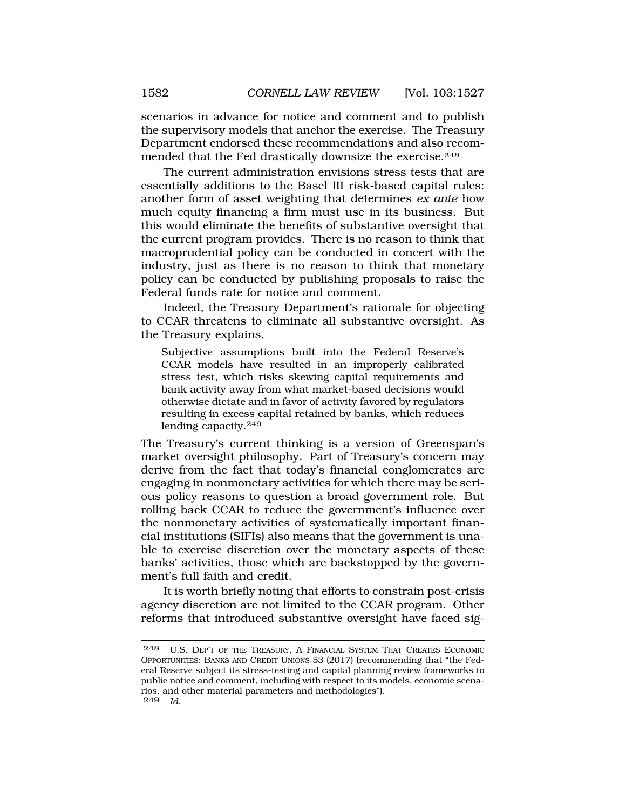scenarios in advance for notice and comment and to publish the supervisory models that anchor the exercise. The Treasury Department endorsed these recommendations and also recommended that the Fed drastically downsize the exercise.<sup>248</sup>

The current administration envisions stress tests that are essentially additions to the Basel III risk-based capital rules: another form of asset weighting that determines *ex ante* how much equity financing a firm must use in its business. But this would eliminate the benefits of substantive oversight that the current program provides. There is no reason to think that macroprudential policy can be conducted in concert with the industry, just as there is no reason to think that monetary policy can be conducted by publishing proposals to raise the Federal funds rate for notice and comment.

Indeed, the Treasury Department's rationale for objecting to CCAR threatens to eliminate all substantive oversight. As the Treasury explains,

Subjective assumptions built into the Federal Reserve's CCAR models have resulted in an improperly calibrated stress test, which risks skewing capital requirements and bank activity away from what market-based decisions would otherwise dictate and in favor of activity favored by regulators resulting in excess capital retained by banks, which reduces lending capacity.<sup>249</sup>

The Treasury's current thinking is a version of Greenspan's market oversight philosophy. Part of Treasury's concern may derive from the fact that today's financial conglomerates are engaging in nonmonetary activities for which there may be serious policy reasons to question a broad government role. But rolling back CCAR to reduce the government's influence over the nonmonetary activities of systematically important financial institutions (SIFIs) also means that the government is unable to exercise discretion over the monetary aspects of these banks' activities, those which are backstopped by the government's full faith and credit.

It is worth briefly noting that efforts to constrain post-crisis agency discretion are not limited to the CCAR program. Other reforms that introduced substantive oversight have faced sig-

<sup>248</sup> U.S. DEP'T OF THE TREASURY, A FINANCIAL SYSTEM THAT CREATES ECONOMIC OPPORTUNITIES: BANKS AND CREDIT UNIONS 53 (2017) (recommending that "the Federal Reserve subject its stress-testing and capital planning review frameworks to public notice and comment, including with respect to its models, economic scenarios, and other material parameters and methodologies"). 249 *Id.*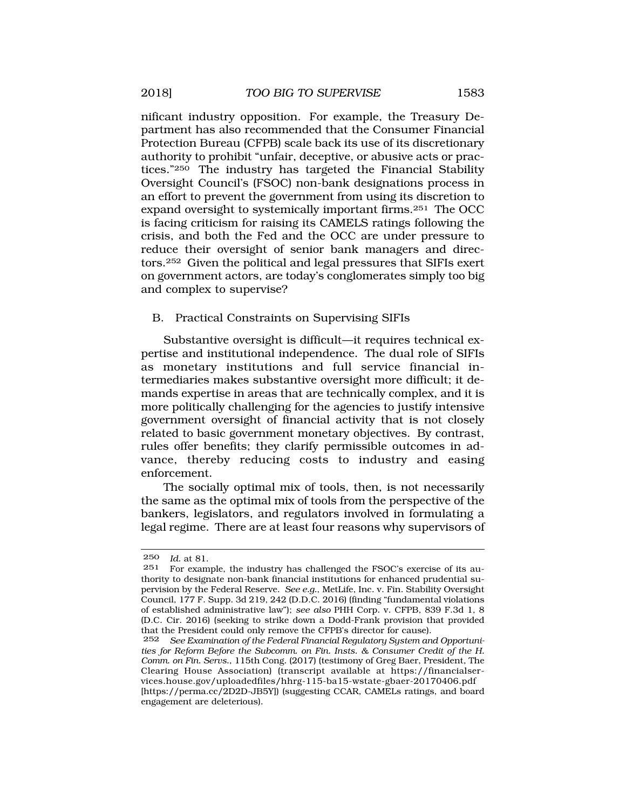<span id="page-56-0"></span>nificant industry opposition. For example, the Treasury Department has also recommended that the Consumer Financial Protection Bureau (CFPB) scale back its use of its discretionary authority to prohibit "unfair, deceptive, or abusive acts or practices."250 The industry has targeted the Financial Stability Oversight Council's (FSOC) non-bank designations process in an effort to prevent the government from using its discretion to expand oversight to systemically important firms.251 The OCC is facing criticism for raising its CAMELS ratings following the crisis, and both the Fed and the OCC are under pressure to reduce their oversight of senior bank managers and directors.252 Given the political and legal pressures that SIFIs exert on government actors, are today's conglomerates simply too big and complex to supervise?

### B. Practical Constraints on Supervising SIFIs

Substantive oversight is difficult—it requires technical expertise and institutional independence. The dual role of SIFIs as monetary institutions and full service financial intermediaries makes substantive oversight more difficult; it demands expertise in areas that are technically complex, and it is more politically challenging for the agencies to justify intensive government oversight of financial activity that is not closely related to basic government monetary objectives. By contrast, rules offer benefits; they clarify permissible outcomes in advance, thereby reducing costs to industry and easing enforcement.

The socially optimal mix of tools, then, is not necessarily the same as the optimal mix of tools from the perspective of the bankers, legislators, and regulators involved in formulating a legal regime. There are at least four reasons why supervisors of

<sup>250</sup> *Id.* at 81.

<sup>251</sup> For example, the industry has challenged the FSOC's exercise of its authority to designate non-bank financial institutions for enhanced prudential supervision by the Federal Reserve. *See e.g.*, MetLife, Inc. v. Fin. Stability Oversight Council, 177 F. Supp. 3d 219, 242 (D.D.C. 2016) (finding "fundamental violations of established administrative law"); *see also* PHH Corp. v. CFPB, 839 F.3d 1, 8 (D.C. Cir. 2016) (seeking to strike down a Dodd-Frank provision that provided that the President could only remove the CFPB's director for cause).<br>252 See Examination of the Federal Financial Requlatory Sustem and

See Examination of the Federal Financial Regulatory System and Opportuni*ties for Reform Before the Subcomm. on Fin. Insts. & Consumer Credit of the H. Comm. on Fin. Servs.*, 115th Cong. (2017) (testimony of Greg Baer, President, The Clearing House Association) (transcript available at <https://financialser>[vices.house.gov/uploadedfiles/hhrg-115-ba15-wstate-gbaer-20170406.pdf](https://vices.house.gov/uploadedfiles/hhrg-115-ba15-wstate-gbaer-20170406.pdf)  [[https://perma.cc/2D2D-JB5Y\]](https://perma.cc/2D2D-JB5Y)) (suggesting CCAR, CAMELs ratings, and board engagement are deleterious).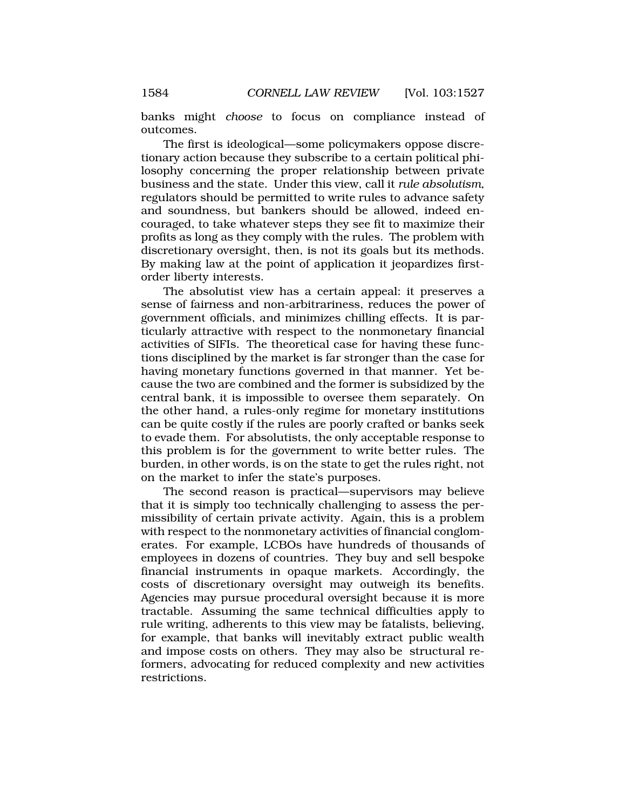banks might *choose* to focus on compliance instead of outcomes.

The first is ideological—some policymakers oppose discretionary action because they subscribe to a certain political philosophy concerning the proper relationship between private business and the state. Under this view, call it *rule absolutism*, regulators should be permitted to write rules to advance safety and soundness, but bankers should be allowed, indeed encouraged, to take whatever steps they see fit to maximize their profits as long as they comply with the rules. The problem with discretionary oversight, then, is not its goals but its methods. By making law at the point of application it jeopardizes firstorder liberty interests.

The absolutist view has a certain appeal: it preserves a sense of fairness and non-arbitrariness, reduces the power of government officials, and minimizes chilling effects. It is particularly attractive with respect to the nonmonetary financial activities of SIFIs. The theoretical case for having these functions disciplined by the market is far stronger than the case for having monetary functions governed in that manner. Yet because the two are combined and the former is subsidized by the central bank, it is impossible to oversee them separately. On the other hand, a rules-only regime for monetary institutions can be quite costly if the rules are poorly crafted or banks seek to evade them. For absolutists, the only acceptable response to this problem is for the government to write better rules. The burden, in other words, is on the state to get the rules right, not on the market to infer the state's purposes.

The second reason is practical—supervisors may believe that it is simply too technically challenging to assess the permissibility of certain private activity. Again, this is a problem with respect to the nonmonetary activities of financial conglomerates. For example, LCBOs have hundreds of thousands of employees in dozens of countries. They buy and sell bespoke financial instruments in opaque markets. Accordingly, the costs of discretionary oversight may outweigh its benefits. Agencies may pursue procedural oversight because it is more tractable. Assuming the same technical difficulties apply to rule writing, adherents to this view may be fatalists, believing, for example, that banks will inevitably extract public wealth and impose costs on others. They may also be structural reformers, advocating for reduced complexity and new activities restrictions.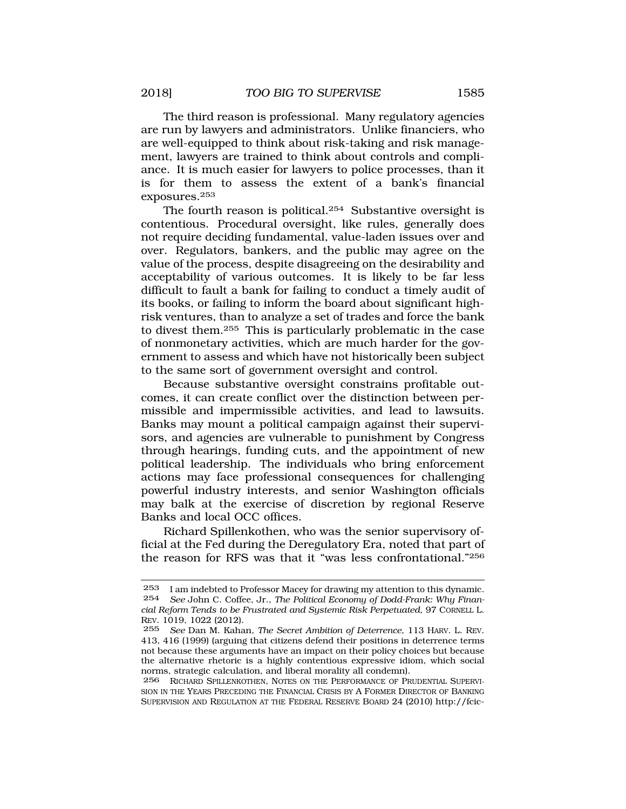The third reason is professional. Many regulatory agencies are run by lawyers and administrators. Unlike financiers, who are well-equipped to think about risk-taking and risk management, lawyers are trained to think about controls and compliance. It is much easier for lawyers to police processes, than it is for them to assess the extent of a bank's financial exposures.253

The fourth reason is political.254 Substantive oversight is contentious. Procedural oversight, like rules, generally does not require deciding fundamental, value-laden issues over and over. Regulators, bankers, and the public may agree on the value of the process, despite disagreeing on the desirability and acceptability of various outcomes. It is likely to be far less difficult to fault a bank for failing to conduct a timely audit of its books, or failing to inform the board about significant highrisk ventures, than to analyze a set of trades and force the bank to divest them.255 This is particularly problematic in the case of nonmonetary activities, which are much harder for the government to assess and which have not historically been subject to the same sort of government oversight and control.

Because substantive oversight constrains profitable outcomes, it can create conflict over the distinction between permissible and impermissible activities, and lead to lawsuits. Banks may mount a political campaign against their supervisors, and agencies are vulnerable to punishment by Congress through hearings, funding cuts, and the appointment of new political leadership. The individuals who bring enforcement actions may face professional consequences for challenging powerful industry interests, and senior Washington officials may balk at the exercise of discretion by regional Reserve Banks and local OCC offices.

Richard Spillenkothen, who was the senior supervisory official at the Fed during the Deregulatory Era, noted that part of the reason for RFS was that it "was less confrontational."256

<sup>253</sup> I am indebted to Professor Macey for drawing my attention to this dynamic. 254 *See* John C. Coffee, Jr., *The Political Economy of Dodd-Frank: Why Financial Reform Tends to be Frustrated and Systemic Risk Perpetuated*, 97 CORNELL L. REV. 1019, 1022 (2012).

<sup>255</sup> *See* Dan M. Kahan, *The Secret Ambition of Deterrence*, 113 HARV. L. REV. 413, 416 (1999) (arguing that citizens defend their positions in deterrence terms not because these arguments have an impact on their policy choices but because the alternative rhetoric is a highly contentious expressive idiom, which social norms, strategic calculation, and liberal morality all condemn).

<sup>256</sup> RICHARD SPILLENKOTHEN, NOTES ON THE PERFORMANCE OF PRUDENTIAL SUPERVI-SION IN THE YEARS PRECEDING THE FINANCIAL CRISIS BY A FORMER DIRECTOR OF BANKING SUPERVISION AND REGULATION AT THE FEDERAL RESERVE BOARD 24 (2010) [http://fcic-](http://fcic)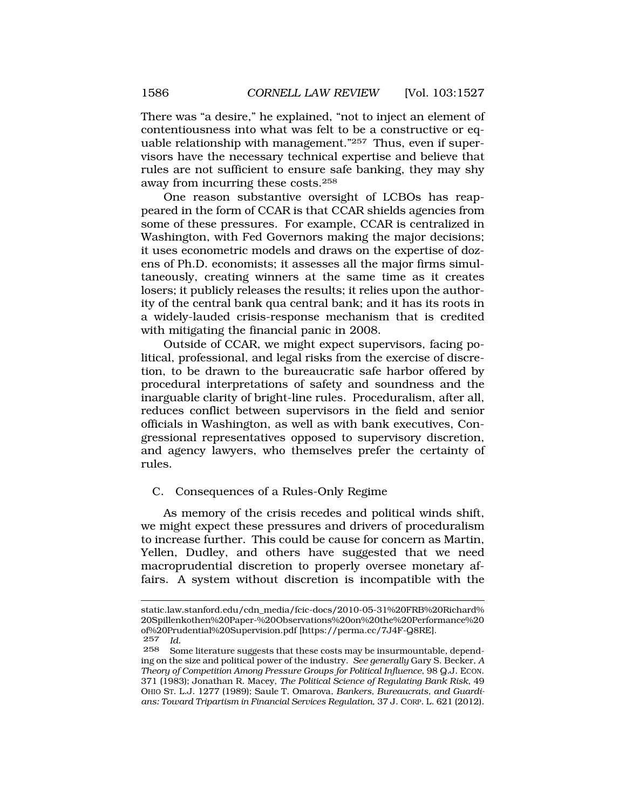There was "a desire," he explained, "not to inject an element of contentiousness into what was felt to be a constructive or equable relationship with management."257 Thus, even if supervisors have the necessary technical expertise and believe that rules are not sufficient to ensure safe banking, they may shy away from incurring these costs.258

One reason substantive oversight of LCBOs has reappeared in the form of CCAR is that CCAR shields agencies from some of these pressures. For example, CCAR is centralized in Washington, with Fed Governors making the major decisions; it uses econometric models and draws on the expertise of dozens of Ph.D. economists; it assesses all the major firms simultaneously, creating winners at the same time as it creates losers; it publicly releases the results; it relies upon the authority of the central bank qua central bank; and it has its roots in a widely-lauded crisis-response mechanism that is credited with mitigating the financial panic in 2008.

Outside of CCAR, we might expect supervisors, facing political, professional, and legal risks from the exercise of discretion, to be drawn to the bureaucratic safe harbor offered by procedural interpretations of safety and soundness and the inarguable clarity of bright-line rules. Proceduralism, after all, reduces conflict between supervisors in the field and senior officials in Washington, as well as with bank executives, Congressional representatives opposed to supervisory discretion, and agency lawyers, who themselves prefer the certainty of rules.

### C. Consequences of a Rules-Only Regime

As memory of the crisis recedes and political winds shift, we might expect these pressures and drivers of proceduralism to increase further. This could be cause for concern as Martin, Yellen, Dudley, and others have suggested that we need macroprudential discretion to properly oversee monetary affairs. A system without discretion is incompatible with the

static.law.stanford.edu/cdn\_media/fcic-docs/2010-05-31%20FRB%20Richard% 20Spillenkothen%20Paper-%20Observations%20on%20the%20Performance%20 of%20Prudential%20Supervision.pdf [<https://perma.cc/7J4F-Q8RE>].

<sup>257</sup> *Id.*  Some literature suggests that these costs may be insurmountable, depending on the size and political power of the industry. *See generally* Gary S. Becker, *A Theory of Competition Among Pressure Groups for Political Influence*, 98 Q.J. ECON. 371 (1983); Jonathan R. Macey, *The Political Science of Regulating Bank Risk*, 49 OHIO ST. L.J. 1277 (1989); Saule T. Omarova, *Bankers, Bureaucrats, and Guardians: Toward Tripartism in Financial Services Regulation*, 37 J. CORP. L. 621 (2012).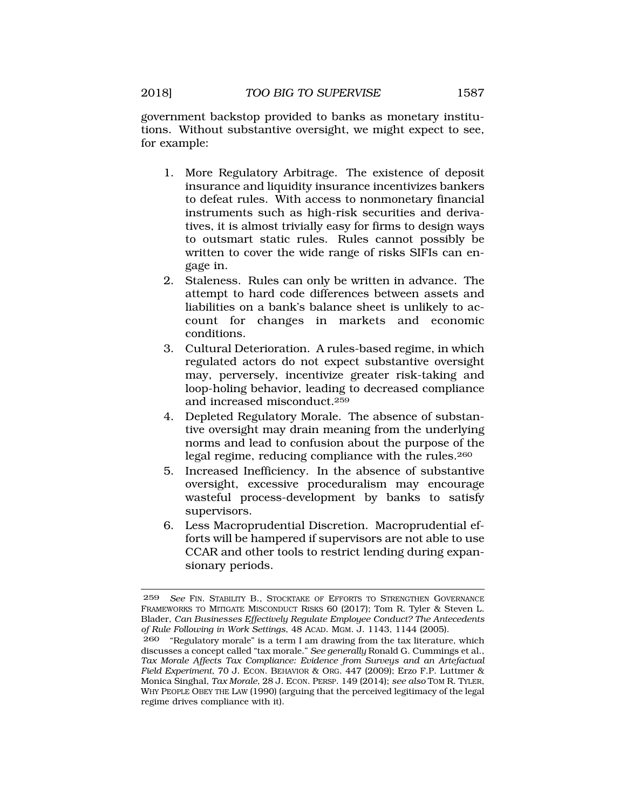government backstop provided to banks as monetary institutions. Without substantive oversight, we might expect to see, for example:

- 1. More Regulatory Arbitrage. The existence of deposit insurance and liquidity insurance incentivizes bankers to defeat rules. With access to nonmonetary financial instruments such as high-risk securities and derivatives, it is almost trivially easy for firms to design ways to outsmart static rules. Rules cannot possibly be written to cover the wide range of risks SIFIs can engage in.
- 2. Staleness. Rules can only be written in advance. The attempt to hard code differences between assets and liabilities on a bank's balance sheet is unlikely to account for changes in markets and economic conditions.
- 3. Cultural Deterioration. A rules-based regime, in which regulated actors do not expect substantive oversight may, perversely, incentivize greater risk-taking and loop-holing behavior, leading to decreased compliance and increased misconduct.259
- 4. Depleted Regulatory Morale. The absence of substantive oversight may drain meaning from the underlying norms and lead to confusion about the purpose of the legal regime, reducing compliance with the rules.260
- 5. Increased Inefficiency. In the absence of substantive oversight, excessive proceduralism may encourage wasteful process-development by banks to satisfy supervisors.
- 6. Less Macroprudential Discretion. Macroprudential efforts will be hampered if supervisors are not able to use CCAR and other tools to restrict lending during expansionary periods.

<sup>259</sup> *See* FIN. STABILITY B., STOCKTAKE OF EFFORTS TO STRENGTHEN GOVERNANCE FRAMEWORKS TO MITIGATE MISCONDUCT RISKS 60 (2017); Tom R. Tyler & Steven L. Blader, *Can Businesses Effectively Regulate Employee Conduct? The Antecedents of Rule Following in Work Settings*, 48 ACAD. MGM. J. 1143, 1144 (2005).

<sup>260 &</sup>quot;Regulatory morale" is a term I am drawing from the tax literature, which discusses a concept called "tax morale." *See generally* Ronald G. Cummings et al., *Tax Morale Affects Tax Compliance: Evidence from Surveys and an Artefactual Field Experiment*, 70 J. ECON. BEHAVIOR & ORG. 447 (2009); Erzo F.P. Luttmer & Monica Singhal, *Tax Morale*, 28 J. ECON. PERSP. 149 (2014); *see also* TOM R. TYLER, WHY PEOPLE OBEY THE LAW (1990) (arguing that the perceived legitimacy of the legal regime drives compliance with it).